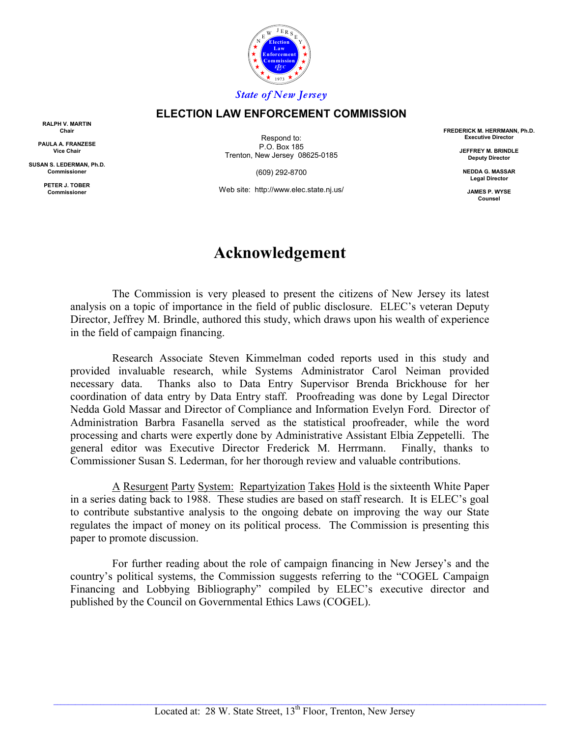

#### **ELECTION LAW ENFORCEMENT COMMISSION**

**RALPH V. MARTIN Chair**

**PAULA A. FRANZESE Vice Chair**

**SUSAN S. LEDERMAN, Ph.D. Commissioner**

> **PETER J. TOBER Commissioner**

Respond to: P.O. Box 185 Trenton, New Jersey 08625-0185

(609) 292-8700

Web site: http://www.elec.state.nj.us/

**FREDERICK M. HERRMANN, Ph.D. Executive Director**

> **JEFFREY M. BRINDLE Deputy Director**

**NEDDA G. MASSAR Legal Director**

**JAMES P. WYSE Counsel**

## **Acknowledgement**

The Commission is very pleased to present the citizens of New Jersey its latest analysis on a topic of importance in the field of public disclosure. ELEC's veteran Deputy Director, Jeffrey M. Brindle, authored this study, which draws upon his wealth of experience in the field of campaign financing.

Research Associate Steven Kimmelman coded reports used in this study and provided invaluable research, while Systems Administrator Carol Neiman provided necessary data. Thanks also to Data Entry Supervisor Brenda Brickhouse for her coordination of data entry by Data Entry staff. Proofreading was done by Legal Director Nedda Gold Massar and Director of Compliance and Information Evelyn Ford. Director of Administration Barbra Fasanella served as the statistical proofreader, while the word processing and charts were expertly done by Administrative Assistant Elbia Zeppetelli. The general editor was Executive Director Frederick M. Herrmann. Finally, thanks to Commissioner Susan S. Lederman, for her thorough review and valuable contributions.

A Resurgent Party System: Repartyization Takes Hold is the sixteenth White Paper in a series dating back to 1988. These studies are based on staff research. It is ELEC's goal to contribute substantive analysis to the ongoing debate on improving the way our State regulates the impact of money on its political process. The Commission is presenting this paper to promote discussion.

For further reading about the role of campaign financing in New Jersey's and the country's political systems, the Commission suggests referring to the "COGEL Campaign Financing and Lobbying Bibliography" compiled by ELEC's executive director and published by the Council on Governmental Ethics Laws (COGEL).

 $\_$  , and the state of the state of the state of the state of the state of the state of the state of the state of the state of the state of the state of the state of the state of the state of the state of the state of the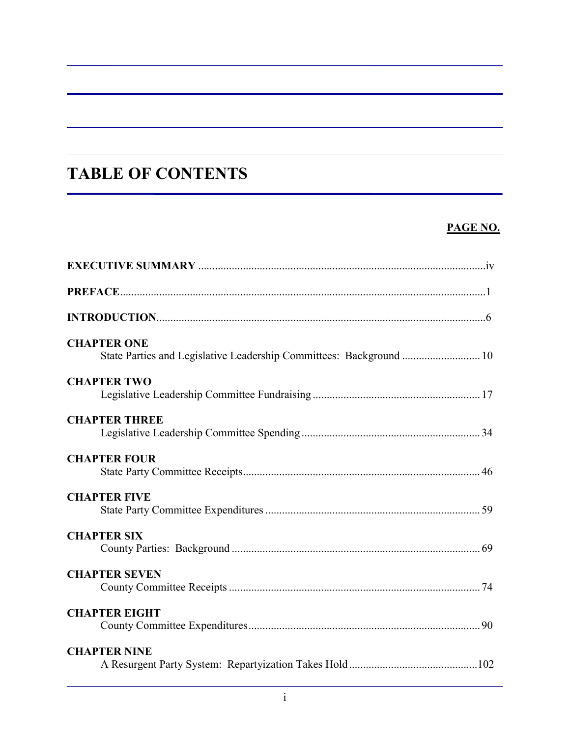# **TABLE OF CONTENTS**

### **PAGE NO.**

| <b>CHAPTER ONE</b><br>State Parties and Legislative Leadership Committees: Background  10 |  |
|-------------------------------------------------------------------------------------------|--|
| <b>CHAPTER TWO</b>                                                                        |  |
| <b>CHAPTER THREE</b>                                                                      |  |
| <b>CHAPTER FOUR</b>                                                                       |  |
| <b>CHAPTER FIVE</b>                                                                       |  |
| <b>CHAPTER SIX</b>                                                                        |  |
| <b>CHAPTER SEVEN</b>                                                                      |  |
| <b>CHAPTER EIGHT</b>                                                                      |  |
| <b>CHAPTER NINE</b>                                                                       |  |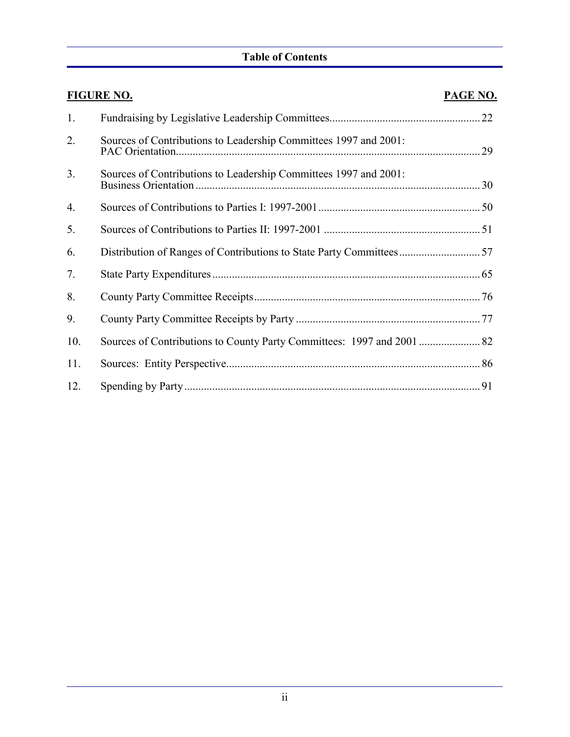### **Table of Contents**

|     | <b>FIGURE NO.</b>                                                | PAGE NO. |
|-----|------------------------------------------------------------------|----------|
| 1.  |                                                                  |          |
| 2.  | Sources of Contributions to Leadership Committees 1997 and 2001: |          |
| 3.  | Sources of Contributions to Leadership Committees 1997 and 2001: |          |
| 4.  |                                                                  |          |
| 5.  |                                                                  |          |
| 6.  |                                                                  |          |
| 7.  |                                                                  |          |
| 8.  |                                                                  |          |
| 9.  |                                                                  |          |
| 10. |                                                                  |          |
| 11. |                                                                  |          |
| 12. |                                                                  |          |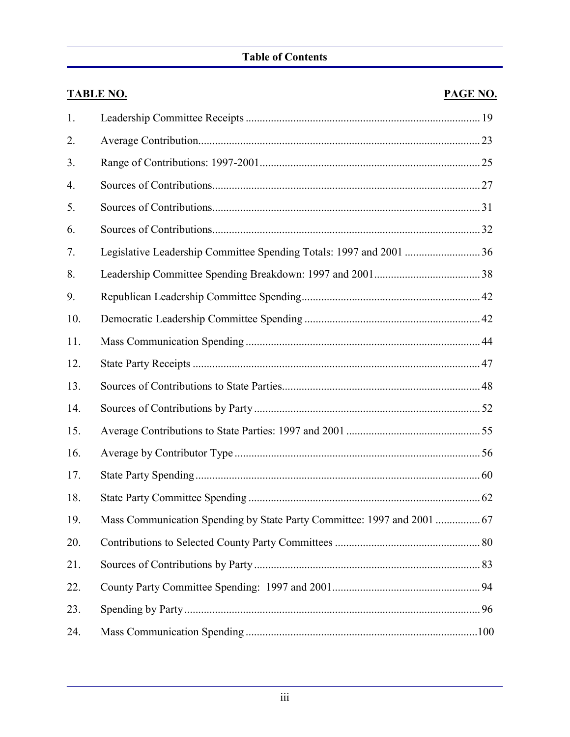### **Table of Contents**

|     | <b>TABLE NO.</b> | <b>PAGE NO.</b> |
|-----|------------------|-----------------|
| 1.  |                  |                 |
| 2.  |                  |                 |
| 3.  |                  |                 |
| 4.  |                  |                 |
| 5.  |                  |                 |
| 6.  |                  |                 |
| 7.  |                  |                 |
| 8.  |                  |                 |
| 9.  |                  |                 |
| 10. |                  |                 |
| 11. |                  |                 |
| 12. |                  |                 |
| 13. |                  |                 |
| 14. |                  |                 |
| 15. |                  |                 |
| 16. |                  |                 |
| 17. |                  |                 |
| 18. |                  |                 |
| 19. |                  |                 |
| 20. |                  |                 |
| 21. |                  |                 |
| 22. |                  |                 |
| 23. |                  |                 |
| 24. |                  |                 |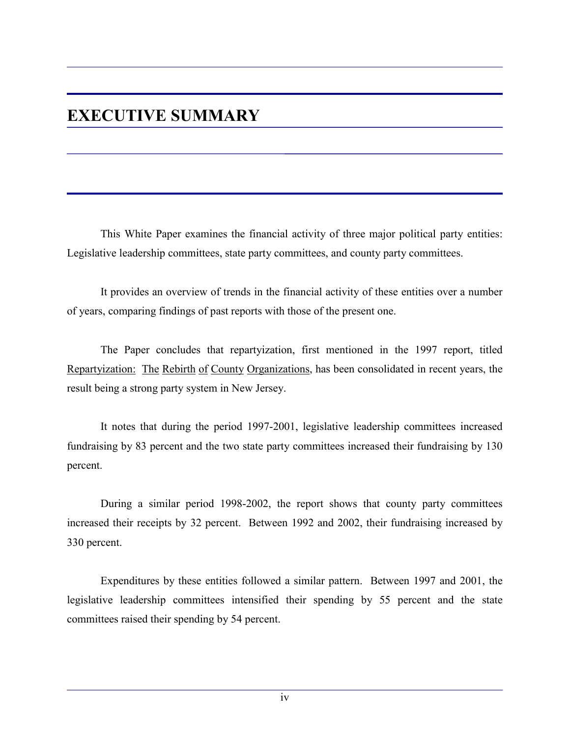## **EXECUTIVE SUMMARY**

This White Paper examines the financial activity of three major political party entities: Legislative leadership committees, state party committees, and county party committees.

It provides an overview of trends in the financial activity of these entities over a number of years, comparing findings of past reports with those of the present one.

The Paper concludes that repartyization, first mentioned in the 1997 report, titled Repartyization: The Rebirth of County Organizations, has been consolidated in recent years, the result being a strong party system in New Jersey.

It notes that during the period 1997-2001, legislative leadership committees increased fundraising by 83 percent and the two state party committees increased their fundraising by 130 percent.

During a similar period 1998-2002, the report shows that county party committees increased their receipts by 32 percent. Between 1992 and 2002, their fundraising increased by 330 percent.

Expenditures by these entities followed a similar pattern. Between 1997 and 2001, the legislative leadership committees intensified their spending by 55 percent and the state committees raised their spending by 54 percent.

iv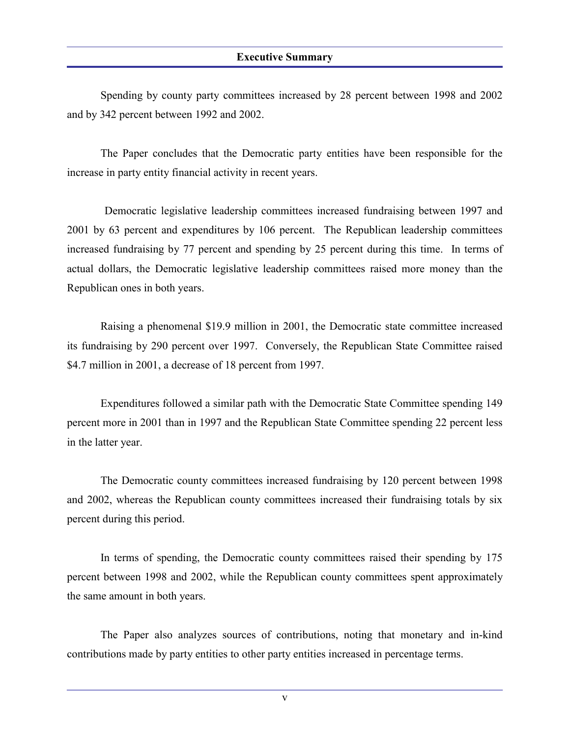#### **Executive Summary**

Spending by county party committees increased by 28 percent between 1998 and 2002 and by 342 percent between 1992 and 2002.

The Paper concludes that the Democratic party entities have been responsible for the increase in party entity financial activity in recent years.

 Democratic legislative leadership committees increased fundraising between 1997 and 2001 by 63 percent and expenditures by 106 percent. The Republican leadership committees increased fundraising by 77 percent and spending by 25 percent during this time. In terms of actual dollars, the Democratic legislative leadership committees raised more money than the Republican ones in both years.

Raising a phenomenal \$19.9 million in 2001, the Democratic state committee increased its fundraising by 290 percent over 1997. Conversely, the Republican State Committee raised \$4.7 million in 2001, a decrease of 18 percent from 1997.

Expenditures followed a similar path with the Democratic State Committee spending 149 percent more in 2001 than in 1997 and the Republican State Committee spending 22 percent less in the latter year.

The Democratic county committees increased fundraising by 120 percent between 1998 and 2002, whereas the Republican county committees increased their fundraising totals by six percent during this period.

In terms of spending, the Democratic county committees raised their spending by 175 percent between 1998 and 2002, while the Republican county committees spent approximately the same amount in both years.

The Paper also analyzes sources of contributions, noting that monetary and in-kind contributions made by party entities to other party entities increased in percentage terms.

v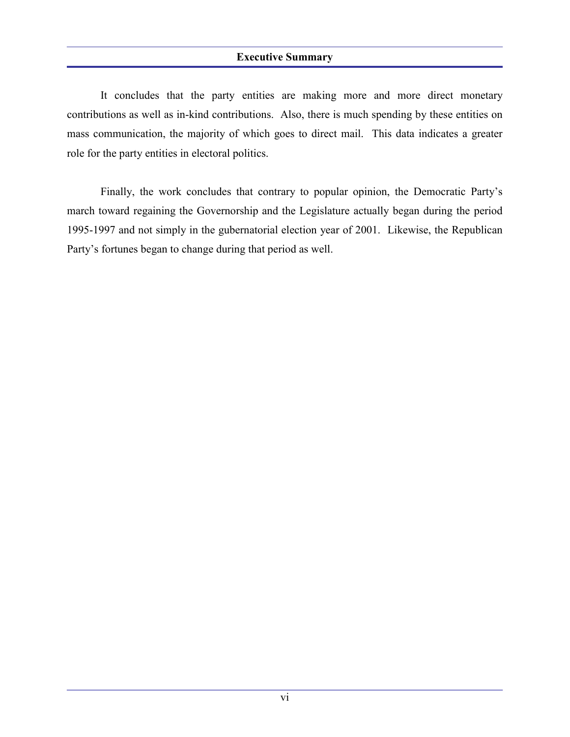#### **Executive Summary**

It concludes that the party entities are making more and more direct monetary contributions as well as in-kind contributions. Also, there is much spending by these entities on mass communication, the majority of which goes to direct mail. This data indicates a greater role for the party entities in electoral politics.

Finally, the work concludes that contrary to popular opinion, the Democratic Party's march toward regaining the Governorship and the Legislature actually began during the period 1995-1997 and not simply in the gubernatorial election year of 2001. Likewise, the Republican Party's fortunes began to change during that period as well.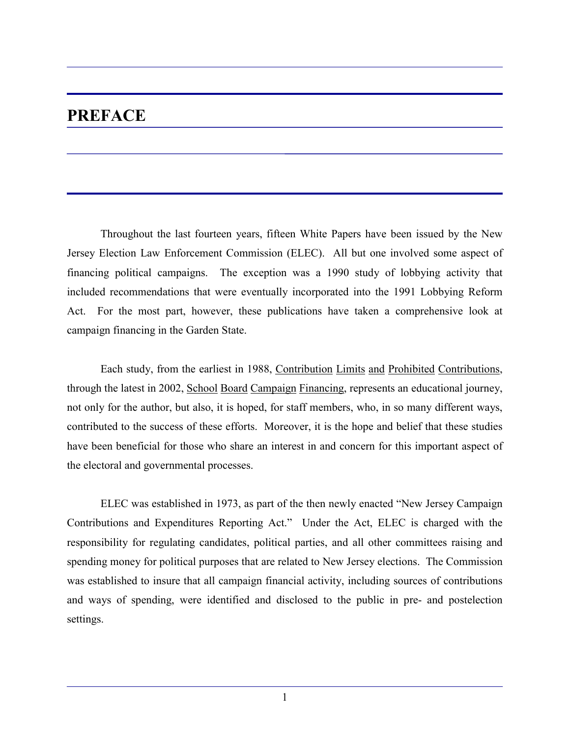## **PREFACE**

Throughout the last fourteen years, fifteen White Papers have been issued by the New Jersey Election Law Enforcement Commission (ELEC). All but one involved some aspect of financing political campaigns. The exception was a 1990 study of lobbying activity that included recommendations that were eventually incorporated into the 1991 Lobbying Reform Act. For the most part, however, these publications have taken a comprehensive look at campaign financing in the Garden State.

Each study, from the earliest in 1988, Contribution Limits and Prohibited Contributions, through the latest in 2002, School Board Campaign Financing, represents an educational journey, not only for the author, but also, it is hoped, for staff members, who, in so many different ways, contributed to the success of these efforts. Moreover, it is the hope and belief that these studies have been beneficial for those who share an interest in and concern for this important aspect of the electoral and governmental processes.

ELEC was established in 1973, as part of the then newly enacted "New Jersey Campaign Contributions and Expenditures Reporting Act." Under the Act, ELEC is charged with the responsibility for regulating candidates, political parties, and all other committees raising and spending money for political purposes that are related to New Jersey elections. The Commission was established to insure that all campaign financial activity, including sources of contributions and ways of spending, were identified and disclosed to the public in pre- and postelection settings.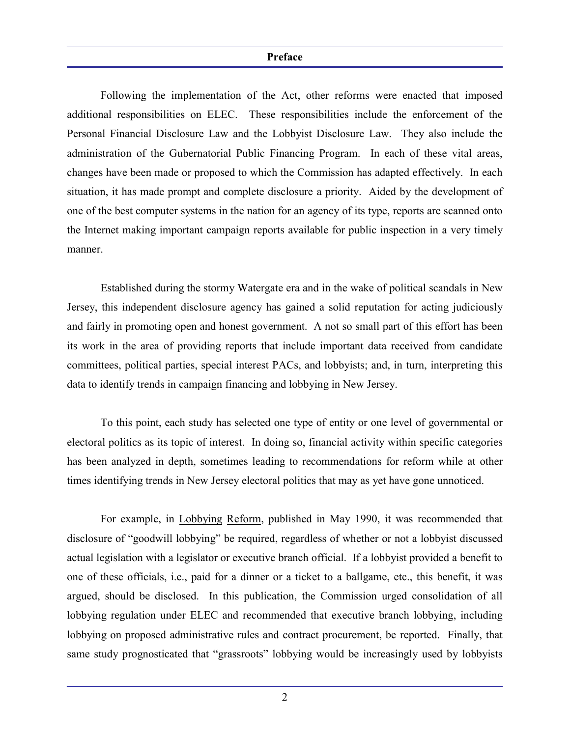#### **Preface**

Following the implementation of the Act, other reforms were enacted that imposed additional responsibilities on ELEC. These responsibilities include the enforcement of the Personal Financial Disclosure Law and the Lobbyist Disclosure Law. They also include the administration of the Gubernatorial Public Financing Program. In each of these vital areas, changes have been made or proposed to which the Commission has adapted effectively. In each situation, it has made prompt and complete disclosure a priority. Aided by the development of one of the best computer systems in the nation for an agency of its type, reports are scanned onto the Internet making important campaign reports available for public inspection in a very timely manner.

Established during the stormy Watergate era and in the wake of political scandals in New Jersey, this independent disclosure agency has gained a solid reputation for acting judiciously and fairly in promoting open and honest government. A not so small part of this effort has been its work in the area of providing reports that include important data received from candidate committees, political parties, special interest PACs, and lobbyists; and, in turn, interpreting this data to identify trends in campaign financing and lobbying in New Jersey.

To this point, each study has selected one type of entity or one level of governmental or electoral politics as its topic of interest. In doing so, financial activity within specific categories has been analyzed in depth, sometimes leading to recommendations for reform while at other times identifying trends in New Jersey electoral politics that may as yet have gone unnoticed.

For example, in Lobbying Reform, published in May 1990, it was recommended that disclosure of "goodwill lobbying" be required, regardless of whether or not a lobbyist discussed actual legislation with a legislator or executive branch official. If a lobbyist provided a benefit to one of these officials, i.e., paid for a dinner or a ticket to a ballgame, etc., this benefit, it was argued, should be disclosed. In this publication, the Commission urged consolidation of all lobbying regulation under ELEC and recommended that executive branch lobbying, including lobbying on proposed administrative rules and contract procurement, be reported. Finally, that same study prognosticated that "grassroots" lobbying would be increasingly used by lobbyists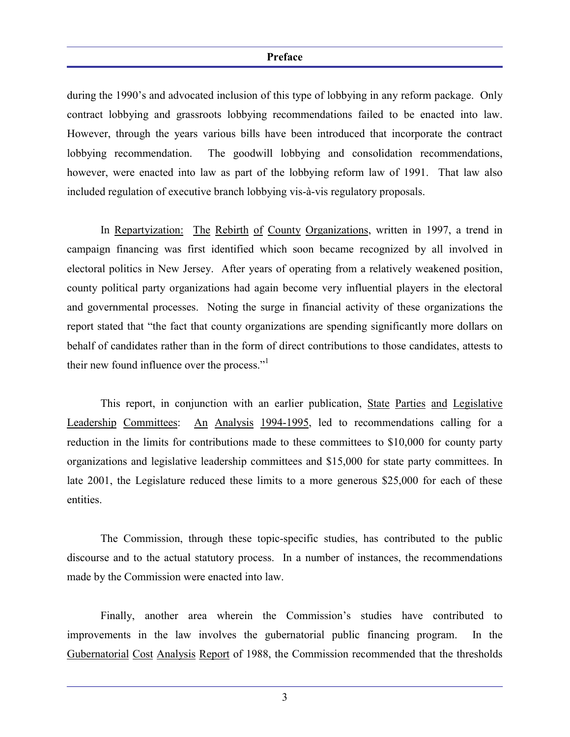#### **Preface**

during the 1990's and advocated inclusion of this type of lobbying in any reform package. Only contract lobbying and grassroots lobbying recommendations failed to be enacted into law. However, through the years various bills have been introduced that incorporate the contract lobbying recommendation. The goodwill lobbying and consolidation recommendations, however, were enacted into law as part of the lobbying reform law of 1991. That law also included regulation of executive branch lobbying vis-à-vis regulatory proposals.

In Repartyization: The Rebirth of County Organizations, written in 1997, a trend in campaign financing was first identified which soon became recognized by all involved in electoral politics in New Jersey. After years of operating from a relatively weakened position, county political party organizations had again become very influential players in the electoral and governmental processes. Noting the surge in financial activity of these organizations the report stated that "the fact that county organizations are spending significantly more dollars on behalf of candidates rather than in the form of direct contributions to those candidates, attests to their new found influence over the process."1

This report, in conjunction with an earlier publication, State Parties and Legislative Leadership Committees: An Analysis 1994-1995, led to recommendations calling for a reduction in the limits for contributions made to these committees to \$10,000 for county party organizations and legislative leadership committees and \$15,000 for state party committees. In late 2001, the Legislature reduced these limits to a more generous \$25,000 for each of these entities.

The Commission, through these topic-specific studies, has contributed to the public discourse and to the actual statutory process. In a number of instances, the recommendations made by the Commission were enacted into law.

Finally, another area wherein the Commission's studies have contributed to improvements in the law involves the gubernatorial public financing program. In the Gubernatorial Cost Analysis Report of 1988, the Commission recommended that the thresholds

<sup>3</sup>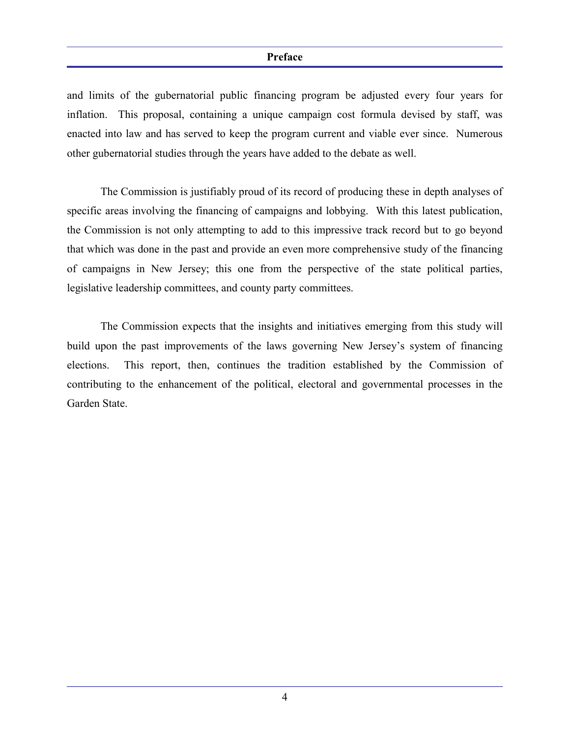#### **Preface**

and limits of the gubernatorial public financing program be adjusted every four years for inflation. This proposal, containing a unique campaign cost formula devised by staff, was enacted into law and has served to keep the program current and viable ever since. Numerous other gubernatorial studies through the years have added to the debate as well.

The Commission is justifiably proud of its record of producing these in depth analyses of specific areas involving the financing of campaigns and lobbying. With this latest publication, the Commission is not only attempting to add to this impressive track record but to go beyond that which was done in the past and provide an even more comprehensive study of the financing of campaigns in New Jersey; this one from the perspective of the state political parties, legislative leadership committees, and county party committees.

The Commission expects that the insights and initiatives emerging from this study will build upon the past improvements of the laws governing New Jersey's system of financing elections. This report, then, continues the tradition established by the Commission of contributing to the enhancement of the political, electoral and governmental processes in the Garden State.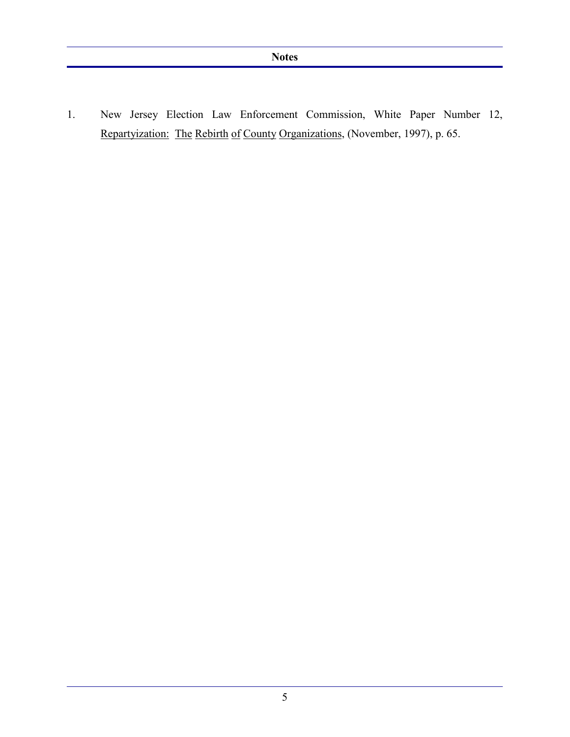1. New Jersey Election Law Enforcement Commission, White Paper Number 12, Repartyization: The Rebirth of County Organizations, (November, 1997), p. 65.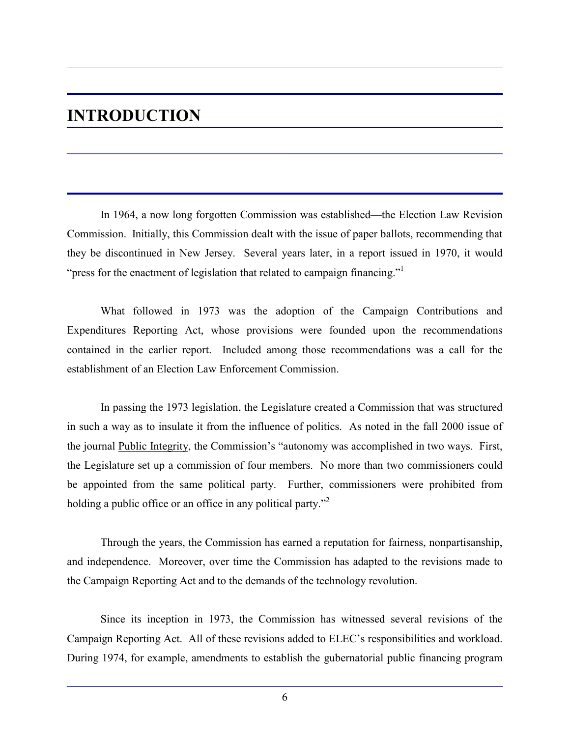## **INTRODUCTION**

In 1964, a now long forgotten Commission was established—the Election Law Revision Commission. Initially, this Commission dealt with the issue of paper ballots, recommending that they be discontinued in New Jersey. Several years later, in a report issued in 1970, it would "press for the enactment of legislation that related to campaign financing."

What followed in 1973 was the adoption of the Campaign Contributions and Expenditures Reporting Act, whose provisions were founded upon the recommendations contained in the earlier report. Included among those recommendations was a call for the establishment of an Election Law Enforcement Commission.

In passing the 1973 legislation, the Legislature created a Commission that was structured in such a way as to insulate it from the influence of politics. As noted in the fall 2000 issue of the journal Public Integrity, the Commission's "autonomy was accomplished in two ways. First, the Legislature set up a commission of four members. No more than two commissioners could be appointed from the same political party. Further, commissioners were prohibited from holding a public office or an office in any political party."<sup>2</sup>

Through the years, the Commission has earned a reputation for fairness, nonpartisanship, and independence. Moreover, over time the Commission has adapted to the revisions made to the Campaign Reporting Act and to the demands of the technology revolution.

Since its inception in 1973, the Commission has witnessed several revisions of the Campaign Reporting Act. All of these revisions added to ELEC's responsibilities and workload. During 1974, for example, amendments to establish the gubernatorial public financing program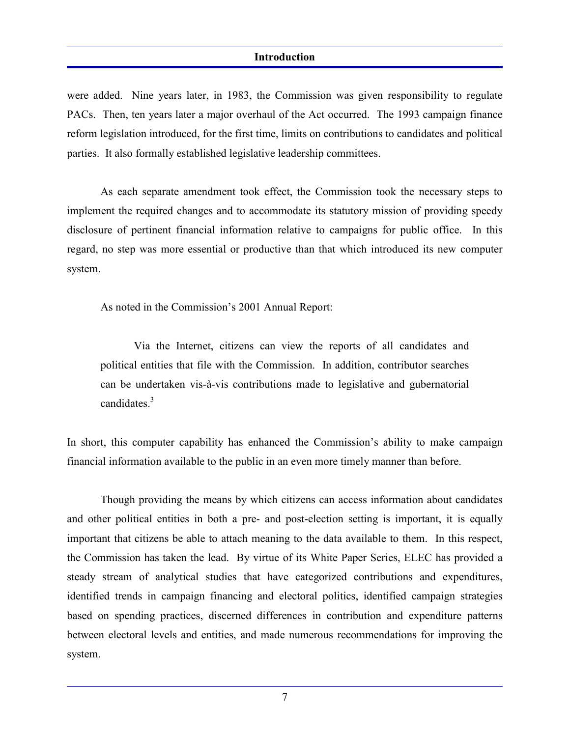#### **Introduction**

were added. Nine years later, in 1983, the Commission was given responsibility to regulate PACs. Then, ten years later a major overhaul of the Act occurred. The 1993 campaign finance reform legislation introduced, for the first time, limits on contributions to candidates and political parties. It also formally established legislative leadership committees.

As each separate amendment took effect, the Commission took the necessary steps to implement the required changes and to accommodate its statutory mission of providing speedy disclosure of pertinent financial information relative to campaigns for public office. In this regard, no step was more essential or productive than that which introduced its new computer system.

As noted in the Commission's 2001 Annual Report:

Via the Internet, citizens can view the reports of all candidates and political entities that file with the Commission. In addition, contributor searches can be undertaken vis-à-vis contributions made to legislative and gubernatorial candidates $<sup>3</sup>$ </sup>

In short, this computer capability has enhanced the Commission's ability to make campaign financial information available to the public in an even more timely manner than before.

Though providing the means by which citizens can access information about candidates and other political entities in both a pre- and post-election setting is important, it is equally important that citizens be able to attach meaning to the data available to them. In this respect, the Commission has taken the lead. By virtue of its White Paper Series, ELEC has provided a steady stream of analytical studies that have categorized contributions and expenditures, identified trends in campaign financing and electoral politics, identified campaign strategies based on spending practices, discerned differences in contribution and expenditure patterns between electoral levels and entities, and made numerous recommendations for improving the system.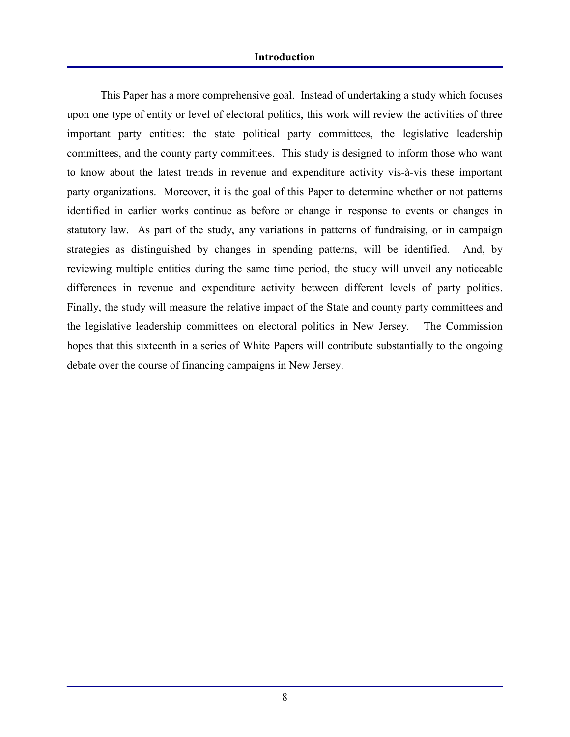#### **Introduction**

This Paper has a more comprehensive goal. Instead of undertaking a study which focuses upon one type of entity or level of electoral politics, this work will review the activities of three important party entities: the state political party committees, the legislative leadership committees, and the county party committees. This study is designed to inform those who want to know about the latest trends in revenue and expenditure activity vis-à-vis these important party organizations. Moreover, it is the goal of this Paper to determine whether or not patterns identified in earlier works continue as before or change in response to events or changes in statutory law. As part of the study, any variations in patterns of fundraising, or in campaign strategies as distinguished by changes in spending patterns, will be identified. And, by reviewing multiple entities during the same time period, the study will unveil any noticeable differences in revenue and expenditure activity between different levels of party politics. Finally, the study will measure the relative impact of the State and county party committees and the legislative leadership committees on electoral politics in New Jersey. The Commission hopes that this sixteenth in a series of White Papers will contribute substantially to the ongoing debate over the course of financing campaigns in New Jersey.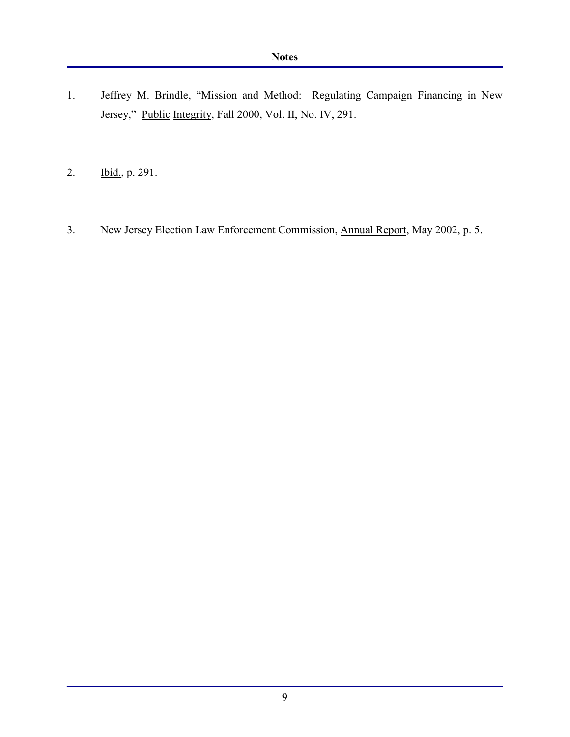- 1. Jeffrey M. Brindle, "Mission and Method: Regulating Campaign Financing in New Jersey," Public Integrity, Fall 2000, Vol. II, No. IV, 291.
- 2. Ibid., p. 291.
- 3. New Jersey Election Law Enforcement Commission, Annual Report, May 2002, p. 5.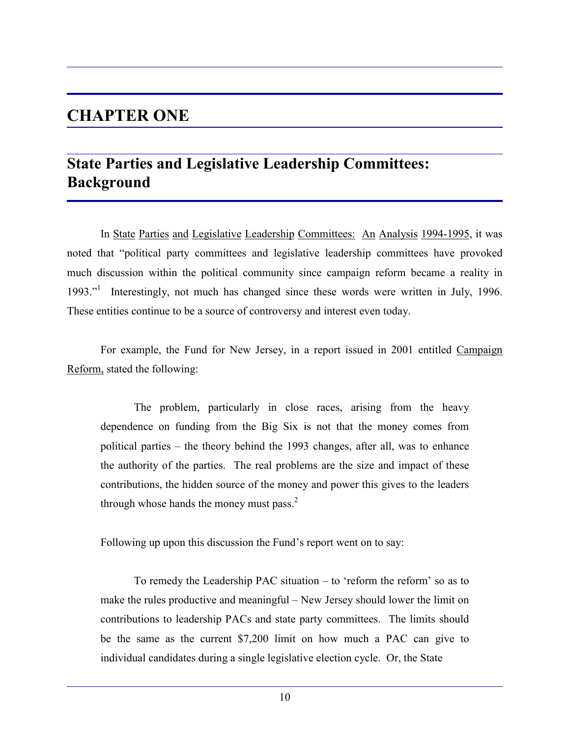## **CHAPTER ONE**

## **State Parties and Legislative Leadership Committees: Background**

In State Parties and Legislative Leadership Committees: An Analysis 1994-1995, it was noted that "political party committees and legislative leadership committees have provoked much discussion within the political community since campaign reform became a reality in 1993."<sup>1</sup> Interestingly, not much has changed since these words were written in July, 1996. These entities continue to be a source of controversy and interest even today.

For example, the Fund for New Jersey, in a report issued in 2001 entitled Campaign Reform, stated the following:

The problem, particularly in close races, arising from the heavy dependence on funding from the Big Six is not that the money comes from political parties – the theory behind the 1993 changes, after all, was to enhance the authority of the parties. The real problems are the size and impact of these contributions, the hidden source of the money and power this gives to the leaders through whose hands the money must pass. $<sup>2</sup>$ </sup>

Following up upon this discussion the Fund's report went on to say:

To remedy the Leadership PAC situation – to 'reform the reform' so as to make the rules productive and meaningful – New Jersey should lower the limit on contributions to leadership PACs and state party committees. The limits should be the same as the current \$7,200 limit on how much a PAC can give to individual candidates during a single legislative election cycle. Or, the State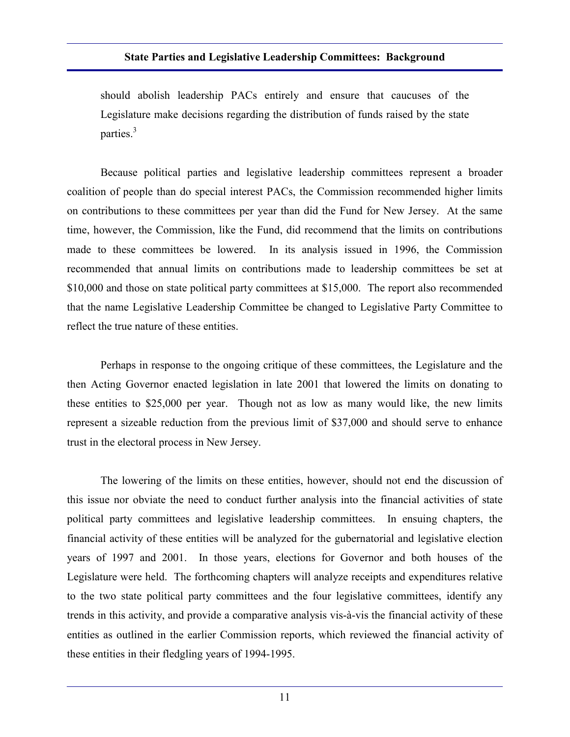should abolish leadership PACs entirely and ensure that caucuses of the Legislature make decisions regarding the distribution of funds raised by the state parties. $3$ 

Because political parties and legislative leadership committees represent a broader coalition of people than do special interest PACs, the Commission recommended higher limits on contributions to these committees per year than did the Fund for New Jersey. At the same time, however, the Commission, like the Fund, did recommend that the limits on contributions made to these committees be lowered. In its analysis issued in 1996, the Commission recommended that annual limits on contributions made to leadership committees be set at \$10,000 and those on state political party committees at \$15,000. The report also recommended that the name Legislative Leadership Committee be changed to Legislative Party Committee to reflect the true nature of these entities.

Perhaps in response to the ongoing critique of these committees, the Legislature and the then Acting Governor enacted legislation in late 2001 that lowered the limits on donating to these entities to \$25,000 per year. Though not as low as many would like, the new limits represent a sizeable reduction from the previous limit of \$37,000 and should serve to enhance trust in the electoral process in New Jersey.

The lowering of the limits on these entities, however, should not end the discussion of this issue nor obviate the need to conduct further analysis into the financial activities of state political party committees and legislative leadership committees. In ensuing chapters, the financial activity of these entities will be analyzed for the gubernatorial and legislative election years of 1997 and 2001. In those years, elections for Governor and both houses of the Legislature were held. The forthcoming chapters will analyze receipts and expenditures relative to the two state political party committees and the four legislative committees, identify any trends in this activity, and provide a comparative analysis vis-à-vis the financial activity of these entities as outlined in the earlier Commission reports, which reviewed the financial activity of these entities in their fledgling years of 1994-1995.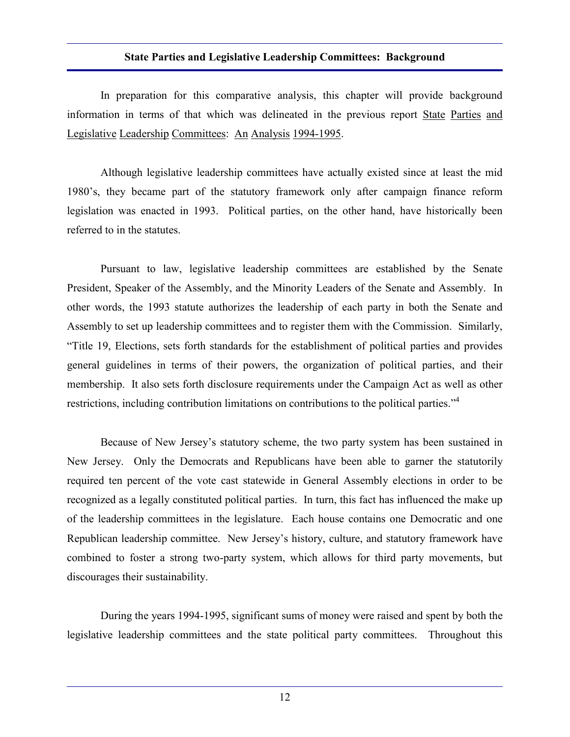In preparation for this comparative analysis, this chapter will provide background information in terms of that which was delineated in the previous report State Parties and Legislative Leadership Committees: An Analysis 1994-1995.

Although legislative leadership committees have actually existed since at least the mid 1980's, they became part of the statutory framework only after campaign finance reform legislation was enacted in 1993. Political parties, on the other hand, have historically been referred to in the statutes.

Pursuant to law, legislative leadership committees are established by the Senate President, Speaker of the Assembly, and the Minority Leaders of the Senate and Assembly. In other words, the 1993 statute authorizes the leadership of each party in both the Senate and Assembly to set up leadership committees and to register them with the Commission. Similarly, "Title 19, Elections, sets forth standards for the establishment of political parties and provides general guidelines in terms of their powers, the organization of political parties, and their membership. It also sets forth disclosure requirements under the Campaign Act as well as other restrictions, including contribution limitations on contributions to the political parties."<sup>4</sup>

Because of New Jersey's statutory scheme, the two party system has been sustained in New Jersey. Only the Democrats and Republicans have been able to garner the statutorily required ten percent of the vote cast statewide in General Assembly elections in order to be recognized as a legally constituted political parties. In turn, this fact has influenced the make up of the leadership committees in the legislature. Each house contains one Democratic and one Republican leadership committee. New Jersey's history, culture, and statutory framework have combined to foster a strong two-party system, which allows for third party movements, but discourages their sustainability.

During the years 1994-1995, significant sums of money were raised and spent by both the legislative leadership committees and the state political party committees. Throughout this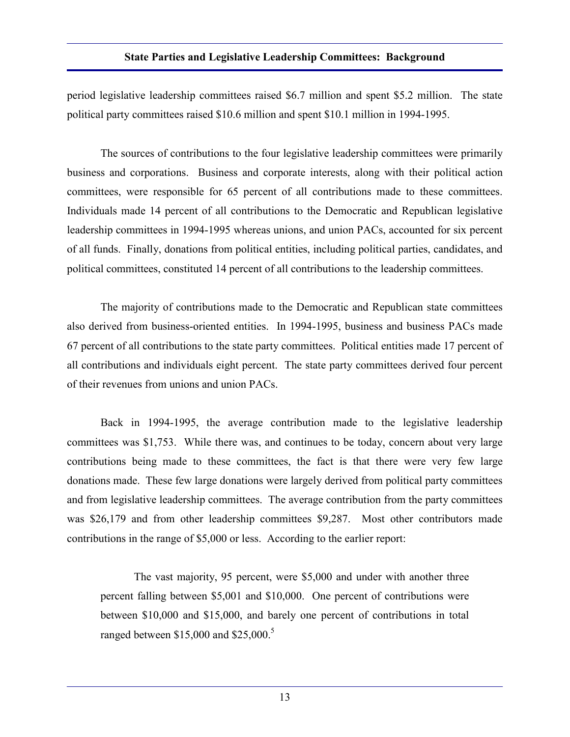period legislative leadership committees raised \$6.7 million and spent \$5.2 million. The state political party committees raised \$10.6 million and spent \$10.1 million in 1994-1995.

The sources of contributions to the four legislative leadership committees were primarily business and corporations. Business and corporate interests, along with their political action committees, were responsible for 65 percent of all contributions made to these committees. Individuals made 14 percent of all contributions to the Democratic and Republican legislative leadership committees in 1994-1995 whereas unions, and union PACs, accounted for six percent of all funds. Finally, donations from political entities, including political parties, candidates, and political committees, constituted 14 percent of all contributions to the leadership committees.

The majority of contributions made to the Democratic and Republican state committees also derived from business-oriented entities. In 1994-1995, business and business PACs made 67 percent of all contributions to the state party committees. Political entities made 17 percent of all contributions and individuals eight percent. The state party committees derived four percent of their revenues from unions and union PACs.

Back in 1994-1995, the average contribution made to the legislative leadership committees was \$1,753. While there was, and continues to be today, concern about very large contributions being made to these committees, the fact is that there were very few large donations made. These few large donations were largely derived from political party committees and from legislative leadership committees. The average contribution from the party committees was \$26,179 and from other leadership committees \$9,287. Most other contributors made contributions in the range of \$5,000 or less. According to the earlier report:

The vast majority, 95 percent, were \$5,000 and under with another three percent falling between \$5,001 and \$10,000. One percent of contributions were between \$10,000 and \$15,000, and barely one percent of contributions in total ranged between  $$15,000$  and  $$25,000$ .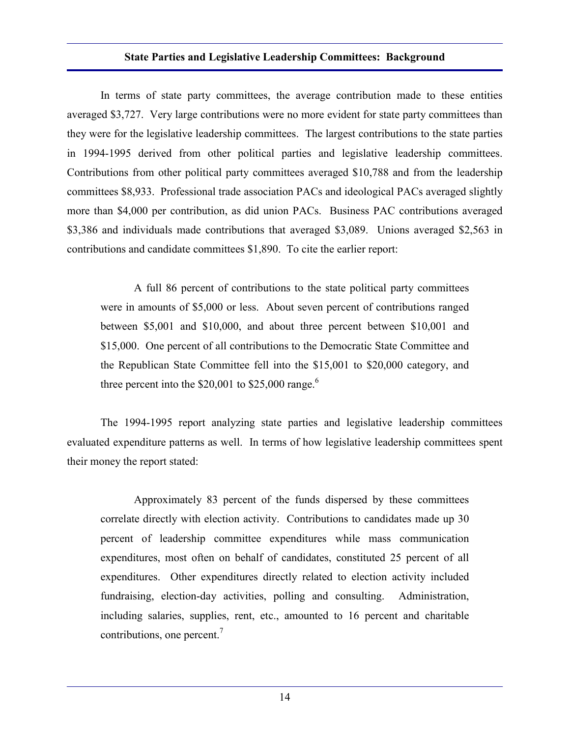In terms of state party committees, the average contribution made to these entities averaged \$3,727. Very large contributions were no more evident for state party committees than they were for the legislative leadership committees. The largest contributions to the state parties in 1994-1995 derived from other political parties and legislative leadership committees. Contributions from other political party committees averaged \$10,788 and from the leadership committees \$8,933. Professional trade association PACs and ideological PACs averaged slightly more than \$4,000 per contribution, as did union PACs. Business PAC contributions averaged \$3,386 and individuals made contributions that averaged \$3,089. Unions averaged \$2,563 in contributions and candidate committees \$1,890. To cite the earlier report:

A full 86 percent of contributions to the state political party committees were in amounts of \$5,000 or less. About seven percent of contributions ranged between \$5,001 and \$10,000, and about three percent between \$10,001 and \$15,000. One percent of all contributions to the Democratic State Committee and the Republican State Committee fell into the \$15,001 to \$20,000 category, and three percent into the  $$20,001$  to  $$25,000$  range.<sup>6</sup>

The 1994-1995 report analyzing state parties and legislative leadership committees evaluated expenditure patterns as well. In terms of how legislative leadership committees spent their money the report stated:

Approximately 83 percent of the funds dispersed by these committees correlate directly with election activity. Contributions to candidates made up 30 percent of leadership committee expenditures while mass communication expenditures, most often on behalf of candidates, constituted 25 percent of all expenditures. Other expenditures directly related to election activity included fundraising, election-day activities, polling and consulting. Administration, including salaries, supplies, rent, etc., amounted to 16 percent and charitable contributions, one percent.<sup>7</sup>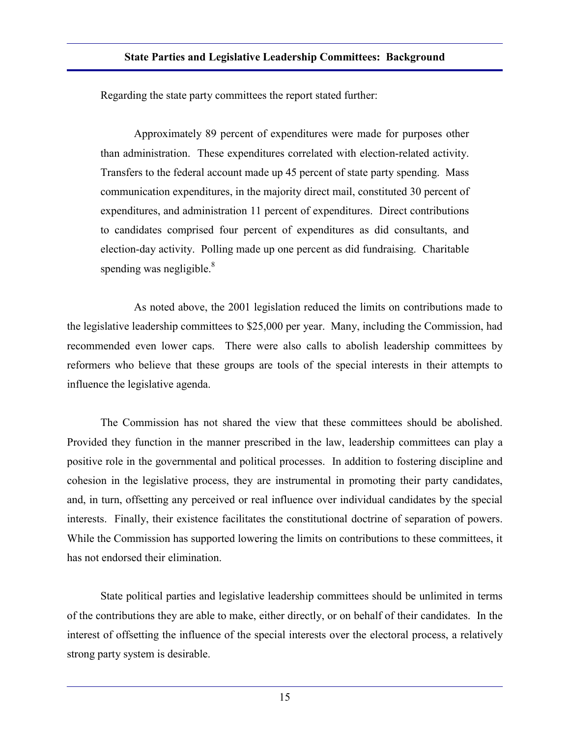Regarding the state party committees the report stated further:

Approximately 89 percent of expenditures were made for purposes other than administration. These expenditures correlated with election-related activity. Transfers to the federal account made up 45 percent of state party spending. Mass communication expenditures, in the majority direct mail, constituted 30 percent of expenditures, and administration 11 percent of expenditures. Direct contributions to candidates comprised four percent of expenditures as did consultants, and election-day activity. Polling made up one percent as did fundraising. Charitable spending was negligible. $\frac{8}{3}$ 

As noted above, the 2001 legislation reduced the limits on contributions made to the legislative leadership committees to \$25,000 per year. Many, including the Commission, had recommended even lower caps. There were also calls to abolish leadership committees by reformers who believe that these groups are tools of the special interests in their attempts to influence the legislative agenda.

The Commission has not shared the view that these committees should be abolished. Provided they function in the manner prescribed in the law, leadership committees can play a positive role in the governmental and political processes. In addition to fostering discipline and cohesion in the legislative process, they are instrumental in promoting their party candidates, and, in turn, offsetting any perceived or real influence over individual candidates by the special interests. Finally, their existence facilitates the constitutional doctrine of separation of powers. While the Commission has supported lowering the limits on contributions to these committees, it has not endorsed their elimination.

State political parties and legislative leadership committees should be unlimited in terms of the contributions they are able to make, either directly, or on behalf of their candidates. In the interest of offsetting the influence of the special interests over the electoral process, a relatively strong party system is desirable.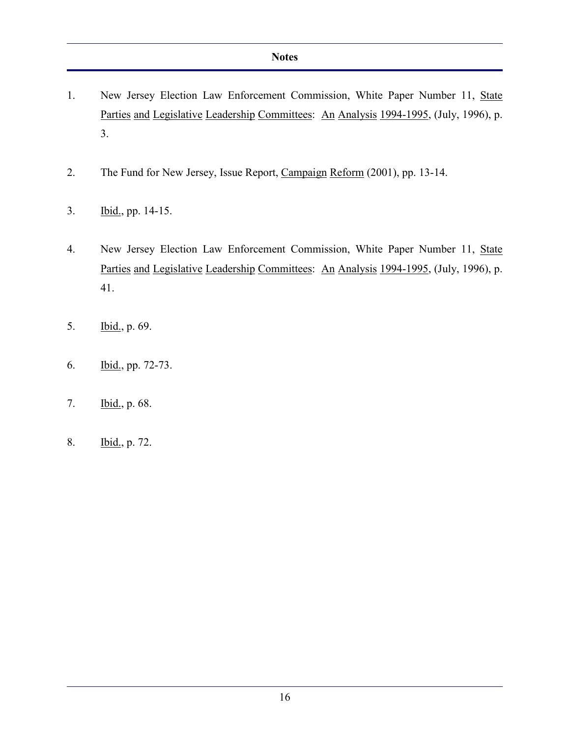- 1. New Jersey Election Law Enforcement Commission, White Paper Number 11, State Parties and Legislative Leadership Committees: An Analysis 1994-1995, (July, 1996), p. 3.
- 2. The Fund for New Jersey, Issue Report, Campaign Reform (2001), pp. 13-14.
- 3. Ibid., pp. 14-15.
- 4. New Jersey Election Law Enforcement Commission, White Paper Number 11, State Parties and Legislative Leadership Committees: An Analysis 1994-1995, (July, 1996), p. 41.
- 5. Ibid., p. 69.
- 6. Ibid., pp. 72-73.
- 7. Ibid., p. 68.
- 8. Ibid., p. 72.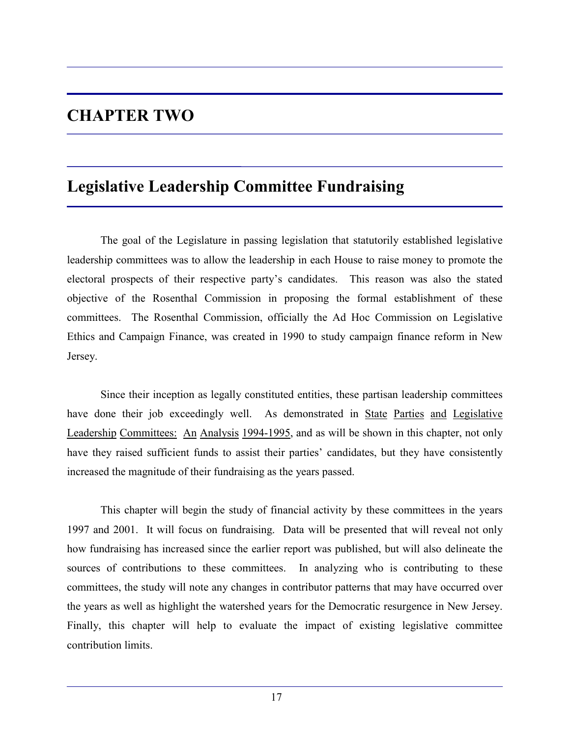## **CHAPTER TWO**

## **Legislative Leadership Committee Fundraising**

The goal of the Legislature in passing legislation that statutorily established legislative leadership committees was to allow the leadership in each House to raise money to promote the electoral prospects of their respective party's candidates. This reason was also the stated objective of the Rosenthal Commission in proposing the formal establishment of these committees. The Rosenthal Commission, officially the Ad Hoc Commission on Legislative Ethics and Campaign Finance, was created in 1990 to study campaign finance reform in New Jersey.

Since their inception as legally constituted entities, these partisan leadership committees have done their job exceedingly well. As demonstrated in State Parties and Legislative Leadership Committees: An Analysis 1994-1995, and as will be shown in this chapter, not only have they raised sufficient funds to assist their parties' candidates, but they have consistently increased the magnitude of their fundraising as the years passed.

This chapter will begin the study of financial activity by these committees in the years 1997 and 2001. It will focus on fundraising. Data will be presented that will reveal not only how fundraising has increased since the earlier report was published, but will also delineate the sources of contributions to these committees. In analyzing who is contributing to these committees, the study will note any changes in contributor patterns that may have occurred over the years as well as highlight the watershed years for the Democratic resurgence in New Jersey. Finally, this chapter will help to evaluate the impact of existing legislative committee contribution limits.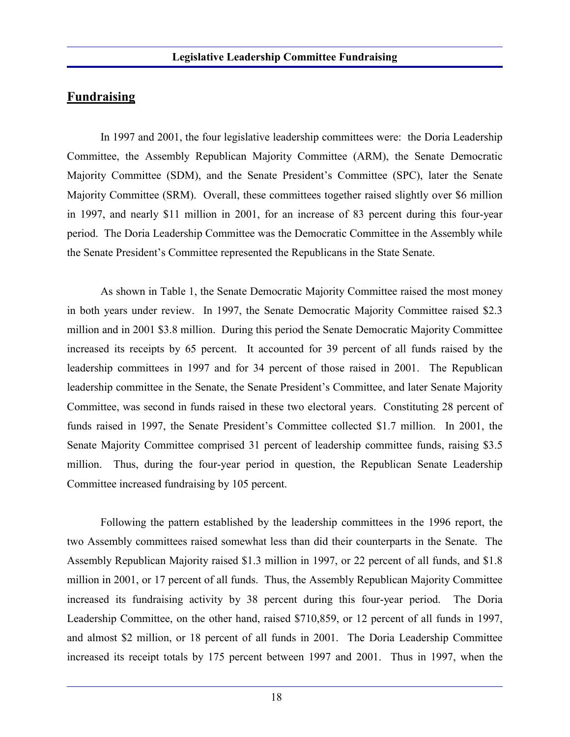### **Fundraising**

In 1997 and 2001, the four legislative leadership committees were: the Doria Leadership Committee, the Assembly Republican Majority Committee (ARM), the Senate Democratic Majority Committee (SDM), and the Senate President's Committee (SPC), later the Senate Majority Committee (SRM). Overall, these committees together raised slightly over \$6 million in 1997, and nearly \$11 million in 2001, for an increase of 83 percent during this four-year period. The Doria Leadership Committee was the Democratic Committee in the Assembly while the Senate President's Committee represented the Republicans in the State Senate.

As shown in Table 1, the Senate Democratic Majority Committee raised the most money in both years under review. In 1997, the Senate Democratic Majority Committee raised \$2.3 million and in 2001 \$3.8 million. During this period the Senate Democratic Majority Committee increased its receipts by 65 percent. It accounted for 39 percent of all funds raised by the leadership committees in 1997 and for 34 percent of those raised in 2001. The Republican leadership committee in the Senate, the Senate President's Committee, and later Senate Majority Committee, was second in funds raised in these two electoral years. Constituting 28 percent of funds raised in 1997, the Senate President's Committee collected \$1.7 million. In 2001, the Senate Majority Committee comprised 31 percent of leadership committee funds, raising \$3.5 million. Thus, during the four-year period in question, the Republican Senate Leadership Committee increased fundraising by 105 percent.

Following the pattern established by the leadership committees in the 1996 report, the two Assembly committees raised somewhat less than did their counterparts in the Senate. The Assembly Republican Majority raised \$1.3 million in 1997, or 22 percent of all funds, and \$1.8 million in 2001, or 17 percent of all funds. Thus, the Assembly Republican Majority Committee increased its fundraising activity by 38 percent during this four-year period. The Doria Leadership Committee, on the other hand, raised \$710,859, or 12 percent of all funds in 1997, and almost \$2 million, or 18 percent of all funds in 2001. The Doria Leadership Committee increased its receipt totals by 175 percent between 1997 and 2001. Thus in 1997, when the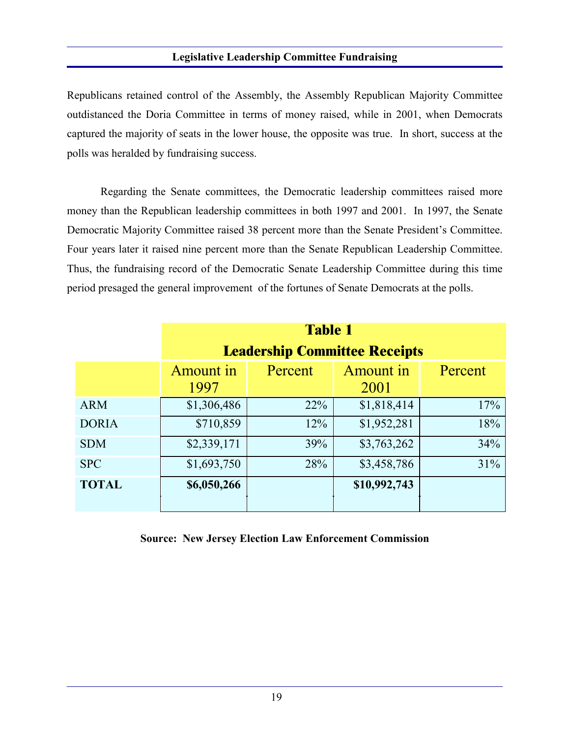#### **Legislative Leadership Committee Fundraising**

Republicans retained control of the Assembly, the Assembly Republican Majority Committee outdistanced the Doria Committee in terms of money raised, while in 2001, when Democrats captured the majority of seats in the lower house, the opposite was true. In short, success at the polls was heralded by fundraising success.

Regarding the Senate committees, the Democratic leadership committees raised more money than the Republican leadership committees in both 1997 and 2001. In 1997, the Senate Democratic Majority Committee raised 38 percent more than the Senate President's Committee. Four years later it raised nine percent more than the Senate Republican Leadership Committee. Thus, the fundraising record of the Democratic Senate Leadership Committee during this time period presaged the general improvement of the fortunes of Senate Democrats at the polls.

|              | <b>Table 1</b><br><b>Leadership Committee Receipts</b> |         |                   |         |  |  |
|--------------|--------------------------------------------------------|---------|-------------------|---------|--|--|
|              | Amount in<br>1997                                      | Percent | Amount in<br>2001 | Percent |  |  |
| <b>ARM</b>   | \$1,306,486                                            | 22%     | \$1,818,414       | 17%     |  |  |
| <b>DORIA</b> | \$710,859                                              | 12%     | \$1,952,281       | 18%     |  |  |
| <b>SDM</b>   | \$2,339,171                                            | 39%     | \$3,763,262       | 34%     |  |  |
| <b>SPC</b>   | \$1,693,750                                            | 28%     | \$3,458,786       | 31%     |  |  |
| <b>TOTAL</b> | \$6,050,266                                            |         | \$10,992,743      |         |  |  |

**Source: New Jersey Election Law Enforcement Commission**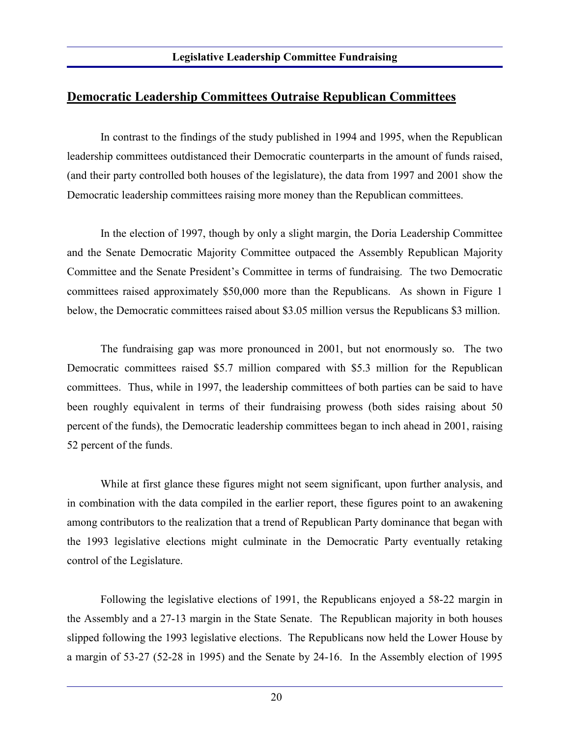### **Democratic Leadership Committees Outraise Republican Committees**

In contrast to the findings of the study published in 1994 and 1995, when the Republican leadership committees outdistanced their Democratic counterparts in the amount of funds raised, (and their party controlled both houses of the legislature), the data from 1997 and 2001 show the Democratic leadership committees raising more money than the Republican committees.

In the election of 1997, though by only a slight margin, the Doria Leadership Committee and the Senate Democratic Majority Committee outpaced the Assembly Republican Majority Committee and the Senate President's Committee in terms of fundraising. The two Democratic committees raised approximately \$50,000 more than the Republicans. As shown in Figure 1 below, the Democratic committees raised about \$3.05 million versus the Republicans \$3 million.

The fundraising gap was more pronounced in 2001, but not enormously so. The two Democratic committees raised \$5.7 million compared with \$5.3 million for the Republican committees. Thus, while in 1997, the leadership committees of both parties can be said to have been roughly equivalent in terms of their fundraising prowess (both sides raising about 50 percent of the funds), the Democratic leadership committees began to inch ahead in 2001, raising 52 percent of the funds.

While at first glance these figures might not seem significant, upon further analysis, and in combination with the data compiled in the earlier report, these figures point to an awakening among contributors to the realization that a trend of Republican Party dominance that began with the 1993 legislative elections might culminate in the Democratic Party eventually retaking control of the Legislature.

Following the legislative elections of 1991, the Republicans enjoyed a 58-22 margin in the Assembly and a 27-13 margin in the State Senate. The Republican majority in both houses slipped following the 1993 legislative elections. The Republicans now held the Lower House by a margin of 53-27 (52-28 in 1995) and the Senate by 24-16. In the Assembly election of 1995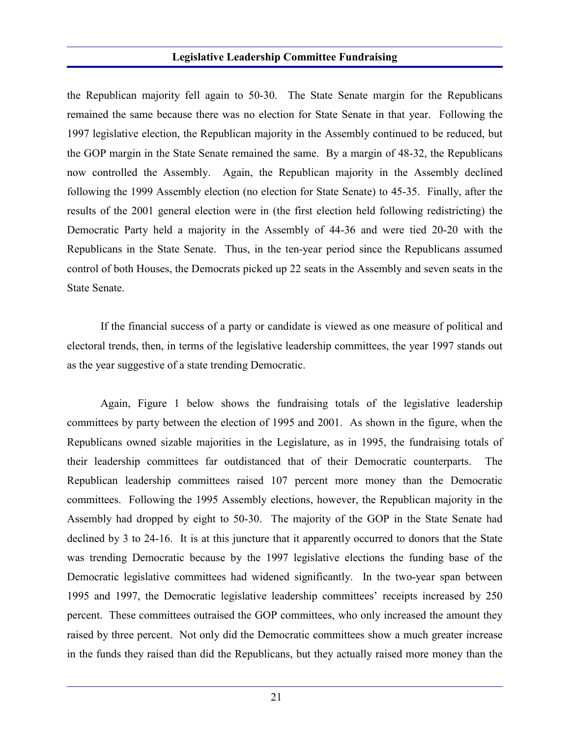#### **Legislative Leadership Committee Fundraising**

the Republican majority fell again to 50-30. The State Senate margin for the Republicans remained the same because there was no election for State Senate in that year. Following the 1997 legislative election, the Republican majority in the Assembly continued to be reduced, but the GOP margin in the State Senate remained the same. By a margin of 48-32, the Republicans now controlled the Assembly. Again, the Republican majority in the Assembly declined following the 1999 Assembly election (no election for State Senate) to 45-35. Finally, after the results of the 2001 general election were in (the first election held following redistricting) the Democratic Party held a majority in the Assembly of 44-36 and were tied 20-20 with the Republicans in the State Senate. Thus, in the ten-year period since the Republicans assumed control of both Houses, the Democrats picked up 22 seats in the Assembly and seven seats in the State Senate.

If the financial success of a party or candidate is viewed as one measure of political and electoral trends, then, in terms of the legislative leadership committees, the year 1997 stands out as the year suggestive of a state trending Democratic.

Again, Figure 1 below shows the fundraising totals of the legislative leadership committees by party between the election of 1995 and 2001. As shown in the figure, when the Republicans owned sizable majorities in the Legislature, as in 1995, the fundraising totals of their leadership committees far outdistanced that of their Democratic counterparts. The Republican leadership committees raised 107 percent more money than the Democratic committees. Following the 1995 Assembly elections, however, the Republican majority in the Assembly had dropped by eight to 50-30. The majority of the GOP in the State Senate had declined by 3 to 24-16. It is at this juncture that it apparently occurred to donors that the State was trending Democratic because by the 1997 legislative elections the funding base of the Democratic legislative committees had widened significantly. In the two-year span between 1995 and 1997, the Democratic legislative leadership committees' receipts increased by 250 percent. These committees outraised the GOP committees, who only increased the amount they raised by three percent. Not only did the Democratic committees show a much greater increase in the funds they raised than did the Republicans, but they actually raised more money than the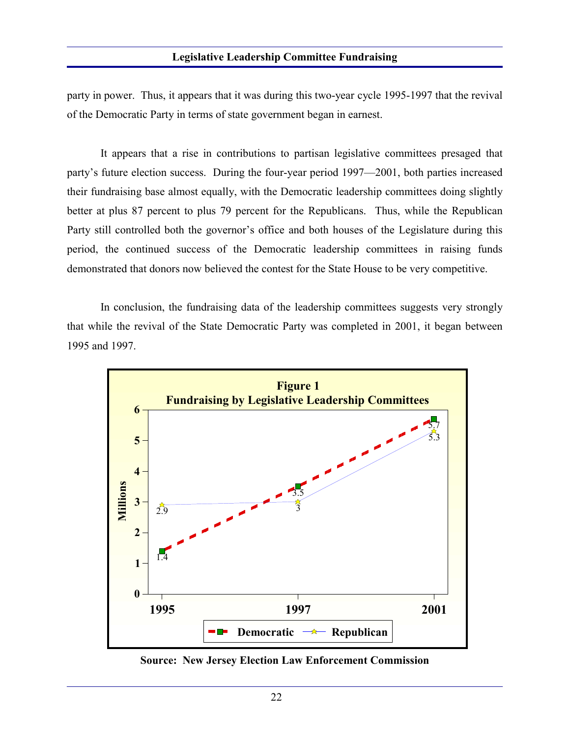#### **Legislative Leadership Committee Fundraising**

party in power. Thus, it appears that it was during this two-year cycle 1995-1997 that the revival of the Democratic Party in terms of state government began in earnest.

It appears that a rise in contributions to partisan legislative committees presaged that party's future election success. During the four-year period 1997—2001, both parties increased their fundraising base almost equally, with the Democratic leadership committees doing slightly better at plus 87 percent to plus 79 percent for the Republicans. Thus, while the Republican Party still controlled both the governor's office and both houses of the Legislature during this period, the continued success of the Democratic leadership committees in raising funds demonstrated that donors now believed the contest for the State House to be very competitive.

In conclusion, the fundraising data of the leadership committees suggests very strongly that while the revival of the State Democratic Party was completed in 2001, it began between 1995 and 1997.



**Source: New Jersey Election Law Enforcement Commission**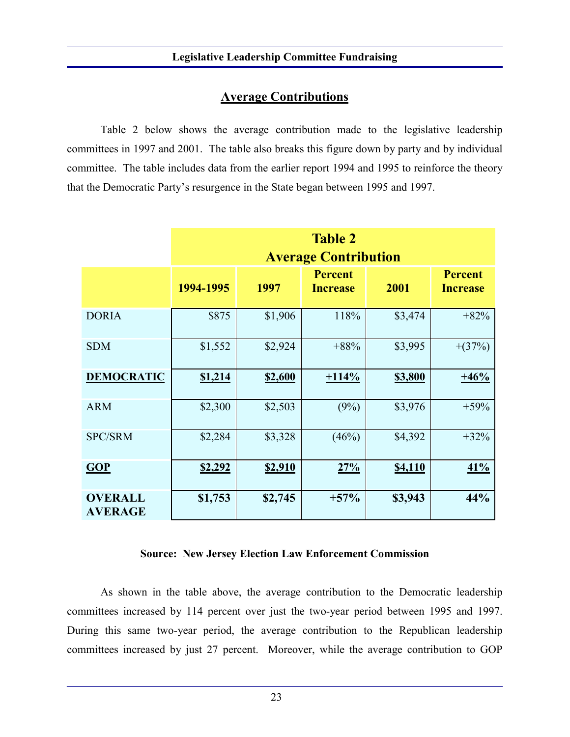### **Average Contributions**

Table 2 below shows the average contribution made to the legislative leadership committees in 1997 and 2001. The table also breaks this figure down by party and by individual committee. The table includes data from the earlier report 1994 and 1995 to reinforce the theory that the Democratic Party's resurgence in the State began between 1995 and 1997.

|                                  | <b>Table 2</b><br><b>Average Contribution</b> |         |                                   |                |                                   |  |  |
|----------------------------------|-----------------------------------------------|---------|-----------------------------------|----------------|-----------------------------------|--|--|
|                                  | 1994-1995                                     | 1997    | <b>Percent</b><br><b>Increase</b> | 2001           | <b>Percent</b><br><b>Increase</b> |  |  |
| <b>DORIA</b>                     | \$875                                         | \$1,906 | 118%                              | \$3,474        | $+82%$                            |  |  |
| <b>SDM</b>                       | \$1,552                                       | \$2,924 | $+88%$                            | \$3,995        | $+(37%)$                          |  |  |
| <b>DEMOCRATIC</b>                | \$1,214                                       | \$2,600 | $+114%$                           | <b>\$3,800</b> | $+46%$                            |  |  |
| <b>ARM</b>                       | \$2,300                                       | \$2,503 | (9%)                              | \$3,976        | $+59%$                            |  |  |
| <b>SPC/SRM</b>                   | \$2,284                                       | \$3,328 | (46%)                             | \$4,392        | $+32%$                            |  |  |
| GOP                              | <u>\$2,292</u>                                | \$2,910 | 27%                               | <b>\$4,110</b> | 41%                               |  |  |
| <b>OVERALL</b><br><b>AVERAGE</b> | \$1,753                                       | \$2,745 | $+57%$                            | \$3,943        | 44%                               |  |  |

#### **Source: New Jersey Election Law Enforcement Commission**

As shown in the table above, the average contribution to the Democratic leadership committees increased by 114 percent over just the two-year period between 1995 and 1997. During this same two-year period, the average contribution to the Republican leadership committees increased by just 27 percent. Moreover, while the average contribution to GOP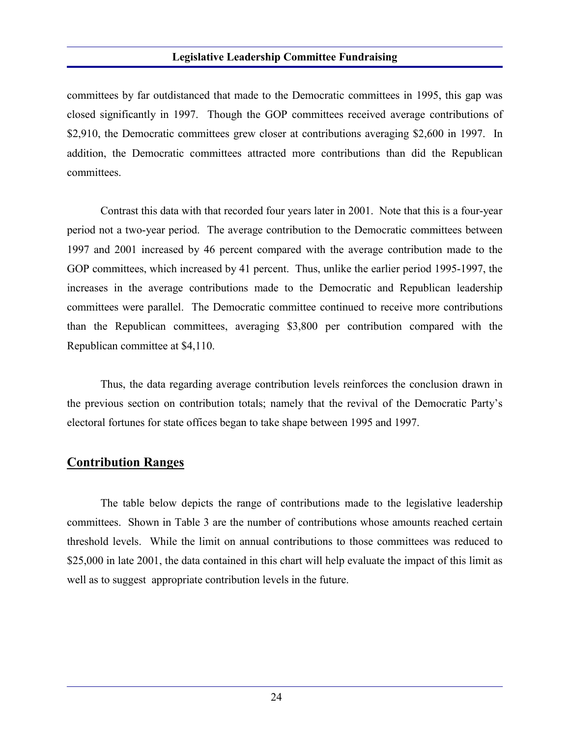#### **Legislative Leadership Committee Fundraising**

committees by far outdistanced that made to the Democratic committees in 1995, this gap was closed significantly in 1997. Though the GOP committees received average contributions of \$2,910, the Democratic committees grew closer at contributions averaging \$2,600 in 1997. In addition, the Democratic committees attracted more contributions than did the Republican committees.

Contrast this data with that recorded four years later in 2001. Note that this is a four-year period not a two-year period. The average contribution to the Democratic committees between 1997 and 2001 increased by 46 percent compared with the average contribution made to the GOP committees, which increased by 41 percent. Thus, unlike the earlier period 1995-1997, the increases in the average contributions made to the Democratic and Republican leadership committees were parallel. The Democratic committee continued to receive more contributions than the Republican committees, averaging \$3,800 per contribution compared with the Republican committee at \$4,110.

Thus, the data regarding average contribution levels reinforces the conclusion drawn in the previous section on contribution totals; namely that the revival of the Democratic Party's electoral fortunes for state offices began to take shape between 1995 and 1997.

### **Contribution Ranges**

The table below depicts the range of contributions made to the legislative leadership committees. Shown in Table 3 are the number of contributions whose amounts reached certain threshold levels. While the limit on annual contributions to those committees was reduced to \$25,000 in late 2001, the data contained in this chart will help evaluate the impact of this limit as well as to suggest appropriate contribution levels in the future.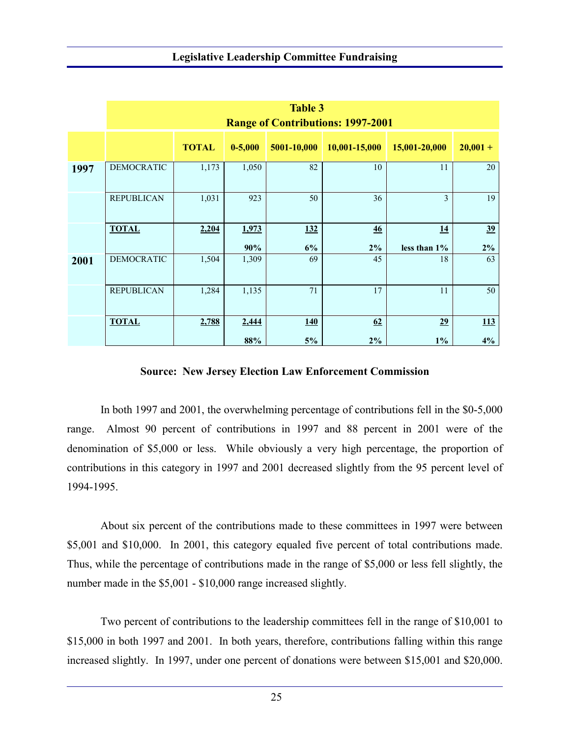|      | <b>Table 3</b><br><b>Range of Contributions: 1997-2001</b> |              |              |             |               |                    |             |
|------|------------------------------------------------------------|--------------|--------------|-------------|---------------|--------------------|-------------|
|      |                                                            | <b>TOTAL</b> | $0 - 5,000$  | 5001-10,000 | 10,001-15,000 | 15,001-20,000      | $20,001 +$  |
| 1997 | <b>DEMOCRATIC</b>                                          | 1,173        | 1,050        | 82          | 10            | 11                 | 20          |
|      | <b>REPUBLICAN</b>                                          | 1,031        | 923          | 50          | 36            | 3                  | 19          |
|      | <b>TOTAL</b>                                               | 2,204        | 1,973<br>90% | 132<br>6%   | 46<br>$2\%$   | 14<br>less than 1% | 39<br>$2\%$ |
| 2001 | <b>DEMOCRATIC</b>                                          | 1,504        | 1,309        | 69          | 45            | 18                 | 63          |
|      | <b>REPUBLICAN</b>                                          | 1,284        | 1,135        | 71          | 17            | 11                 | 50          |
|      | <b>TOTAL</b>                                               | 2,788        | 2,444<br>88% | 140<br>5%   | 62<br>$2\%$   | 29<br>$1\%$        | 113<br>4%   |

#### **Source: New Jersey Election Law Enforcement Commission**

In both 1997 and 2001, the overwhelming percentage of contributions fell in the \$0-5,000 range. Almost 90 percent of contributions in 1997 and 88 percent in 2001 were of the denomination of \$5,000 or less. While obviously a very high percentage, the proportion of contributions in this category in 1997 and 2001 decreased slightly from the 95 percent level of 1994-1995.

About six percent of the contributions made to these committees in 1997 were between \$5,001 and \$10,000. In 2001, this category equaled five percent of total contributions made. Thus, while the percentage of contributions made in the range of \$5,000 or less fell slightly, the number made in the \$5,001 - \$10,000 range increased slightly.

Two percent of contributions to the leadership committees fell in the range of \$10,001 to \$15,000 in both 1997 and 2001. In both years, therefore, contributions falling within this range increased slightly. In 1997, under one percent of donations were between \$15,001 and \$20,000.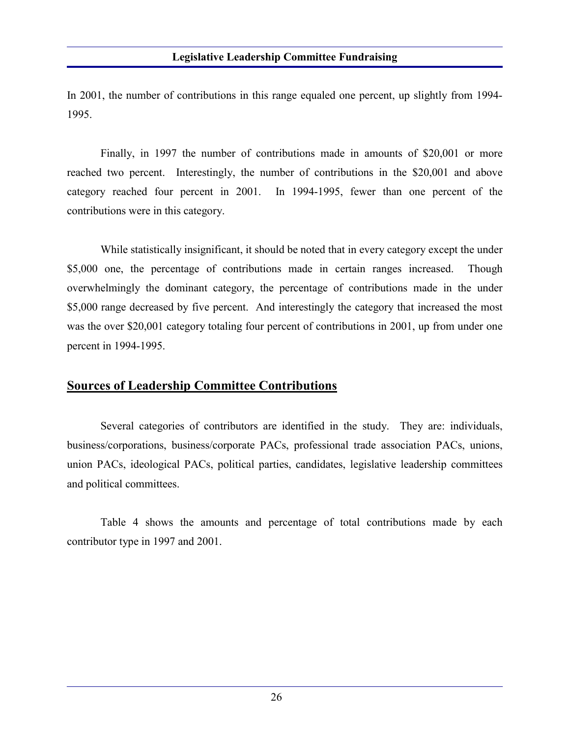In 2001, the number of contributions in this range equaled one percent, up slightly from 1994- 1995.

Finally, in 1997 the number of contributions made in amounts of \$20,001 or more reached two percent. Interestingly, the number of contributions in the \$20,001 and above category reached four percent in 2001. In 1994-1995, fewer than one percent of the contributions were in this category.

While statistically insignificant, it should be noted that in every category except the under \$5,000 one, the percentage of contributions made in certain ranges increased. Though overwhelmingly the dominant category, the percentage of contributions made in the under \$5,000 range decreased by five percent. And interestingly the category that increased the most was the over \$20,001 category totaling four percent of contributions in 2001, up from under one percent in 1994-1995.

### **Sources of Leadership Committee Contributions**

Several categories of contributors are identified in the study. They are: individuals, business/corporations, business/corporate PACs, professional trade association PACs, unions, union PACs, ideological PACs, political parties, candidates, legislative leadership committees and political committees.

Table 4 shows the amounts and percentage of total contributions made by each contributor type in 1997 and 2001.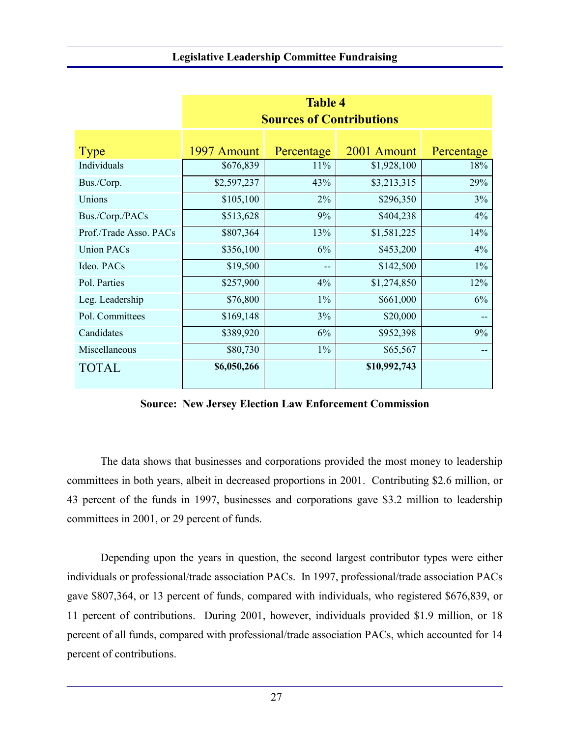|                        | <b>Table 4</b>                  |            |              |            |  |  |  |
|------------------------|---------------------------------|------------|--------------|------------|--|--|--|
|                        | <b>Sources of Contributions</b> |            |              |            |  |  |  |
|                        |                                 |            |              |            |  |  |  |
| <b>Type</b>            | 1997 Amount                     | Percentage | 2001 Amount  | Percentage |  |  |  |
| Individuals            | \$676,839                       | 11%        | \$1,928,100  | 18%        |  |  |  |
| Bus./Corp.             | \$2,597,237                     | 43%        | \$3,213,315  | 29%        |  |  |  |
| Unions                 | \$105,100                       | 2%         | \$296,350    | 3%         |  |  |  |
| Bus./Corp./PACs        | \$513,628                       | 9%         | \$404,238    | 4%         |  |  |  |
| Prof./Trade Asso. PACs | \$807,364                       | 13%        | \$1,581,225  | 14%        |  |  |  |
| <b>Union PACs</b>      | \$356,100                       | 6%         | \$453,200    | 4%         |  |  |  |
| Ideo. PACs             | \$19,500                        | --         | \$142,500    | $1\%$      |  |  |  |
| Pol. Parties           | \$257,900                       | 4%         | \$1,274,850  | 12%        |  |  |  |
| Leg. Leadership        | \$76,800                        | $1\%$      | \$661,000    | 6%         |  |  |  |
| Pol. Committees        | \$169,148                       | 3%         | \$20,000     |            |  |  |  |
| Candidates             | \$389,920                       | 6%         | \$952,398    | 9%         |  |  |  |
| Miscellaneous          | \$80,730                        | $1\%$      | \$65,567     |            |  |  |  |
| <b>TOTAL</b>           | \$6,050,266                     |            | \$10,992,743 |            |  |  |  |

**Source: New Jersey Election Law Enforcement Commission**

The data shows that businesses and corporations provided the most money to leadership committees in both years, albeit in decreased proportions in 2001. Contributing \$2.6 million, or 43 percent of the funds in 1997, businesses and corporations gave \$3.2 million to leadership committees in 2001, or 29 percent of funds.

Depending upon the years in question, the second largest contributor types were either individuals or professional/trade association PACs. In 1997, professional/trade association PACs gave \$807,364, or 13 percent of funds, compared with individuals, who registered \$676,839, or 11 percent of contributions. During 2001, however, individuals provided \$1.9 million, or 18 percent of all funds, compared with professional/trade association PACs, which accounted for 14 percent of contributions.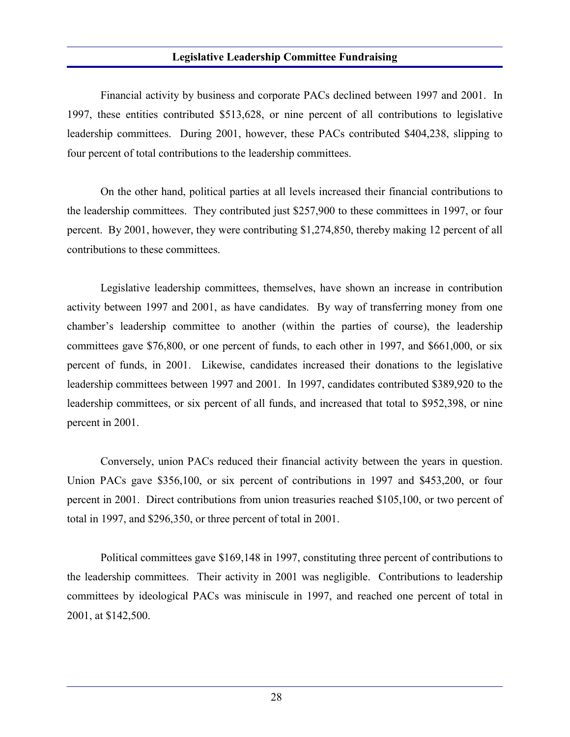#### **Legislative Leadership Committee Fundraising**

Financial activity by business and corporate PACs declined between 1997 and 2001. In 1997, these entities contributed \$513,628, or nine percent of all contributions to legislative leadership committees. During 2001, however, these PACs contributed \$404,238, slipping to four percent of total contributions to the leadership committees.

On the other hand, political parties at all levels increased their financial contributions to the leadership committees. They contributed just \$257,900 to these committees in 1997, or four percent. By 2001, however, they were contributing \$1,274,850, thereby making 12 percent of all contributions to these committees.

Legislative leadership committees, themselves, have shown an increase in contribution activity between 1997 and 2001, as have candidates. By way of transferring money from one chamber's leadership committee to another (within the parties of course), the leadership committees gave \$76,800, or one percent of funds, to each other in 1997, and \$661,000, or six percent of funds, in 2001. Likewise, candidates increased their donations to the legislative leadership committees between 1997 and 2001. In 1997, candidates contributed \$389,920 to the leadership committees, or six percent of all funds, and increased that total to \$952,398, or nine percent in 2001.

Conversely, union PACs reduced their financial activity between the years in question. Union PACs gave \$356,100, or six percent of contributions in 1997 and \$453,200, or four percent in 2001. Direct contributions from union treasuries reached \$105,100, or two percent of total in 1997, and \$296,350, or three percent of total in 2001.

Political committees gave \$169,148 in 1997, constituting three percent of contributions to the leadership committees. Their activity in 2001 was negligible. Contributions to leadership committees by ideological PACs was miniscule in 1997, and reached one percent of total in 2001, at \$142,500.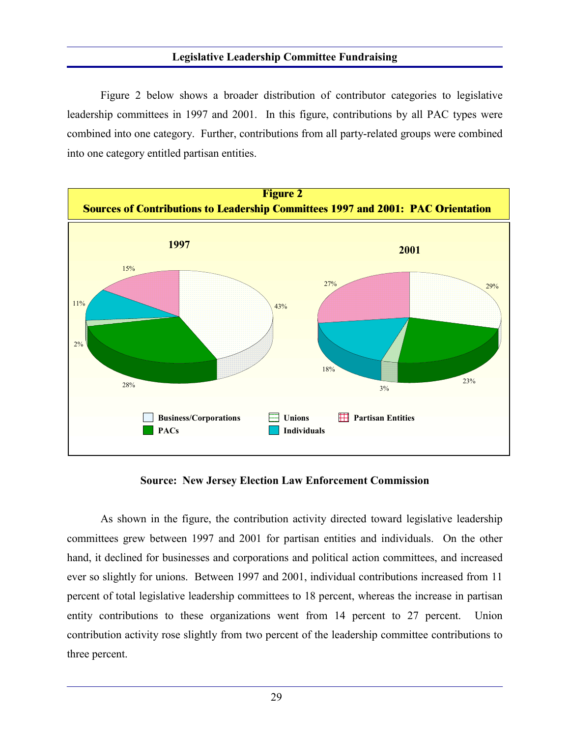Figure 2 below shows a broader distribution of contributor categories to legislative leadership committees in 1997 and 2001. In this figure, contributions by all PAC types were combined into one category. Further, contributions from all party-related groups were combined into one category entitled partisan entities.



**Source: New Jersey Election Law Enforcement Commission**

As shown in the figure, the contribution activity directed toward legislative leadership committees grew between 1997 and 2001 for partisan entities and individuals. On the other hand, it declined for businesses and corporations and political action committees, and increased ever so slightly for unions. Between 1997 and 2001, individual contributions increased from 11 percent of total legislative leadership committees to 18 percent, whereas the increase in partisan entity contributions to these organizations went from 14 percent to 27 percent. Union contribution activity rose slightly from two percent of the leadership committee contributions to three percent.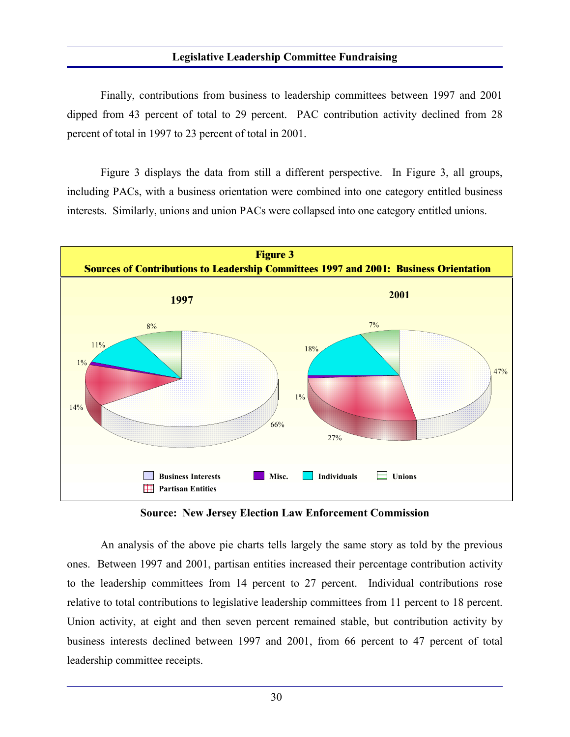Finally, contributions from business to leadership committees between 1997 and 2001 dipped from 43 percent of total to 29 percent. PAC contribution activity declined from 28 percent of total in 1997 to 23 percent of total in 2001.

Figure 3 displays the data from still a different perspective. In Figure 3, all groups, including PACs, with a business orientation were combined into one category entitled business interests. Similarly, unions and union PACs were collapsed into one category entitled unions.



**Source: New Jersey Election Law Enforcement Commission**

An analysis of the above pie charts tells largely the same story as told by the previous ones. Between 1997 and 2001, partisan entities increased their percentage contribution activity to the leadership committees from 14 percent to 27 percent. Individual contributions rose relative to total contributions to legislative leadership committees from 11 percent to 18 percent. Union activity, at eight and then seven percent remained stable, but contribution activity by business interests declined between 1997 and 2001, from 66 percent to 47 percent of total leadership committee receipts.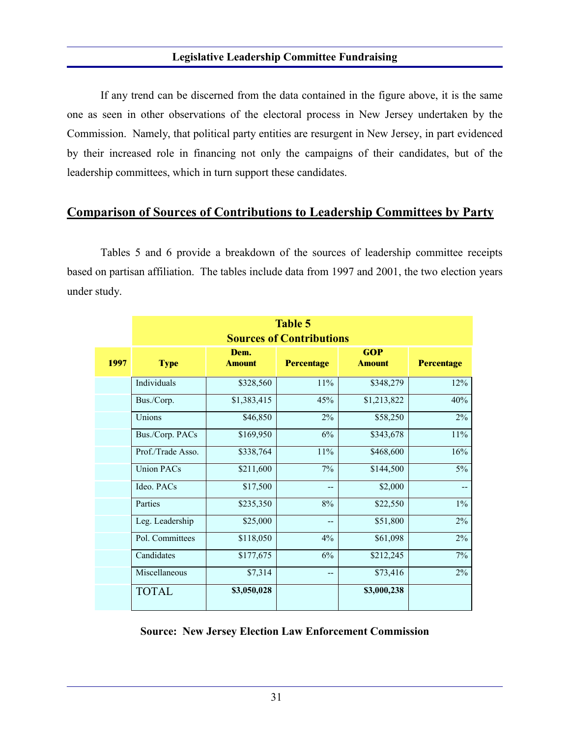If any trend can be discerned from the data contained in the figure above, it is the same one as seen in other observations of the electoral process in New Jersey undertaken by the Commission. Namely, that political party entities are resurgent in New Jersey, in part evidenced by their increased role in financing not only the campaigns of their candidates, but of the leadership committees, which in turn support these candidates.

## **Comparison of Sources of Contributions to Leadership Committees by Party**

Tables 5 and 6 provide a breakdown of the sources of leadership committee receipts based on partisan affiliation. The tables include data from 1997 and 2001, the two election years under study.

|      | <b>Table 5</b>                  |                       |                   |                             |                   |  |  |  |  |
|------|---------------------------------|-----------------------|-------------------|-----------------------------|-------------------|--|--|--|--|
|      | <b>Sources of Contributions</b> |                       |                   |                             |                   |  |  |  |  |
| 1997 | <b>Type</b>                     | Dem.<br><b>Amount</b> | <b>Percentage</b> | <b>GOP</b><br><b>Amount</b> | <b>Percentage</b> |  |  |  |  |
|      | Individuals                     | \$328,560             | 11%               | \$348,279                   | 12%               |  |  |  |  |
|      | Bus./Corp.                      | \$1,383,415           | 45%               | \$1,213,822                 | 40%               |  |  |  |  |
|      | Unions                          | \$46,850              | $2\%$             | \$58,250                    | 2%                |  |  |  |  |
|      | Bus./Corp. PACs                 | \$169,950             | 6%                | \$343,678                   | $11\%$            |  |  |  |  |
|      | Prof./Trade Asso.               | \$338,764             | 11%               | \$468,600                   | 16%               |  |  |  |  |
|      | <b>Union PACs</b>               | \$211,600             | 7%                | \$144,500                   | $5\%$             |  |  |  |  |
|      | Ideo. PACs                      | \$17,500              | --                | \$2,000                     |                   |  |  |  |  |
|      | Parties                         | \$235,350             | $8\%$             | \$22,550                    | $1\%$             |  |  |  |  |
|      | Leg. Leadership                 | \$25,000              | $\qquad \qquad -$ | \$51,800                    | $2\%$             |  |  |  |  |
|      | Pol. Committees                 | \$118,050             | 4%                | \$61,098                    | $2\%$             |  |  |  |  |
|      | Candidates                      | \$177,675             | 6%                | \$212,245                   | $7\%$             |  |  |  |  |
|      | Miscellaneous                   | \$7,314               | --                | \$73,416                    | $2\%$             |  |  |  |  |
|      | <b>TOTAL</b>                    | \$3,050,028           |                   | \$3,000,238                 |                   |  |  |  |  |

**Source: New Jersey Election Law Enforcement Commission**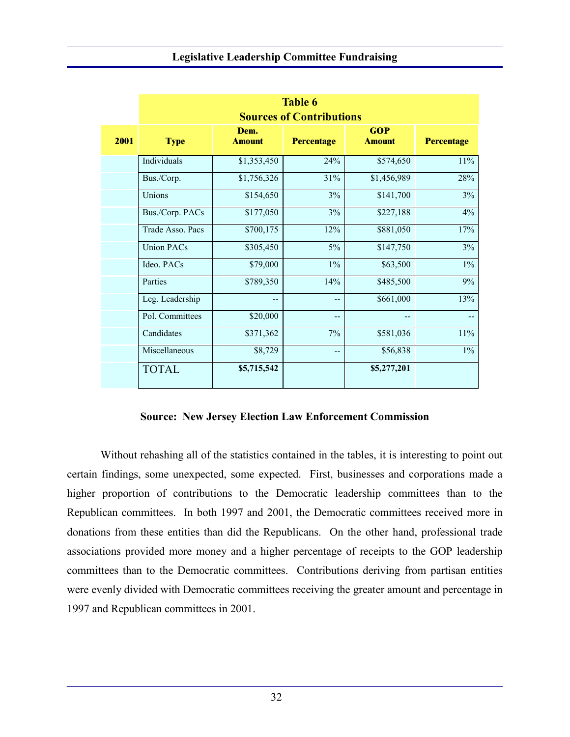|      | <b>Table 6</b><br><b>Sources of Contributions</b> |                       |                   |                             |                   |  |  |  |
|------|---------------------------------------------------|-----------------------|-------------------|-----------------------------|-------------------|--|--|--|
| 2001 | <b>Type</b>                                       | Dem.<br><b>Amount</b> | <b>Percentage</b> | <b>GOP</b><br><b>Amount</b> | <b>Percentage</b> |  |  |  |
|      | Individuals                                       | \$1,353,450           | 24%               | \$574,650                   | $11\%$            |  |  |  |
|      | Bus./Corp.                                        | \$1,756,326           | 31%               | \$1,456,989                 | 28%               |  |  |  |
|      | Unions                                            | \$154,650             | 3%                | \$141,700                   | 3%                |  |  |  |
|      | Bus./Corp. PACs                                   | \$177,050             | 3%                | \$227,188                   | 4%                |  |  |  |
|      | Trade Asso. Pacs                                  | \$700,175             | 12%               | \$881,050                   | 17%               |  |  |  |
|      | <b>Union PACs</b>                                 | \$305,450             | 5%                | \$147,750                   | 3%                |  |  |  |
|      | Ideo. PACs                                        | \$79,000              | $1\%$             | \$63,500                    | $1\%$             |  |  |  |
|      | Parties                                           | \$789,350             | 14%               | \$485,500                   | 9%                |  |  |  |
|      | Leg. Leadership                                   | --                    | --                | \$661,000                   | 13%               |  |  |  |
|      | Pol. Committees                                   | \$20,000              | --                | --                          |                   |  |  |  |
|      | Candidates                                        | \$371,362             | 7%                | \$581,036                   | $11\%$            |  |  |  |
|      | Miscellaneous                                     | \$8,729               | --                | \$56,838                    | $1\%$             |  |  |  |
|      | <b>TOTAL</b>                                      | \$5,715,542           |                   | \$5,277,201                 |                   |  |  |  |

#### **Source: New Jersey Election Law Enforcement Commission**

Without rehashing all of the statistics contained in the tables, it is interesting to point out certain findings, some unexpected, some expected. First, businesses and corporations made a higher proportion of contributions to the Democratic leadership committees than to the Republican committees. In both 1997 and 2001, the Democratic committees received more in donations from these entities than did the Republicans. On the other hand, professional trade associations provided more money and a higher percentage of receipts to the GOP leadership committees than to the Democratic committees. Contributions deriving from partisan entities were evenly divided with Democratic committees receiving the greater amount and percentage in 1997 and Republican committees in 2001.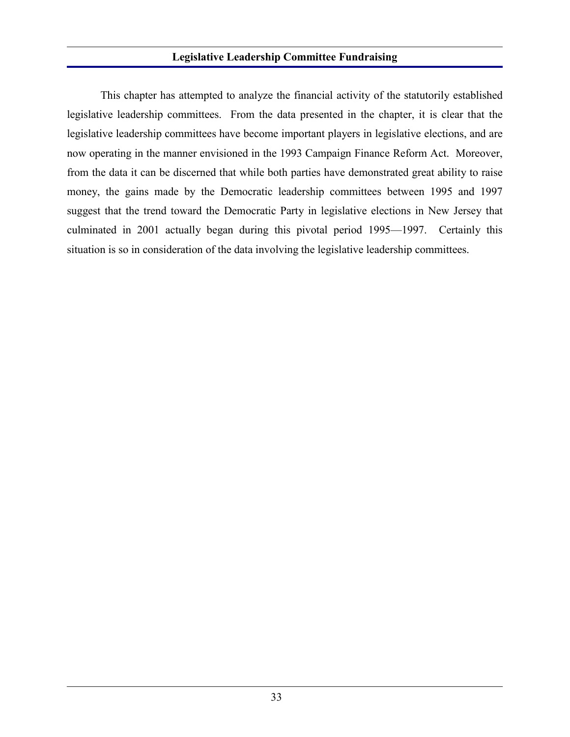This chapter has attempted to analyze the financial activity of the statutorily established legislative leadership committees. From the data presented in the chapter, it is clear that the legislative leadership committees have become important players in legislative elections, and are now operating in the manner envisioned in the 1993 Campaign Finance Reform Act. Moreover, from the data it can be discerned that while both parties have demonstrated great ability to raise money, the gains made by the Democratic leadership committees between 1995 and 1997 suggest that the trend toward the Democratic Party in legislative elections in New Jersey that culminated in 2001 actually began during this pivotal period 1995—1997. Certainly this situation is so in consideration of the data involving the legislative leadership committees.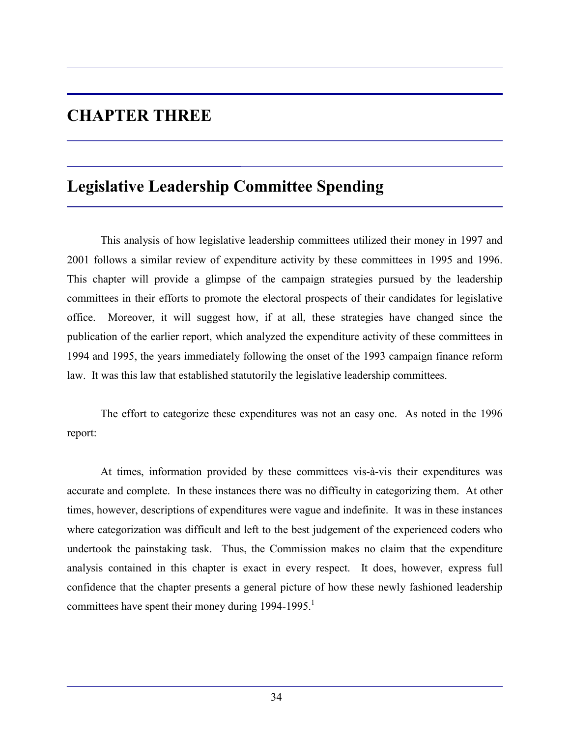# **CHAPTER THREE**

# **Legislative Leadership Committee Spending**

This analysis of how legislative leadership committees utilized their money in 1997 and 2001 follows a similar review of expenditure activity by these committees in 1995 and 1996. This chapter will provide a glimpse of the campaign strategies pursued by the leadership committees in their efforts to promote the electoral prospects of their candidates for legislative office. Moreover, it will suggest how, if at all, these strategies have changed since the publication of the earlier report, which analyzed the expenditure activity of these committees in 1994 and 1995, the years immediately following the onset of the 1993 campaign finance reform law. It was this law that established statutorily the legislative leadership committees.

The effort to categorize these expenditures was not an easy one. As noted in the 1996 report:

At times, information provided by these committees vis-à-vis their expenditures was accurate and complete. In these instances there was no difficulty in categorizing them. At other times, however, descriptions of expenditures were vague and indefinite. It was in these instances where categorization was difficult and left to the best judgement of the experienced coders who undertook the painstaking task. Thus, the Commission makes no claim that the expenditure analysis contained in this chapter is exact in every respect. It does, however, express full confidence that the chapter presents a general picture of how these newly fashioned leadership committees have spent their money during  $1994-1995$ <sup>1</sup>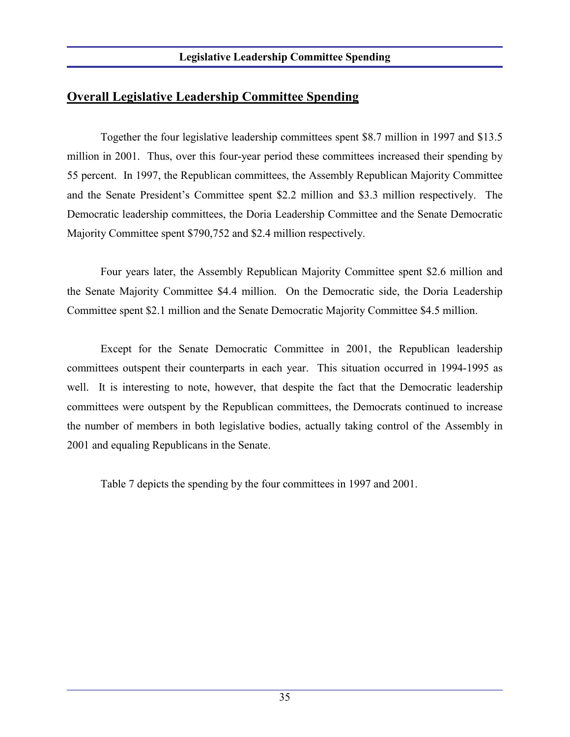Together the four legislative leadership committees spent \$8.7 million in 1997 and \$13.5 million in 2001. Thus, over this four-year period these committees increased their spending by 55 percent. In 1997, the Republican committees, the Assembly Republican Majority Committee and the Senate President's Committee spent \$2.2 million and \$3.3 million respectively. The Democratic leadership committees, the Doria Leadership Committee and the Senate Democratic Majority Committee spent \$790,752 and \$2.4 million respectively.

Four years later, the Assembly Republican Majority Committee spent \$2.6 million and the Senate Majority Committee \$4.4 million. On the Democratic side, the Doria Leadership Committee spent \$2.1 million and the Senate Democratic Majority Committee \$4.5 million.

Except for the Senate Democratic Committee in 2001, the Republican leadership committees outspent their counterparts in each year. This situation occurred in 1994-1995 as well. It is interesting to note, however, that despite the fact that the Democratic leadership committees were outspent by the Republican committees, the Democrats continued to increase the number of members in both legislative bodies, actually taking control of the Assembly in 2001 and equaling Republicans in the Senate.

Table 7 depicts the spending by the four committees in 1997 and 2001.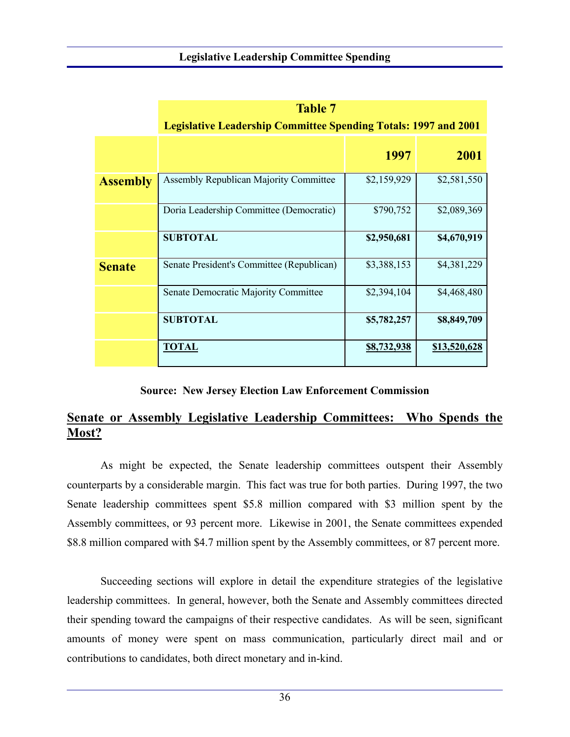|                 | <b>Table 7</b><br><b>Legislative Leadership Committee Spending Totals: 1997 and 2001</b> |             |              |  |  |  |  |
|-----------------|------------------------------------------------------------------------------------------|-------------|--------------|--|--|--|--|
|                 |                                                                                          | 1997        | 2001         |  |  |  |  |
| <b>Assembly</b> | <b>Assembly Republican Majority Committee</b>                                            | \$2,159,929 | \$2,581,550  |  |  |  |  |
|                 | Doria Leadership Committee (Democratic)                                                  | \$790,752   | \$2,089,369  |  |  |  |  |
|                 | <b>SUBTOTAL</b>                                                                          | \$2,950,681 | \$4,670,919  |  |  |  |  |
| <b>Senate</b>   | Senate President's Committee (Republican)                                                | \$3,388,153 | \$4,381,229  |  |  |  |  |
|                 | <b>Senate Democratic Majority Committee</b>                                              | \$2,394,104 | \$4,468,480  |  |  |  |  |
|                 | <b>SUBTOTAL</b>                                                                          | \$5,782,257 | \$8,849,709  |  |  |  |  |
|                 | <b>TOTAL</b>                                                                             | \$8,732,938 | \$13,520,628 |  |  |  |  |

#### **Source: New Jersey Election Law Enforcement Commission**

## **Senate or Assembly Legislative Leadership Committees: Who Spends the Most?**

As might be expected, the Senate leadership committees outspent their Assembly counterparts by a considerable margin. This fact was true for both parties. During 1997, the two Senate leadership committees spent \$5.8 million compared with \$3 million spent by the Assembly committees, or 93 percent more. Likewise in 2001, the Senate committees expended \$8.8 million compared with \$4.7 million spent by the Assembly committees, or 87 percent more.

Succeeding sections will explore in detail the expenditure strategies of the legislative leadership committees. In general, however, both the Senate and Assembly committees directed their spending toward the campaigns of their respective candidates. As will be seen, significant amounts of money were spent on mass communication, particularly direct mail and or contributions to candidates, both direct monetary and in-kind.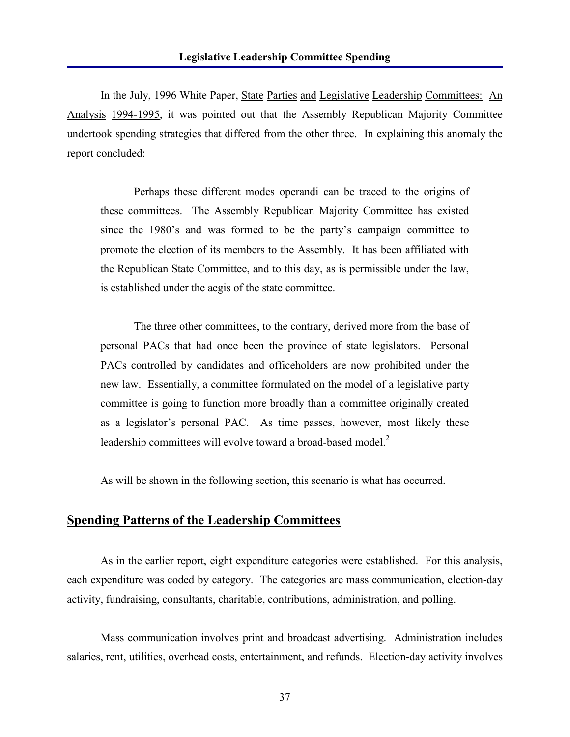In the July, 1996 White Paper, State Parties and Legislative Leadership Committees: An Analysis 1994-1995, it was pointed out that the Assembly Republican Majority Committee undertook spending strategies that differed from the other three. In explaining this anomaly the report concluded:

Perhaps these different modes operandi can be traced to the origins of these committees. The Assembly Republican Majority Committee has existed since the 1980's and was formed to be the party's campaign committee to promote the election of its members to the Assembly. It has been affiliated with the Republican State Committee, and to this day, as is permissible under the law, is established under the aegis of the state committee.

The three other committees, to the contrary, derived more from the base of personal PACs that had once been the province of state legislators. Personal PACs controlled by candidates and officeholders are now prohibited under the new law. Essentially, a committee formulated on the model of a legislative party committee is going to function more broadly than a committee originally created as a legislator's personal PAC. As time passes, however, most likely these leadership committees will evolve toward a broad-based model.<sup>2</sup>

As will be shown in the following section, this scenario is what has occurred.

### **Spending Patterns of the Leadership Committees**

As in the earlier report, eight expenditure categories were established. For this analysis, each expenditure was coded by category. The categories are mass communication, election-day activity, fundraising, consultants, charitable, contributions, administration, and polling.

Mass communication involves print and broadcast advertising. Administration includes salaries, rent, utilities, overhead costs, entertainment, and refunds. Election-day activity involves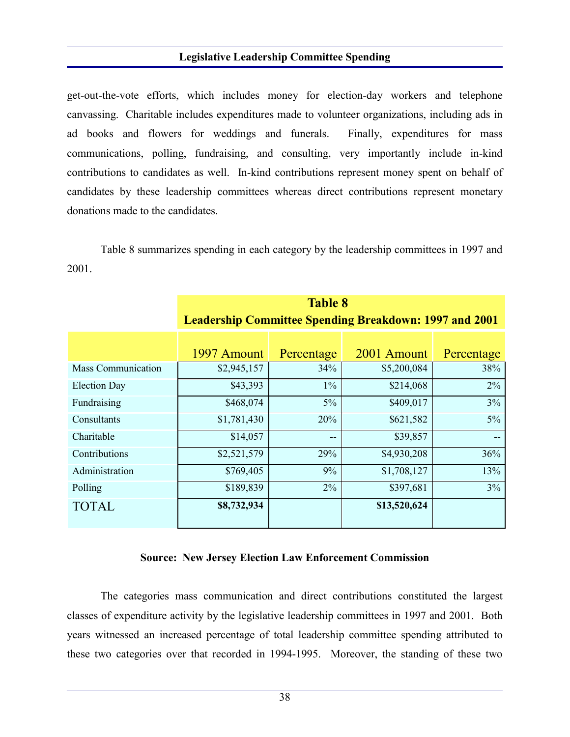get-out-the-vote efforts, which includes money for election-day workers and telephone canvassing. Charitable includes expenditures made to volunteer organizations, including ads in ad books and flowers for weddings and funerals. Finally, expenditures for mass communications, polling, fundraising, and consulting, very importantly include in-kind contributions to candidates as well. In-kind contributions represent money spent on behalf of candidates by these leadership committees whereas direct contributions represent monetary donations made to the candidates.

Table 8 summarizes spending in each category by the leadership committees in 1997 and 2001.

|                           | <b>Table 8</b><br><b>Leadership Committee Spending Breakdown: 1997 and 2001</b> |            |              |            |  |  |
|---------------------------|---------------------------------------------------------------------------------|------------|--------------|------------|--|--|
|                           | 1997 Amount                                                                     | Percentage | 2001 Amount  | Percentage |  |  |
| <b>Mass Communication</b> | \$2,945,157                                                                     | 34%        | \$5,200,084  | 38%        |  |  |
| <b>Election Day</b>       | \$43,393                                                                        | $1\%$      | \$214,068    | 2%         |  |  |
| Fundraising               | \$468,074                                                                       | 5%         | \$409,017    | 3%         |  |  |
| Consultants               | \$1,781,430                                                                     | 20%        | \$621,582    | $5\%$      |  |  |
| Charitable                | \$14,057                                                                        | --         | \$39,857     |            |  |  |
| Contributions             | \$2,521,579                                                                     | 29%        | \$4,930,208  | 36%        |  |  |
| Administration            | \$769,405                                                                       | 9%         | \$1,708,127  | 13%        |  |  |
| Polling                   | \$189,839                                                                       | 2%         | \$397,681    | 3%         |  |  |
| <b>TOTAL</b>              | \$8,732,934                                                                     |            | \$13,520,624 |            |  |  |

#### **Source: New Jersey Election Law Enforcement Commission**

The categories mass communication and direct contributions constituted the largest classes of expenditure activity by the legislative leadership committees in 1997 and 2001. Both years witnessed an increased percentage of total leadership committee spending attributed to these two categories over that recorded in 1994-1995. Moreover, the standing of these two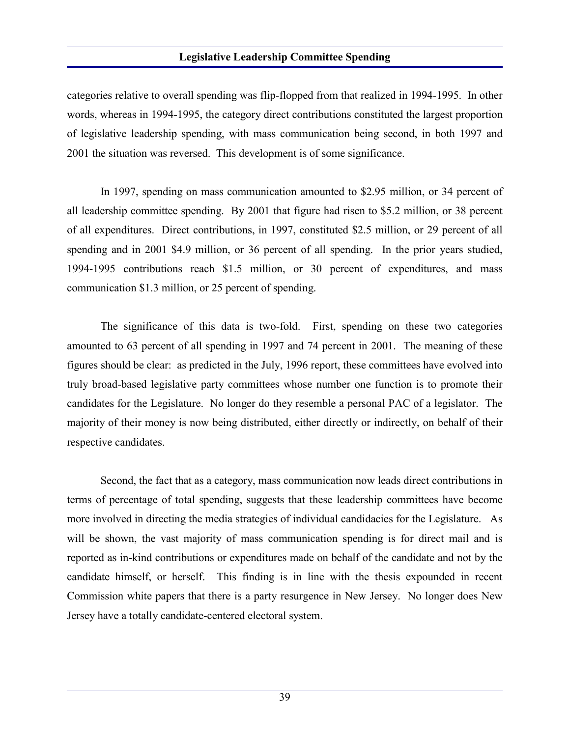categories relative to overall spending was flip-flopped from that realized in 1994-1995. In other words, whereas in 1994-1995, the category direct contributions constituted the largest proportion of legislative leadership spending, with mass communication being second, in both 1997 and 2001 the situation was reversed. This development is of some significance.

In 1997, spending on mass communication amounted to \$2.95 million, or 34 percent of all leadership committee spending. By 2001 that figure had risen to \$5.2 million, or 38 percent of all expenditures. Direct contributions, in 1997, constituted \$2.5 million, or 29 percent of all spending and in 2001 \$4.9 million, or 36 percent of all spending. In the prior years studied, 1994-1995 contributions reach \$1.5 million, or 30 percent of expenditures, and mass communication \$1.3 million, or 25 percent of spending.

The significance of this data is two-fold. First, spending on these two categories amounted to 63 percent of all spending in 1997 and 74 percent in 2001. The meaning of these figures should be clear: as predicted in the July, 1996 report, these committees have evolved into truly broad-based legislative party committees whose number one function is to promote their candidates for the Legislature. No longer do they resemble a personal PAC of a legislator. The majority of their money is now being distributed, either directly or indirectly, on behalf of their respective candidates.

Second, the fact that as a category, mass communication now leads direct contributions in terms of percentage of total spending, suggests that these leadership committees have become more involved in directing the media strategies of individual candidacies for the Legislature. As will be shown, the vast majority of mass communication spending is for direct mail and is reported as in-kind contributions or expenditures made on behalf of the candidate and not by the candidate himself, or herself. This finding is in line with the thesis expounded in recent Commission white papers that there is a party resurgence in New Jersey. No longer does New Jersey have a totally candidate-centered electoral system.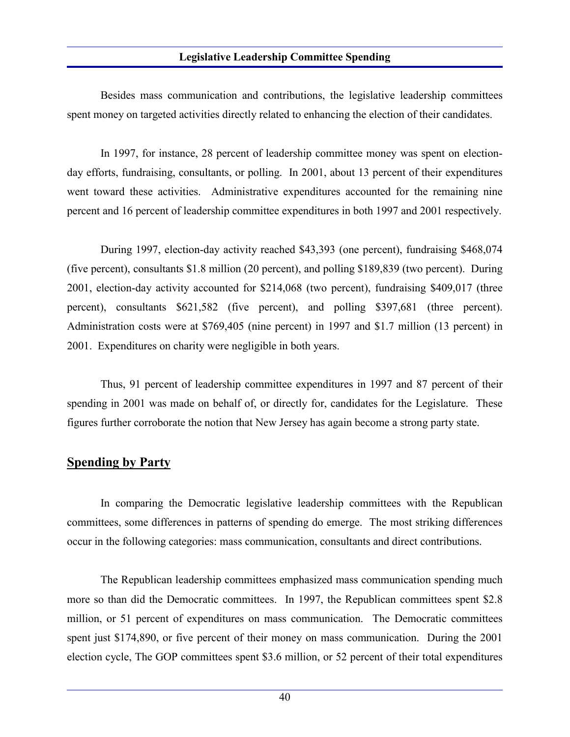Besides mass communication and contributions, the legislative leadership committees spent money on targeted activities directly related to enhancing the election of their candidates.

In 1997, for instance, 28 percent of leadership committee money was spent on electionday efforts, fundraising, consultants, or polling. In 2001, about 13 percent of their expenditures went toward these activities. Administrative expenditures accounted for the remaining nine percent and 16 percent of leadership committee expenditures in both 1997 and 2001 respectively.

During 1997, election-day activity reached \$43,393 (one percent), fundraising \$468,074 (five percent), consultants \$1.8 million (20 percent), and polling \$189,839 (two percent). During 2001, election-day activity accounted for \$214,068 (two percent), fundraising \$409,017 (three percent), consultants \$621,582 (five percent), and polling \$397,681 (three percent). Administration costs were at \$769,405 (nine percent) in 1997 and \$1.7 million (13 percent) in 2001. Expenditures on charity were negligible in both years.

Thus, 91 percent of leadership committee expenditures in 1997 and 87 percent of their spending in 2001 was made on behalf of, or directly for, candidates for the Legislature. These figures further corroborate the notion that New Jersey has again become a strong party state.

## **Spending by Party**

In comparing the Democratic legislative leadership committees with the Republican committees, some differences in patterns of spending do emerge. The most striking differences occur in the following categories: mass communication, consultants and direct contributions.

The Republican leadership committees emphasized mass communication spending much more so than did the Democratic committees. In 1997, the Republican committees spent \$2.8 million, or 51 percent of expenditures on mass communication. The Democratic committees spent just \$174,890, or five percent of their money on mass communication. During the 2001 election cycle, The GOP committees spent \$3.6 million, or 52 percent of their total expenditures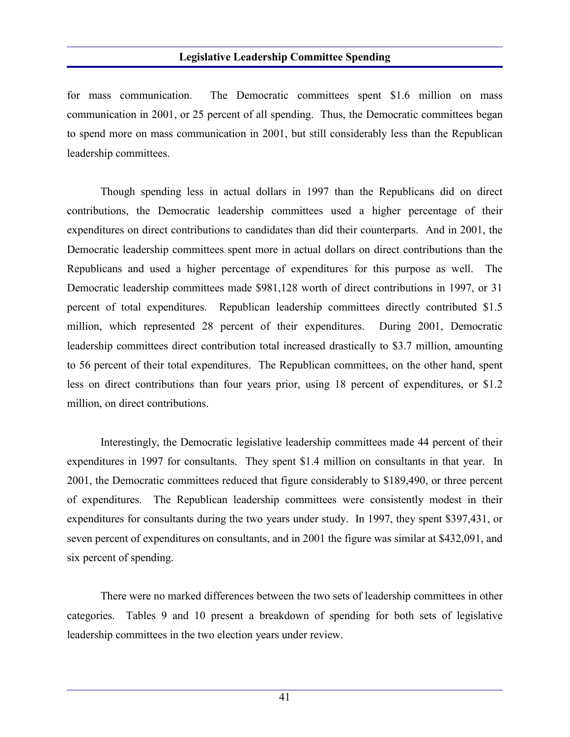for mass communication. The Democratic committees spent \$1.6 million on mass communication in 2001, or 25 percent of all spending. Thus, the Democratic committees began to spend more on mass communication in 2001, but still considerably less than the Republican leadership committees.

Though spending less in actual dollars in 1997 than the Republicans did on direct contributions, the Democratic leadership committees used a higher percentage of their expenditures on direct contributions to candidates than did their counterparts. And in 2001, the Democratic leadership committees spent more in actual dollars on direct contributions than the Republicans and used a higher percentage of expenditures for this purpose as well. The Democratic leadership committees made \$981,128 worth of direct contributions in 1997, or 31 percent of total expenditures. Republican leadership committees directly contributed \$1.5 million, which represented 28 percent of their expenditures. During 2001, Democratic leadership committees direct contribution total increased drastically to \$3.7 million, amounting to 56 percent of their total expenditures. The Republican committees, on the other hand, spent less on direct contributions than four years prior, using 18 percent of expenditures, or \$1.2 million, on direct contributions.

Interestingly, the Democratic legislative leadership committees made 44 percent of their expenditures in 1997 for consultants. They spent \$1.4 million on consultants in that year. In 2001, the Democratic committees reduced that figure considerably to \$189,490, or three percent of expenditures. The Republican leadership committees were consistently modest in their expenditures for consultants during the two years under study. In 1997, they spent \$397,431, or seven percent of expenditures on consultants, and in 2001 the figure was similar at \$432,091, and six percent of spending.

There were no marked differences between the two sets of leadership committees in other categories. Tables 9 and 10 present a breakdown of spending for both sets of legislative leadership committees in the two election years under review.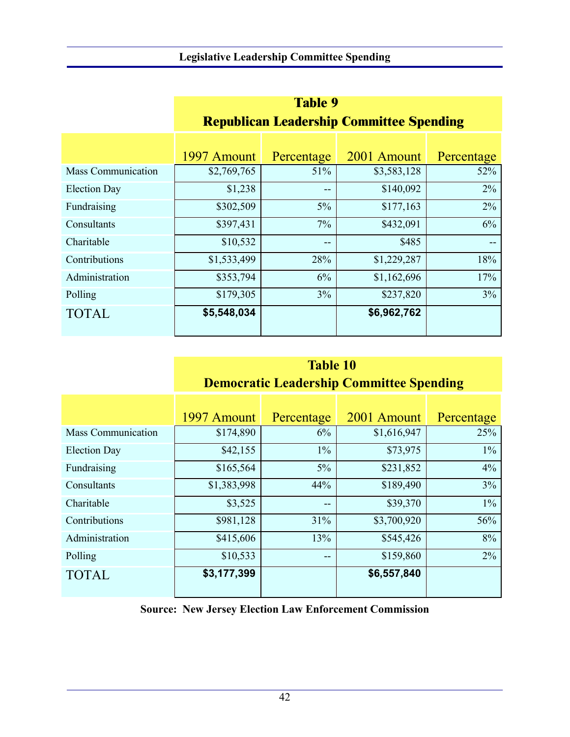|                           | <b>Table 9</b>                                  |            |             |            |  |  |
|---------------------------|-------------------------------------------------|------------|-------------|------------|--|--|
|                           | <b>Republican Leadership Committee Spending</b> |            |             |            |  |  |
|                           |                                                 |            |             |            |  |  |
|                           | 1997 Amount                                     | Percentage | 2001 Amount | Percentage |  |  |
| <b>Mass Communication</b> | \$2,769,765                                     | 51%        | \$3,583,128 | 52%        |  |  |
| <b>Election Day</b>       | \$1,238                                         | --         | \$140,092   | 2%         |  |  |
| Fundraising               | \$302,509                                       | $5\%$      | \$177,163   | 2%         |  |  |
| Consultants               | \$397,431                                       | $7\%$      | \$432,091   | 6%         |  |  |
| Charitable                | \$10,532                                        | $- -$      | \$485       | $- -$      |  |  |
| Contributions             | \$1,533,499                                     | 28%        | \$1,229,287 | 18%        |  |  |
| Administration            | \$353,794                                       | 6%         | \$1,162,696 | 17%        |  |  |
| Polling                   | \$179,305                                       | 3%         | \$237,820   | 3%         |  |  |
| <b>TOTAL</b>              | \$5,548,034                                     |            | \$6,962,762 |            |  |  |

# **Table 10 Democratic Leadership Committee Spending**

|                           | 1997 Amount | Percentage | 2001 Amount | Percentage |
|---------------------------|-------------|------------|-------------|------------|
| <b>Mass Communication</b> | \$174,890   | 6%         | \$1,616,947 | 25%        |
| <b>Election Day</b>       | \$42,155    | $1\%$      | \$73,975    | $1\%$      |
| Fundraising               | \$165,564   | $5\%$      | \$231,852   | 4%         |
| Consultants               | \$1,383,998 | 44%        | \$189,490   | 3%         |
| Charitable                | \$3,525     | $- -$      | \$39,370    | $1\%$      |
| Contributions             | \$981,128   | 31%        | \$3,700,920 | 56%        |
| Administration            | \$415,606   | 13%        | \$545,426   | 8%         |
| Polling                   | \$10,533    | $- -$      | \$159,860   | 2%         |
| <b>TOTAL</b>              | \$3,177,399 |            | \$6,557,840 |            |

**Source: New Jersey Election Law Enforcement Commission**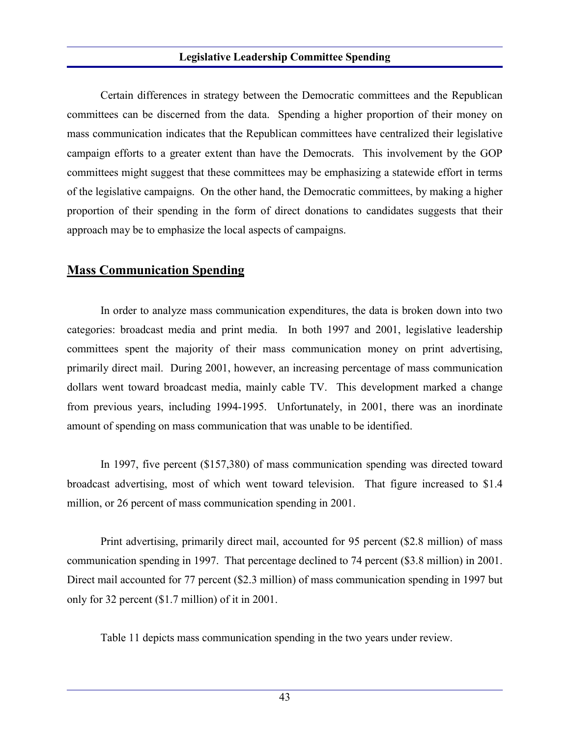Certain differences in strategy between the Democratic committees and the Republican committees can be discerned from the data. Spending a higher proportion of their money on mass communication indicates that the Republican committees have centralized their legislative campaign efforts to a greater extent than have the Democrats. This involvement by the GOP committees might suggest that these committees may be emphasizing a statewide effort in terms of the legislative campaigns. On the other hand, the Democratic committees, by making a higher proportion of their spending in the form of direct donations to candidates suggests that their approach may be to emphasize the local aspects of campaigns.

## **Mass Communication Spending**

In order to analyze mass communication expenditures, the data is broken down into two categories: broadcast media and print media. In both 1997 and 2001, legislative leadership committees spent the majority of their mass communication money on print advertising, primarily direct mail. During 2001, however, an increasing percentage of mass communication dollars went toward broadcast media, mainly cable TV. This development marked a change from previous years, including 1994-1995. Unfortunately, in 2001, there was an inordinate amount of spending on mass communication that was unable to be identified.

In 1997, five percent (\$157,380) of mass communication spending was directed toward broadcast advertising, most of which went toward television. That figure increased to \$1.4 million, or 26 percent of mass communication spending in 2001.

Print advertising, primarily direct mail, accounted for 95 percent (\$2.8 million) of mass communication spending in 1997. That percentage declined to 74 percent (\$3.8 million) in 2001. Direct mail accounted for 77 percent (\$2.3 million) of mass communication spending in 1997 but only for 32 percent (\$1.7 million) of it in 2001.

Table 11 depicts mass communication spending in the two years under review.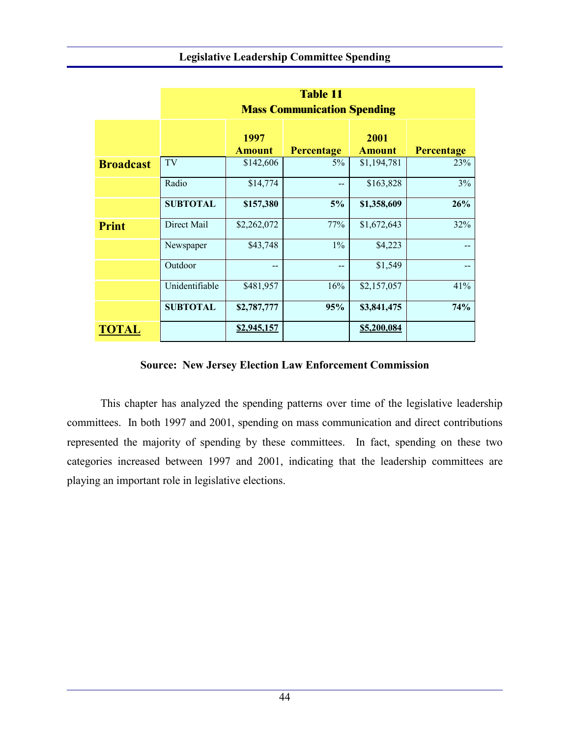|                  | <b>Table 11</b><br><b>Mass Communication Spending</b> |                       |                   |                       |                   |  |  |
|------------------|-------------------------------------------------------|-----------------------|-------------------|-----------------------|-------------------|--|--|
|                  |                                                       | 1997<br><b>Amount</b> | <b>Percentage</b> | 2001<br><b>Amount</b> | <b>Percentage</b> |  |  |
| <b>Broadcast</b> | TV                                                    | \$142,606             | 5%                | \$1,194,781           | 23%               |  |  |
|                  | Radio                                                 | \$14,774              | --                | \$163,828             | 3%                |  |  |
|                  | <b>SUBTOTAL</b>                                       | \$157,380             | 5%                | \$1,358,609           | 26%               |  |  |
| <b>Print</b>     | Direct Mail                                           | \$2,262,072           | 77%               | \$1,672,643           | 32%               |  |  |
|                  | Newspaper                                             | \$43,748              | 1%                | \$4,223               |                   |  |  |
|                  | Outdoor                                               | --                    | --                | \$1,549               |                   |  |  |
|                  | Unidentifiable                                        | \$481,957             | 16%               | \$2,157,057           | 41%               |  |  |
|                  | <b>SUBTOTAL</b>                                       | \$2,787,777           | 95%               | \$3,841,475           | 74%               |  |  |
| <b>TOTAL</b>     |                                                       | \$2,945,157           |                   | \$5,200,084           |                   |  |  |

### **Source: New Jersey Election Law Enforcement Commission**

This chapter has analyzed the spending patterns over time of the legislative leadership committees. In both 1997 and 2001, spending on mass communication and direct contributions represented the majority of spending by these committees. In fact, spending on these two categories increased between 1997 and 2001, indicating that the leadership committees are playing an important role in legislative elections.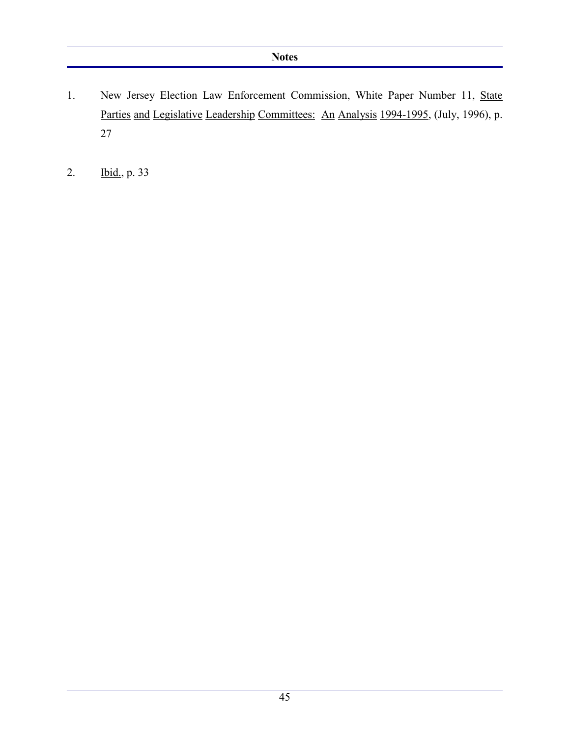- 1. New Jersey Election Law Enforcement Commission, White Paper Number 11, State Parties and Legislative Leadership Committees: An Analysis 1994-1995, (July, 1996), p. 27
- 2. Ibid., p. 33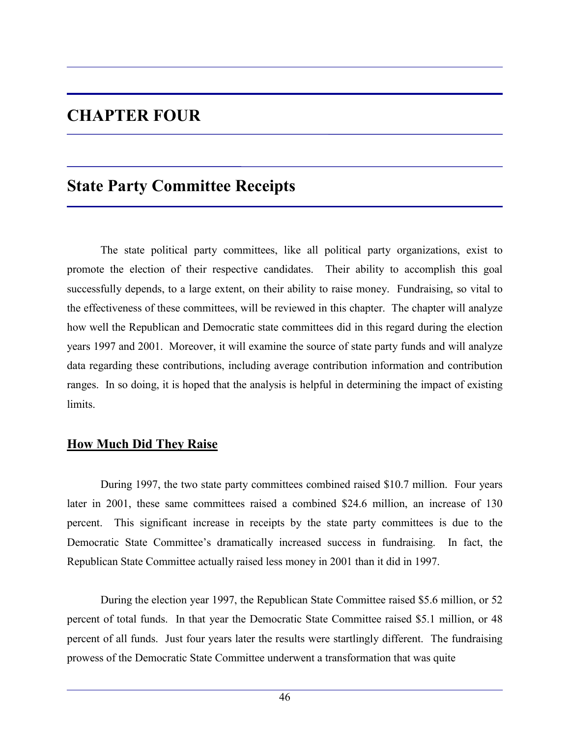# **CHAPTER FOUR**

# **State Party Committee Receipts**

The state political party committees, like all political party organizations, exist to promote the election of their respective candidates. Their ability to accomplish this goal successfully depends, to a large extent, on their ability to raise money. Fundraising, so vital to the effectiveness of these committees, will be reviewed in this chapter. The chapter will analyze how well the Republican and Democratic state committees did in this regard during the election years 1997 and 2001. Moreover, it will examine the source of state party funds and will analyze data regarding these contributions, including average contribution information and contribution ranges. In so doing, it is hoped that the analysis is helpful in determining the impact of existing limits.

### **How Much Did They Raise**

During 1997, the two state party committees combined raised \$10.7 million. Four years later in 2001, these same committees raised a combined \$24.6 million, an increase of 130 percent. This significant increase in receipts by the state party committees is due to the Democratic State Committee's dramatically increased success in fundraising. In fact, the Republican State Committee actually raised less money in 2001 than it did in 1997.

During the election year 1997, the Republican State Committee raised \$5.6 million, or 52 percent of total funds. In that year the Democratic State Committee raised \$5.1 million, or 48 percent of all funds. Just four years later the results were startlingly different. The fundraising prowess of the Democratic State Committee underwent a transformation that was quite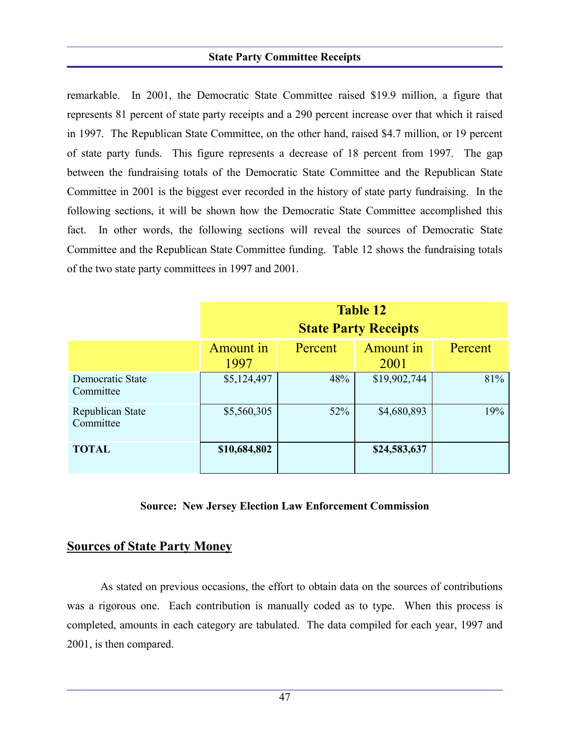#### **State Party Committee Receipts**

remarkable. In 2001, the Democratic State Committee raised \$19.9 million, a figure that represents 81 percent of state party receipts and a 290 percent increase over that which it raised in 1997. The Republican State Committee, on the other hand, raised \$4.7 million, or 19 percent of state party funds. This figure represents a decrease of 18 percent from 1997. The gap between the fundraising totals of the Democratic State Committee and the Republican State Committee in 2001 is the biggest ever recorded in the history of state party fundraising. In the following sections, it will be shown how the Democratic State Committee accomplished this fact. In other words, the following sections will reveal the sources of Democratic State Committee and the Republican State Committee funding. Table 12 shows the fundraising totals of the two state party committees in 1997 and 2001.

|                               | <b>Table 12</b><br><b>State Party Receipts</b> |         |                   |         |  |  |
|-------------------------------|------------------------------------------------|---------|-------------------|---------|--|--|
|                               | <b>Amount</b> in<br>1997                       | Percent | Amount in<br>2001 | Percent |  |  |
| Democratic State<br>Committee | \$5,124,497                                    | 48%     | \$19,902,744      | 81%     |  |  |
| Republican State<br>Committee | \$5,560,305                                    | 52%     | \$4,680,893       | 19%     |  |  |
| <b>TOTAL</b>                  | \$10,684,802                                   |         | \$24,583,637      |         |  |  |

#### **Source: New Jersey Election Law Enforcement Commission**

#### **Sources of State Party Money**

As stated on previous occasions, the effort to obtain data on the sources of contributions was a rigorous one. Each contribution is manually coded as to type. When this process is completed, amounts in each category are tabulated. The data compiled for each year, 1997 and 2001, is then compared.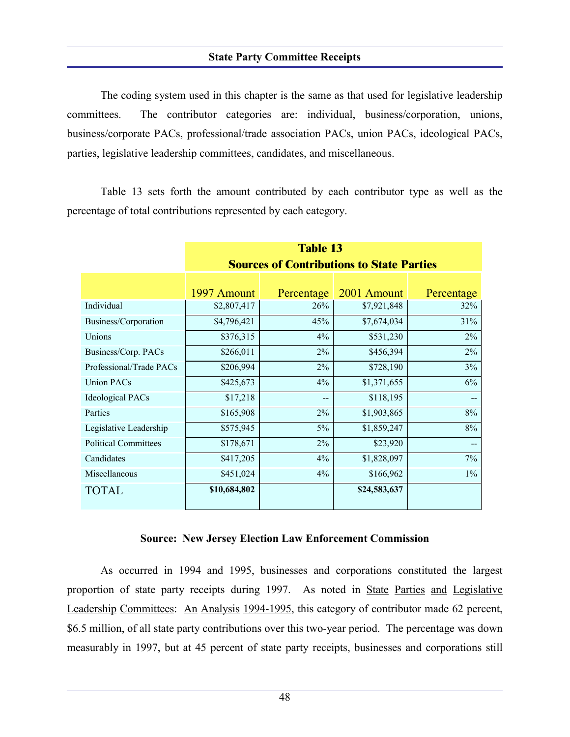#### **State Party Committee Receipts**

The coding system used in this chapter is the same as that used for legislative leadership committees. The contributor categories are: individual, business/corporation, unions, business/corporate PACs, professional/trade association PACs, union PACs, ideological PACs, parties, legislative leadership committees, candidates, and miscellaneous.

Table 13 sets forth the amount contributed by each contributor type as well as the percentage of total contributions represented by each category.

|                             | <b>Table 13</b>                                  |            |              |            |  |  |  |
|-----------------------------|--------------------------------------------------|------------|--------------|------------|--|--|--|
|                             | <b>Sources of Contributions to State Parties</b> |            |              |            |  |  |  |
|                             |                                                  |            |              |            |  |  |  |
|                             | 1997 Amount                                      | Percentage | 2001 Amount  | Percentage |  |  |  |
| Individual                  | \$2,807,417                                      | 26%        | \$7,921,848  | 32%        |  |  |  |
| Business/Corporation        | \$4,796,421                                      | 45%        | \$7,674,034  | 31%        |  |  |  |
| Unions                      | \$376,315                                        | 4%         | \$531,230    | $2\%$      |  |  |  |
| Business/Corp. PACs         | \$266,011                                        | 2%         | \$456,394    | $2\%$      |  |  |  |
| Professional/Trade PACs     | \$206,994                                        | $2\%$      | \$728,190    | 3%         |  |  |  |
| <b>Union PACs</b>           | \$425,673                                        | $4\%$      | \$1,371,655  | 6%         |  |  |  |
| <b>Ideological PACs</b>     | \$17,218                                         | $-$        | \$118,195    |            |  |  |  |
| Parties                     | \$165,908                                        | 2%         | \$1,903,865  | 8%         |  |  |  |
| Legislative Leadership      | \$575,945                                        | $5\%$      | \$1,859,247  | 8%         |  |  |  |
| <b>Political Committees</b> | \$178,671                                        | 2%         | \$23,920     |            |  |  |  |
| Candidates                  | \$417,205                                        | $4\%$      | \$1,828,097  | $7\%$      |  |  |  |
| Miscellaneous               | \$451,024                                        | $4\%$      | \$166,962    | $1\%$      |  |  |  |
| <b>TOTAL</b>                | \$10,684,802                                     |            | \$24,583,637 |            |  |  |  |

#### **Source: New Jersey Election Law Enforcement Commission**

As occurred in 1994 and 1995, businesses and corporations constituted the largest proportion of state party receipts during 1997. As noted in State Parties and Legislative Leadership Committees: An Analysis 1994-1995, this category of contributor made 62 percent, \$6.5 million, of all state party contributions over this two-year period. The percentage was down measurably in 1997, but at 45 percent of state party receipts, businesses and corporations still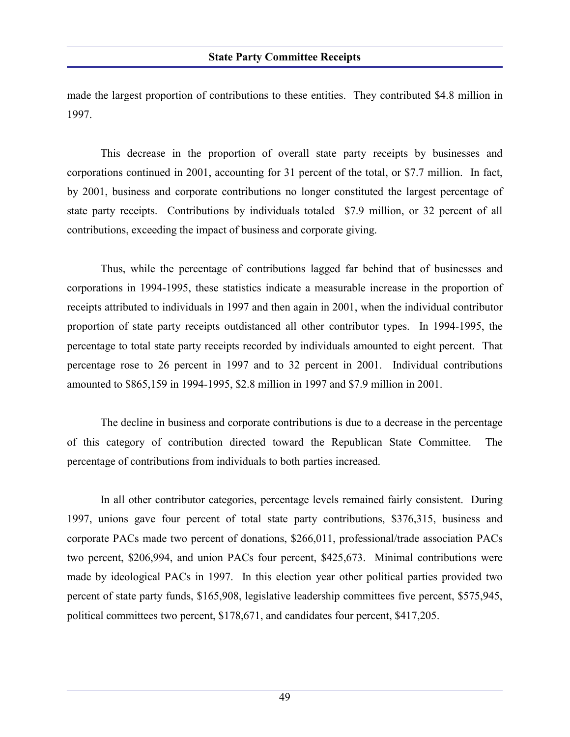made the largest proportion of contributions to these entities. They contributed \$4.8 million in 1997.

This decrease in the proportion of overall state party receipts by businesses and corporations continued in 2001, accounting for 31 percent of the total, or \$7.7 million. In fact, by 2001, business and corporate contributions no longer constituted the largest percentage of state party receipts. Contributions by individuals totaled \$7.9 million, or 32 percent of all contributions, exceeding the impact of business and corporate giving.

Thus, while the percentage of contributions lagged far behind that of businesses and corporations in 1994-1995, these statistics indicate a measurable increase in the proportion of receipts attributed to individuals in 1997 and then again in 2001, when the individual contributor proportion of state party receipts outdistanced all other contributor types. In 1994-1995, the percentage to total state party receipts recorded by individuals amounted to eight percent. That percentage rose to 26 percent in 1997 and to 32 percent in 2001. Individual contributions amounted to \$865,159 in 1994-1995, \$2.8 million in 1997 and \$7.9 million in 2001.

The decline in business and corporate contributions is due to a decrease in the percentage of this category of contribution directed toward the Republican State Committee. The percentage of contributions from individuals to both parties increased.

In all other contributor categories, percentage levels remained fairly consistent. During 1997, unions gave four percent of total state party contributions, \$376,315, business and corporate PACs made two percent of donations, \$266,011, professional/trade association PACs two percent, \$206,994, and union PACs four percent, \$425,673. Minimal contributions were made by ideological PACs in 1997. In this election year other political parties provided two percent of state party funds, \$165,908, legislative leadership committees five percent, \$575,945, political committees two percent, \$178,671, and candidates four percent, \$417,205.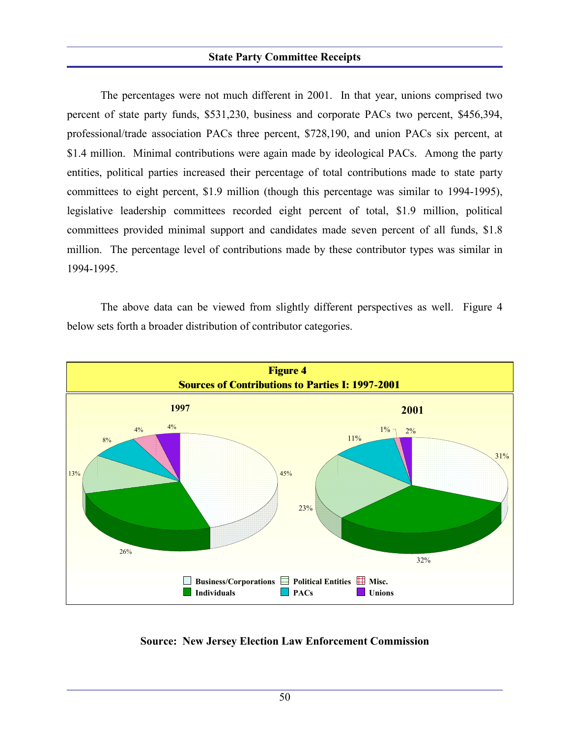#### **State Party Committee Receipts**

The percentages were not much different in 2001. In that year, unions comprised two percent of state party funds, \$531,230, business and corporate PACs two percent, \$456,394, professional/trade association PACs three percent, \$728,190, and union PACs six percent, at \$1.4 million. Minimal contributions were again made by ideological PACs. Among the party entities, political parties increased their percentage of total contributions made to state party committees to eight percent, \$1.9 million (though this percentage was similar to 1994-1995), legislative leadership committees recorded eight percent of total, \$1.9 million, political committees provided minimal support and candidates made seven percent of all funds, \$1.8 million. The percentage level of contributions made by these contributor types was similar in 1994-1995.

The above data can be viewed from slightly different perspectives as well. Figure 4 below sets forth a broader distribution of contributor categories.



**Source: New Jersey Election Law Enforcement Commission**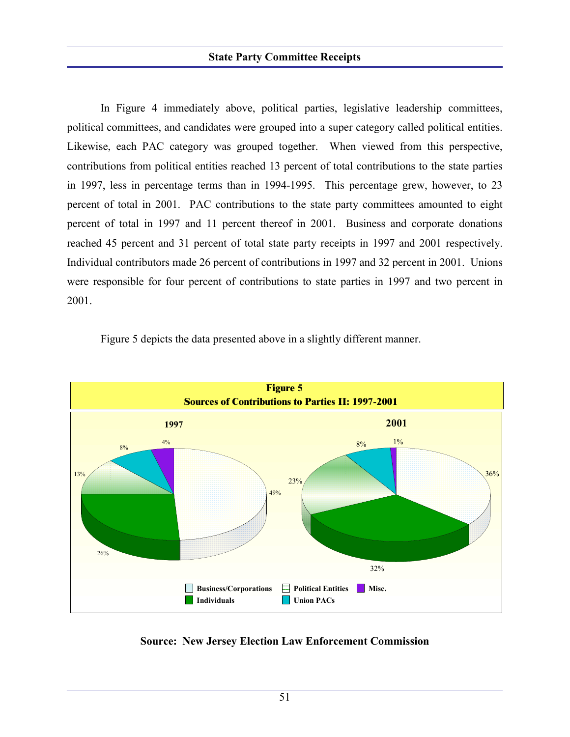In Figure 4 immediately above, political parties, legislative leadership committees, political committees, and candidates were grouped into a super category called political entities. Likewise, each PAC category was grouped together. When viewed from this perspective, contributions from political entities reached 13 percent of total contributions to the state parties in 1997, less in percentage terms than in 1994-1995. This percentage grew, however, to 23 percent of total in 2001. PAC contributions to the state party committees amounted to eight percent of total in 1997 and 11 percent thereof in 2001. Business and corporate donations reached 45 percent and 31 percent of total state party receipts in 1997 and 2001 respectively. Individual contributors made 26 percent of contributions in 1997 and 32 percent in 2001. Unions were responsible for four percent of contributions to state parties in 1997 and two percent in 2001.





**Source: New Jersey Election Law Enforcement Commission**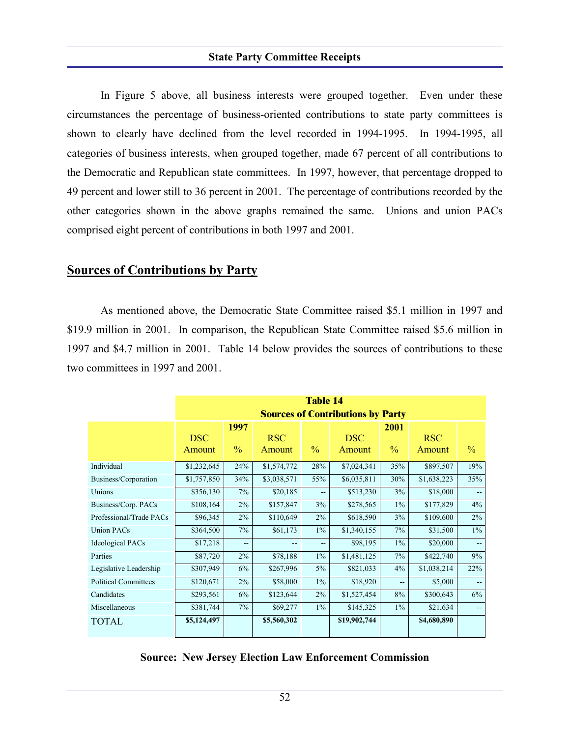In Figure 5 above, all business interests were grouped together. Even under these circumstances the percentage of business-oriented contributions to state party committees is shown to clearly have declined from the level recorded in 1994-1995. In 1994-1995, all categories of business interests, when grouped together, made 67 percent of all contributions to the Democratic and Republican state committees. In 1997, however, that percentage dropped to 49 percent and lower still to 36 percent in 2001. The percentage of contributions recorded by the other categories shown in the above graphs remained the same. Unions and union PACs comprised eight percent of contributions in both 1997 and 2001.

## **Sources of Contributions by Party**

As mentioned above, the Democratic State Committee raised \$5.1 million in 1997 and \$19.9 million in 2001. In comparison, the Republican State Committee raised \$5.6 million in 1997 and \$4.7 million in 2001. Table 14 below provides the sources of contributions to these two committees in 1997 and 2001.

|                             | <b>Table 14</b>                          |               |             |               |              |               |             |                          |
|-----------------------------|------------------------------------------|---------------|-------------|---------------|--------------|---------------|-------------|--------------------------|
|                             | <b>Sources of Contributions by Party</b> |               |             |               |              |               |             |                          |
|                             |                                          | 1997          |             |               |              | 2001          |             |                          |
|                             | <b>DSC</b>                               |               | <b>RSC</b>  |               | <b>DSC</b>   |               | <b>RSC</b>  |                          |
|                             | <b>Amount</b>                            | $\frac{0}{0}$ | Amount      | $\frac{0}{0}$ | Amount       | $\frac{0}{0}$ | Amount      | $\frac{0}{0}$            |
| Individual                  | \$1,232,645                              | 24%           | \$1,574,772 | 28%           | \$7,024,341  | 35%           | \$897,507   | 19%                      |
| Business/Corporation        | \$1,757,850                              | 34%           | \$3,038,571 | 55%           | \$6,035,811  | 30%           | \$1,638,223 | 35%                      |
| Unions                      | \$356,130                                | 7%            | \$20,185    | $- -$         | \$513,230    | 3%            | \$18,000    |                          |
| Business/Corp. PACs         | \$108,164                                | $2\%$         | \$157,847   | 3%            | \$278,565    | $1\%$         | \$177,829   | 4%                       |
| Professional/Trade PACs     | \$96,345                                 | $2\%$         | \$110,649   | $2\%$         | \$618,590    | 3%            | \$109,600   | $2\%$                    |
| <b>Union PACs</b>           | \$364,500                                | 7%            | \$61,173    | $1\%$         | \$1,340,155  | 7%            | \$31,500    | $1\%$                    |
| <b>Ideological PACs</b>     | \$17,218                                 | --            |             | --            | \$98,195     | $1\%$         | \$20,000    | $-$                      |
| Parties                     | \$87,720                                 | $2\%$         | \$78,188    | $1\%$         | \$1,481,125  | 7%            | \$422,740   | 9%                       |
| Legislative Leadership      | \$307,949                                | 6%            | \$267,996   | $5\%$         | \$821,033    | 4%            | \$1,038,214 | 22%                      |
| <b>Political Committees</b> | \$120,671                                | 2%            | \$58,000    | $1\%$         | \$18,920     | --            | \$5,000     | $-$                      |
| Candidates                  | \$293,561                                | 6%            | \$123,644   | $2\%$         | \$1,527,454  | 8%            | \$300,643   | 6%                       |
| Miscellaneous               | \$381,744                                | $7\%$         | \$69,277    | $1\%$         | \$145,325    | $1\%$         | \$21,634    | $\overline{\phantom{a}}$ |
| <b>TOTAL</b>                | \$5,124,497                              |               | \$5,560,302 |               | \$19,902,744 |               | \$4,680,890 |                          |

#### **Source: New Jersey Election Law Enforcement Commission**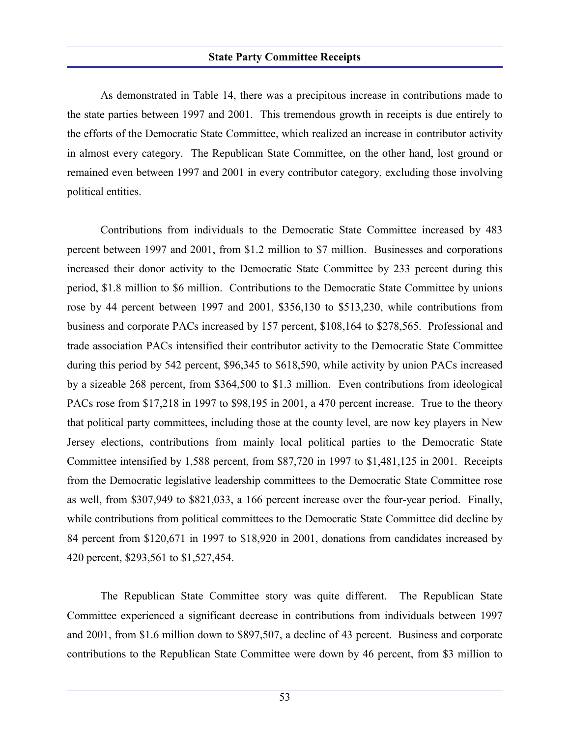#### **State Party Committee Receipts**

As demonstrated in Table 14, there was a precipitous increase in contributions made to the state parties between 1997 and 2001. This tremendous growth in receipts is due entirely to the efforts of the Democratic State Committee, which realized an increase in contributor activity in almost every category. The Republican State Committee, on the other hand, lost ground or remained even between 1997 and 2001 in every contributor category, excluding those involving political entities.

Contributions from individuals to the Democratic State Committee increased by 483 percent between 1997 and 2001, from \$1.2 million to \$7 million. Businesses and corporations increased their donor activity to the Democratic State Committee by 233 percent during this period, \$1.8 million to \$6 million. Contributions to the Democratic State Committee by unions rose by 44 percent between 1997 and 2001, \$356,130 to \$513,230, while contributions from business and corporate PACs increased by 157 percent, \$108,164 to \$278,565. Professional and trade association PACs intensified their contributor activity to the Democratic State Committee during this period by 542 percent, \$96,345 to \$618,590, while activity by union PACs increased by a sizeable 268 percent, from \$364,500 to \$1.3 million. Even contributions from ideological PACs rose from \$17,218 in 1997 to \$98,195 in 2001, a 470 percent increase. True to the theory that political party committees, including those at the county level, are now key players in New Jersey elections, contributions from mainly local political parties to the Democratic State Committee intensified by 1,588 percent, from \$87,720 in 1997 to \$1,481,125 in 2001. Receipts from the Democratic legislative leadership committees to the Democratic State Committee rose as well, from \$307,949 to \$821,033, a 166 percent increase over the four-year period. Finally, while contributions from political committees to the Democratic State Committee did decline by 84 percent from \$120,671 in 1997 to \$18,920 in 2001, donations from candidates increased by 420 percent, \$293,561 to \$1,527,454.

The Republican State Committee story was quite different. The Republican State Committee experienced a significant decrease in contributions from individuals between 1997 and 2001, from \$1.6 million down to \$897,507, a decline of 43 percent. Business and corporate contributions to the Republican State Committee were down by 46 percent, from \$3 million to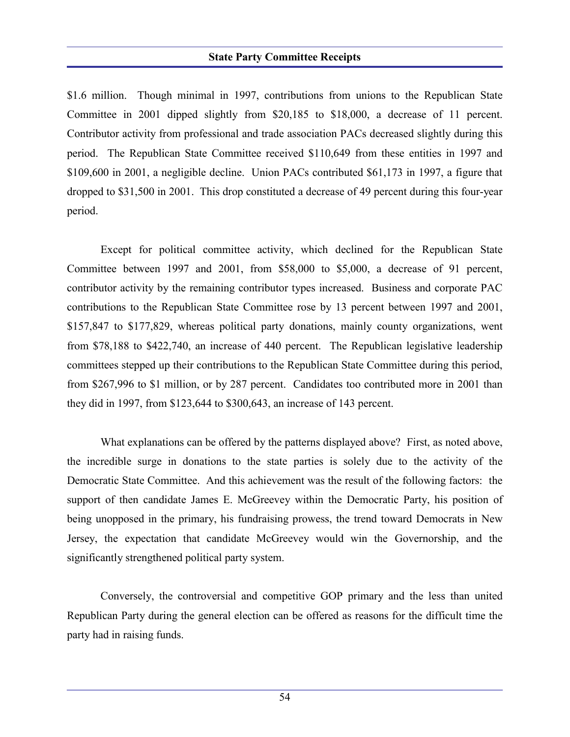#### **State Party Committee Receipts**

\$1.6 million. Though minimal in 1997, contributions from unions to the Republican State Committee in 2001 dipped slightly from \$20,185 to \$18,000, a decrease of 11 percent. Contributor activity from professional and trade association PACs decreased slightly during this period. The Republican State Committee received \$110,649 from these entities in 1997 and \$109,600 in 2001, a negligible decline. Union PACs contributed \$61,173 in 1997, a figure that dropped to \$31,500 in 2001. This drop constituted a decrease of 49 percent during this four-year period.

Except for political committee activity, which declined for the Republican State Committee between 1997 and 2001, from \$58,000 to \$5,000, a decrease of 91 percent, contributor activity by the remaining contributor types increased. Business and corporate PAC contributions to the Republican State Committee rose by 13 percent between 1997 and 2001, \$157,847 to \$177,829, whereas political party donations, mainly county organizations, went from \$78,188 to \$422,740, an increase of 440 percent. The Republican legislative leadership committees stepped up their contributions to the Republican State Committee during this period, from \$267,996 to \$1 million, or by 287 percent. Candidates too contributed more in 2001 than they did in 1997, from \$123,644 to \$300,643, an increase of 143 percent.

What explanations can be offered by the patterns displayed above? First, as noted above, the incredible surge in donations to the state parties is solely due to the activity of the Democratic State Committee. And this achievement was the result of the following factors: the support of then candidate James E. McGreevey within the Democratic Party, his position of being unopposed in the primary, his fundraising prowess, the trend toward Democrats in New Jersey, the expectation that candidate McGreevey would win the Governorship, and the significantly strengthened political party system.

Conversely, the controversial and competitive GOP primary and the less than united Republican Party during the general election can be offered as reasons for the difficult time the party had in raising funds.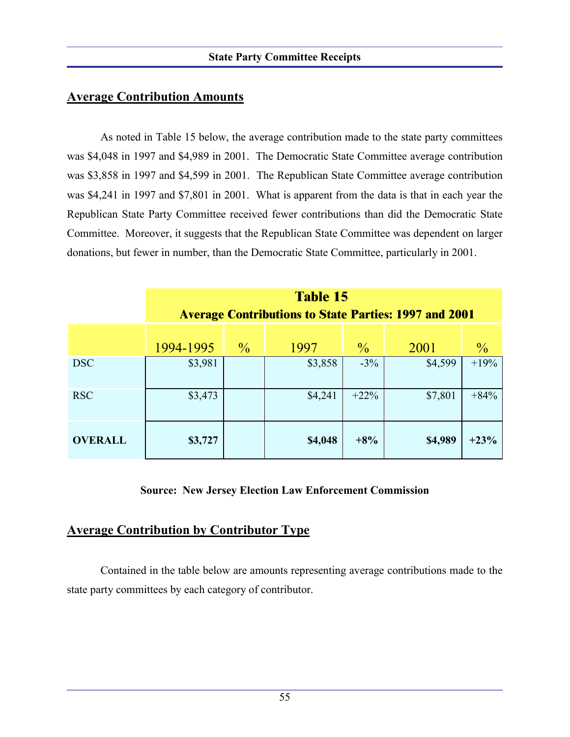## **Average Contribution Amounts**

As noted in Table 15 below, the average contribution made to the state party committees was \$4,048 in 1997 and \$4,989 in 2001. The Democratic State Committee average contribution was \$3,858 in 1997 and \$4,599 in 2001. The Republican State Committee average contribution was \$4,241 in 1997 and \$7,801 in 2001. What is apparent from the data is that in each year the Republican State Party Committee received fewer contributions than did the Democratic State Committee. Moreover, it suggests that the Republican State Committee was dependent on larger donations, but fewer in number, than the Democratic State Committee, particularly in 2001.

|                | <b>Table 15</b><br><b>Average Contributions to State Parties: 1997 and 2001</b> |               |         |               |         |               |  |
|----------------|---------------------------------------------------------------------------------|---------------|---------|---------------|---------|---------------|--|
|                | 1994-1995                                                                       | $\frac{0}{2}$ | 1997    | $\frac{0}{0}$ | 2001    | $\frac{0}{0}$ |  |
| <b>DSC</b>     | \$3,981                                                                         |               | \$3,858 | $-3\%$        | \$4,599 | $+19%$        |  |
| <b>RSC</b>     | \$3,473                                                                         |               | \$4,241 | $+22\%$       | \$7,801 | $+84%$        |  |
| <b>OVERALL</b> | \$3,727                                                                         |               | \$4,048 | $+8%$         | \$4,989 | $+23%$        |  |

### **Source: New Jersey Election Law Enforcement Commission**

## **Average Contribution by Contributor Type**

Contained in the table below are amounts representing average contributions made to the state party committees by each category of contributor.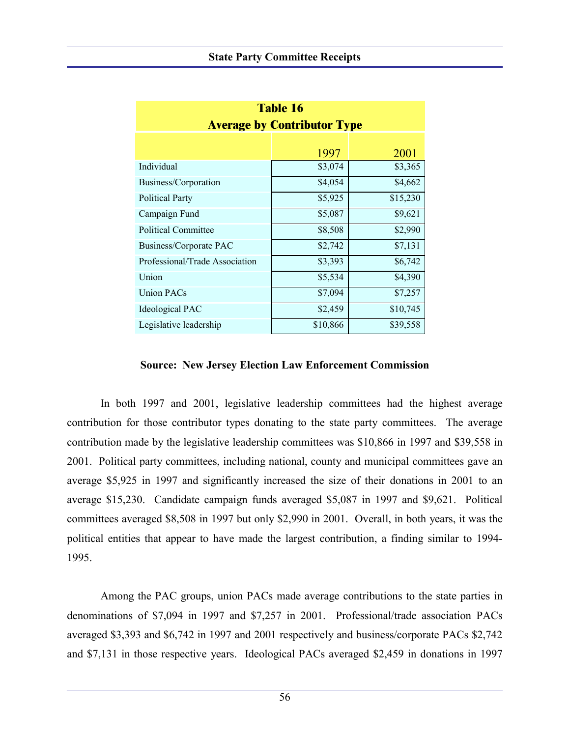| <b>Table 16</b>                    |          |          |  |  |  |  |
|------------------------------------|----------|----------|--|--|--|--|
| <b>Average by Contributor Type</b> |          |          |  |  |  |  |
|                                    |          |          |  |  |  |  |
|                                    | 1997     | 2001     |  |  |  |  |
| Individual                         | \$3,074  | \$3,365  |  |  |  |  |
| Business/Corporation               | \$4,054  | \$4,662  |  |  |  |  |
| <b>Political Party</b>             | \$5,925  | \$15,230 |  |  |  |  |
| Campaign Fund                      | \$5,087  | \$9,621  |  |  |  |  |
| <b>Political Committee</b>         | \$8,508  | \$2,990  |  |  |  |  |
| <b>Business/Corporate PAC</b>      | \$2,742  | \$7,131  |  |  |  |  |
| Professional/Trade Association     | \$3,393  | \$6,742  |  |  |  |  |
| Union                              | \$5,534  | \$4,390  |  |  |  |  |
| <b>Union PACs</b>                  | \$7,094  | \$7,257  |  |  |  |  |
| <b>Ideological PAC</b>             | \$2,459  | \$10,745 |  |  |  |  |
| Legislative leadership             | \$10,866 | \$39,558 |  |  |  |  |

#### **Source: New Jersey Election Law Enforcement Commission**

In both 1997 and 2001, legislative leadership committees had the highest average contribution for those contributor types donating to the state party committees. The average contribution made by the legislative leadership committees was \$10,866 in 1997 and \$39,558 in 2001. Political party committees, including national, county and municipal committees gave an average \$5,925 in 1997 and significantly increased the size of their donations in 2001 to an average \$15,230. Candidate campaign funds averaged \$5,087 in 1997 and \$9,621. Political committees averaged \$8,508 in 1997 but only \$2,990 in 2001. Overall, in both years, it was the political entities that appear to have made the largest contribution, a finding similar to 1994- 1995.

Among the PAC groups, union PACs made average contributions to the state parties in denominations of \$7,094 in 1997 and \$7,257 in 2001. Professional/trade association PACs averaged \$3,393 and \$6,742 in 1997 and 2001 respectively and business/corporate PACs \$2,742 and \$7,131 in those respective years. Ideological PACs averaged \$2,459 in donations in 1997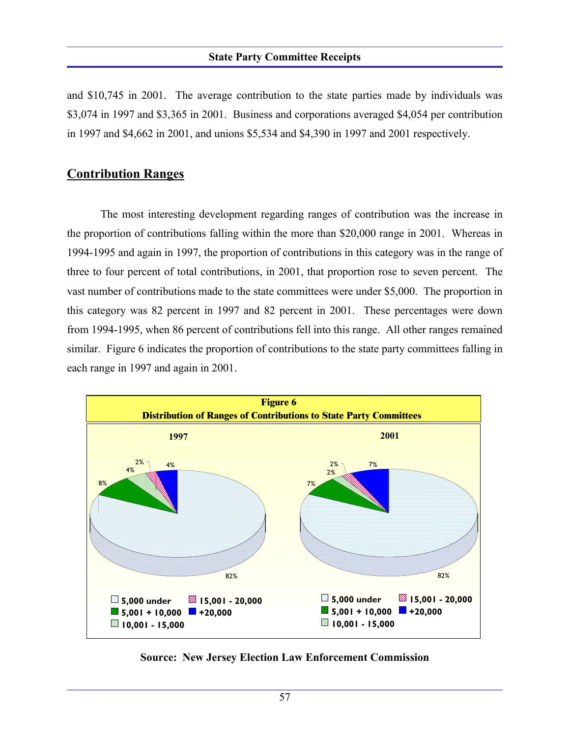#### **State Party Committee Receipts**

and \$10,745 in 2001. The average contribution to the state parties made by individuals was \$3,074 in 1997 and \$3,365 in 2001. Business and corporations averaged \$4,054 per contribution in 1997 and \$4,662 in 2001, and unions \$5,534 and \$4,390 in 1997 and 2001 respectively.

### **Contribution Ranges**

The most interesting development regarding ranges of contribution was the increase in the proportion of contributions falling within the more than \$20,000 range in 2001. Whereas in 1994-1995 and again in 1997, the proportion of contributions in this category was in the range of three to four percent of total contributions, in 2001, that proportion rose to seven percent. The vast number of contributions made to the state committees were under \$5,000. The proportion in this category was 82 percent in 1997 and 82 percent in 2001. These percentages were down from 1994-1995, when 86 percent of contributions fell into this range. All other ranges remained similar. Figure 6 indicates the proportion of contributions to the state party committees falling in each range in 1997 and again in 2001.



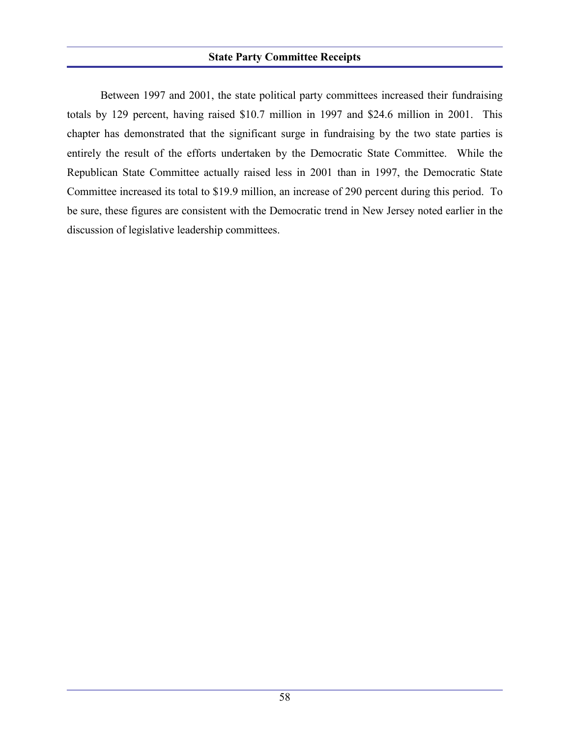Between 1997 and 2001, the state political party committees increased their fundraising totals by 129 percent, having raised \$10.7 million in 1997 and \$24.6 million in 2001. This chapter has demonstrated that the significant surge in fundraising by the two state parties is entirely the result of the efforts undertaken by the Democratic State Committee. While the Republican State Committee actually raised less in 2001 than in 1997, the Democratic State Committee increased its total to \$19.9 million, an increase of 290 percent during this period. To be sure, these figures are consistent with the Democratic trend in New Jersey noted earlier in the discussion of legislative leadership committees.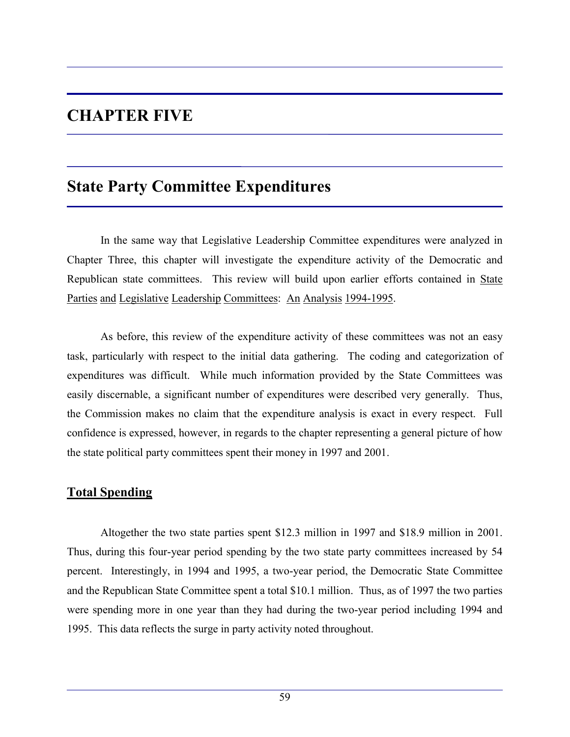# **CHAPTER FIVE**

# **State Party Committee Expenditures**

In the same way that Legislative Leadership Committee expenditures were analyzed in Chapter Three, this chapter will investigate the expenditure activity of the Democratic and Republican state committees. This review will build upon earlier efforts contained in State Parties and Legislative Leadership Committees: An Analysis 1994-1995.

As before, this review of the expenditure activity of these committees was not an easy task, particularly with respect to the initial data gathering. The coding and categorization of expenditures was difficult. While much information provided by the State Committees was easily discernable, a significant number of expenditures were described very generally. Thus, the Commission makes no claim that the expenditure analysis is exact in every respect. Full confidence is expressed, however, in regards to the chapter representing a general picture of how the state political party committees spent their money in 1997 and 2001.

## **Total Spending**

Altogether the two state parties spent \$12.3 million in 1997 and \$18.9 million in 2001. Thus, during this four-year period spending by the two state party committees increased by 54 percent. Interestingly, in 1994 and 1995, a two-year period, the Democratic State Committee and the Republican State Committee spent a total \$10.1 million. Thus, as of 1997 the two parties were spending more in one year than they had during the two-year period including 1994 and 1995. This data reflects the surge in party activity noted throughout.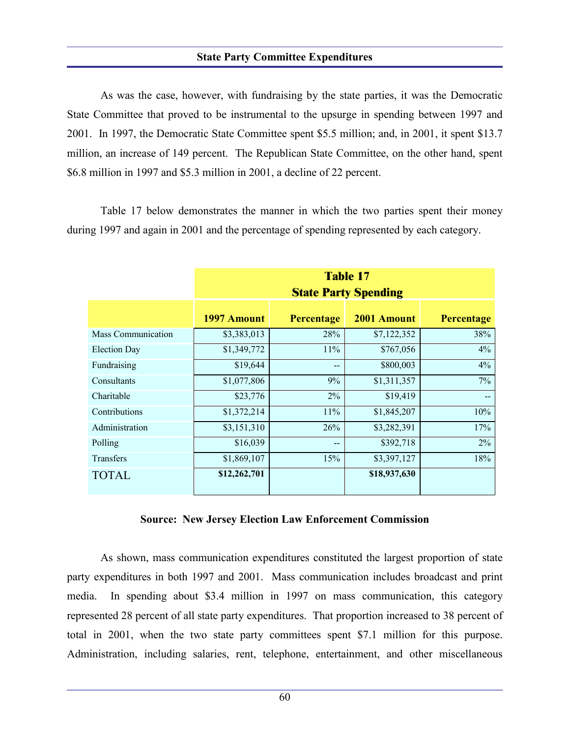#### **State Party Committee Expenditures**

As was the case, however, with fundraising by the state parties, it was the Democratic State Committee that proved to be instrumental to the upsurge in spending between 1997 and 2001. In 1997, the Democratic State Committee spent \$5.5 million; and, in 2001, it spent \$13.7 million, an increase of 149 percent. The Republican State Committee, on the other hand, spent \$6.8 million in 1997 and \$5.3 million in 2001, a decline of 22 percent.

Table 17 below demonstrates the manner in which the two parties spent their money during 1997 and again in 2001 and the percentage of spending represented by each category.

|                           | <b>Table 17</b><br><b>State Party Spending</b> |                          |              |                   |  |  |  |  |  |
|---------------------------|------------------------------------------------|--------------------------|--------------|-------------------|--|--|--|--|--|
|                           | 1997 Amount                                    | <b>Percentage</b>        | 2001 Amount  | <b>Percentage</b> |  |  |  |  |  |
| <b>Mass Communication</b> | \$3,383,013                                    | 28%                      | \$7,122,352  | 38%               |  |  |  |  |  |
| <b>Election Day</b>       | \$1,349,772                                    | 11%                      | \$767,056    | 4%                |  |  |  |  |  |
| Fundraising               | \$19,644                                       | $\overline{\phantom{a}}$ | \$800,003    | 4%                |  |  |  |  |  |
| Consultants               | \$1,077,806                                    | 9%                       | \$1,311,357  | $7\%$             |  |  |  |  |  |
| Charitable                | \$23,776                                       | 2%                       | \$19,419     |                   |  |  |  |  |  |
| Contributions             | \$1,372,214                                    | 11%                      | \$1,845,207  | 10%               |  |  |  |  |  |
| Administration            | \$3,151,310                                    | 26%                      | \$3,282,391  | 17%               |  |  |  |  |  |
| Polling                   | \$16,039                                       | --                       | \$392,718    | 2%                |  |  |  |  |  |
| <b>Transfers</b>          | \$1,869,107                                    | 15%                      | \$3,397,127  | 18%               |  |  |  |  |  |
| <b>TOTAL</b>              | \$12,262,701                                   |                          | \$18,937,630 |                   |  |  |  |  |  |

#### **Source: New Jersey Election Law Enforcement Commission**

As shown, mass communication expenditures constituted the largest proportion of state party expenditures in both 1997 and 2001. Mass communication includes broadcast and print media. In spending about \$3.4 million in 1997 on mass communication, this category represented 28 percent of all state party expenditures. That proportion increased to 38 percent of total in 2001, when the two state party committees spent \$7.1 million for this purpose. Administration, including salaries, rent, telephone, entertainment, and other miscellaneous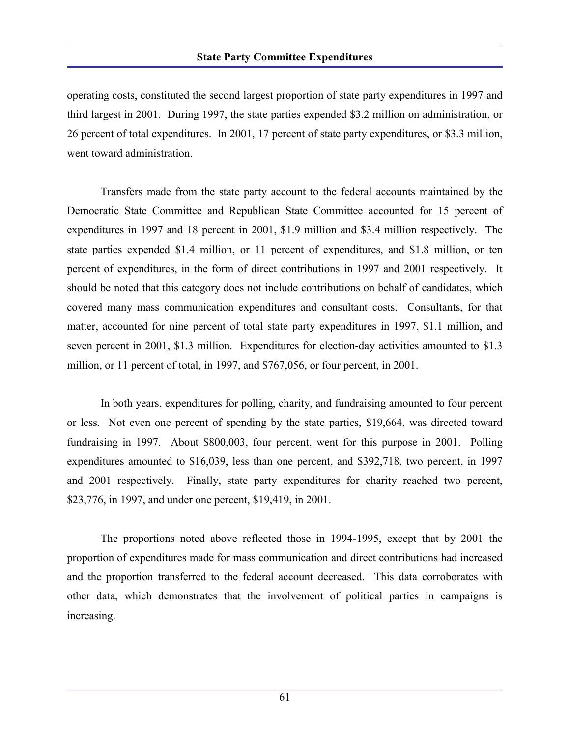#### **State Party Committee Expenditures**

operating costs, constituted the second largest proportion of state party expenditures in 1997 and third largest in 2001. During 1997, the state parties expended \$3.2 million on administration, or 26 percent of total expenditures. In 2001, 17 percent of state party expenditures, or \$3.3 million, went toward administration.

Transfers made from the state party account to the federal accounts maintained by the Democratic State Committee and Republican State Committee accounted for 15 percent of expenditures in 1997 and 18 percent in 2001, \$1.9 million and \$3.4 million respectively. The state parties expended \$1.4 million, or 11 percent of expenditures, and \$1.8 million, or ten percent of expenditures, in the form of direct contributions in 1997 and 2001 respectively. It should be noted that this category does not include contributions on behalf of candidates, which covered many mass communication expenditures and consultant costs. Consultants, for that matter, accounted for nine percent of total state party expenditures in 1997, \$1.1 million, and seven percent in 2001, \$1.3 million. Expenditures for election-day activities amounted to \$1.3 million, or 11 percent of total, in 1997, and \$767,056, or four percent, in 2001.

In both years, expenditures for polling, charity, and fundraising amounted to four percent or less. Not even one percent of spending by the state parties, \$19,664, was directed toward fundraising in 1997. About \$800,003, four percent, went for this purpose in 2001. Polling expenditures amounted to \$16,039, less than one percent, and \$392,718, two percent, in 1997 and 2001 respectively. Finally, state party expenditures for charity reached two percent, \$23,776, in 1997, and under one percent, \$19,419, in 2001.

The proportions noted above reflected those in 1994-1995, except that by 2001 the proportion of expenditures made for mass communication and direct contributions had increased and the proportion transferred to the federal account decreased. This data corroborates with other data, which demonstrates that the involvement of political parties in campaigns is increasing.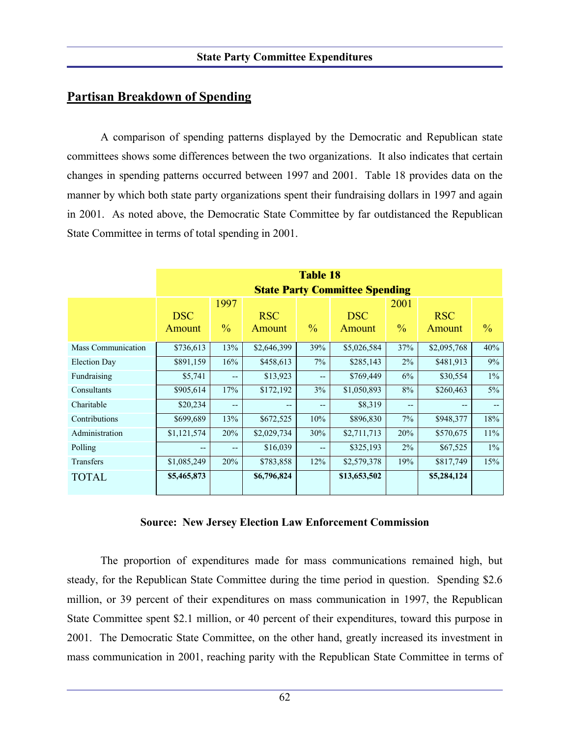## **Partisan Breakdown of Spending**

A comparison of spending patterns displayed by the Democratic and Republican state committees shows some differences between the two organizations. It also indicates that certain changes in spending patterns occurred between 1997 and 2001. Table 18 provides data on the manner by which both state party organizations spent their fundraising dollars in 1997 and again in 2001. As noted above, the Democratic State Committee by far outdistanced the Republican State Committee in terms of total spending in 2001.

|                     | <b>Table 18</b><br><b>State Party Committee Spending</b> |                       |                      |                   |                      |                       |                      |               |  |
|---------------------|----------------------------------------------------------|-----------------------|----------------------|-------------------|----------------------|-----------------------|----------------------|---------------|--|
|                     | <b>DSC</b><br>Amount                                     | 1997<br>$\frac{0}{0}$ | <b>RSC</b><br>Amount | $\frac{0}{0}$     | <b>DSC</b><br>Amount | 2001<br>$\frac{0}{0}$ | <b>RSC</b><br>Amount | $\frac{0}{0}$ |  |
| Mass Communication  | \$736,613                                                | 13%                   | \$2,646,399          | 39%               | \$5,026,584          | 37%                   | \$2,095,768          | 40%           |  |
| <b>Election Day</b> | \$891,159                                                | 16%                   | \$458,613            | $7\%$             | \$285,143            | 2%                    | \$481,913            | 9%            |  |
| Fundraising         | \$5,741                                                  | --                    | \$13,923             | $-$               | \$769,449            | 6%                    | \$30,554             | $1\%$         |  |
| Consultants         | \$905,614                                                | 17%                   | \$172,192            | 3%                | \$1,050,893          | $8\%$                 | \$260,463            | $5\%$         |  |
| Charitable          | \$20,234                                                 | $- -$                 | $\qquad \qquad -$    | --                | \$8,319              | --                    | --                   | $- -$         |  |
| Contributions       | \$699,689                                                | 13%                   | \$672,525            | 10%               | \$896,830            | 7%                    | \$948,377            | 18%           |  |
| Administration      | \$1,121,574                                              | 20%                   | \$2,029,734          | 30%               | \$2,711,713          | 20%                   | \$570,675            | 11%           |  |
| Polling             | $- -$                                                    | $- -$                 | \$16,039             | $\qquad \qquad -$ | \$325,193            | 2%                    | \$67,525             | $1\%$         |  |
| <b>Transfers</b>    | \$1,085,249                                              | 20%                   | \$783,858            | 12%               | \$2,579,378          | 19%                   | \$817,749            | 15%           |  |
| <b>TOTAL</b>        | \$5,465,873                                              |                       | \$6,796,824          |                   | \$13,653,502         |                       | \$5,284,124          |               |  |

#### **Source: New Jersey Election Law Enforcement Commission**

The proportion of expenditures made for mass communications remained high, but steady, for the Republican State Committee during the time period in question. Spending \$2.6 million, or 39 percent of their expenditures on mass communication in 1997, the Republican State Committee spent \$2.1 million, or 40 percent of their expenditures, toward this purpose in 2001. The Democratic State Committee, on the other hand, greatly increased its investment in mass communication in 2001, reaching parity with the Republican State Committee in terms of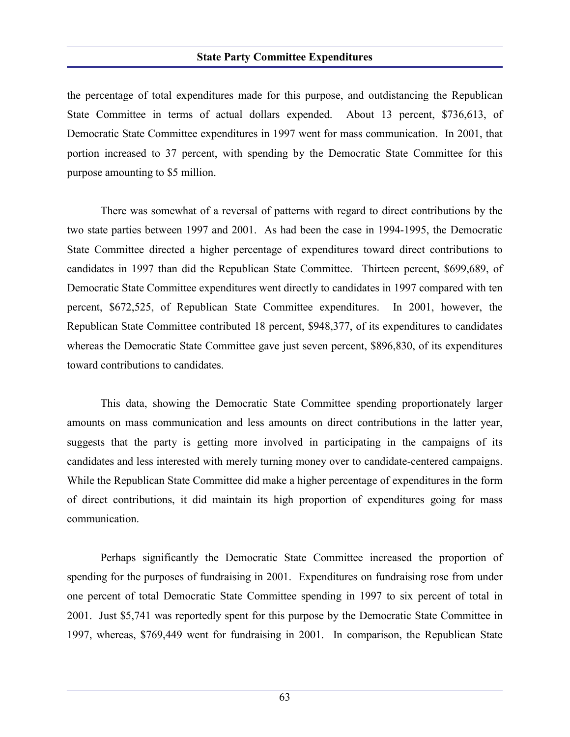#### **State Party Committee Expenditures**

the percentage of total expenditures made for this purpose, and outdistancing the Republican State Committee in terms of actual dollars expended. About 13 percent, \$736,613, of Democratic State Committee expenditures in 1997 went for mass communication. In 2001, that portion increased to 37 percent, with spending by the Democratic State Committee for this purpose amounting to \$5 million.

There was somewhat of a reversal of patterns with regard to direct contributions by the two state parties between 1997 and 2001. As had been the case in 1994-1995, the Democratic State Committee directed a higher percentage of expenditures toward direct contributions to candidates in 1997 than did the Republican State Committee. Thirteen percent, \$699,689, of Democratic State Committee expenditures went directly to candidates in 1997 compared with ten percent, \$672,525, of Republican State Committee expenditures. In 2001, however, the Republican State Committee contributed 18 percent, \$948,377, of its expenditures to candidates whereas the Democratic State Committee gave just seven percent, \$896,830, of its expenditures toward contributions to candidates.

This data, showing the Democratic State Committee spending proportionately larger amounts on mass communication and less amounts on direct contributions in the latter year, suggests that the party is getting more involved in participating in the campaigns of its candidates and less interested with merely turning money over to candidate-centered campaigns. While the Republican State Committee did make a higher percentage of expenditures in the form of direct contributions, it did maintain its high proportion of expenditures going for mass communication.

Perhaps significantly the Democratic State Committee increased the proportion of spending for the purposes of fundraising in 2001. Expenditures on fundraising rose from under one percent of total Democratic State Committee spending in 1997 to six percent of total in 2001. Just \$5,741 was reportedly spent for this purpose by the Democratic State Committee in 1997, whereas, \$769,449 went for fundraising in 2001. In comparison, the Republican State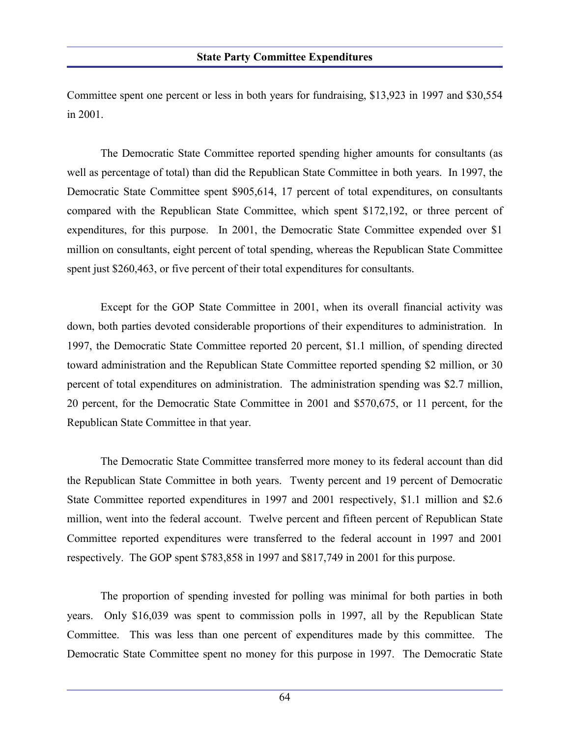Committee spent one percent or less in both years for fundraising, \$13,923 in 1997 and \$30,554 in 2001.

The Democratic State Committee reported spending higher amounts for consultants (as well as percentage of total) than did the Republican State Committee in both years. In 1997, the Democratic State Committee spent \$905,614, 17 percent of total expenditures, on consultants compared with the Republican State Committee, which spent \$172,192, or three percent of expenditures, for this purpose. In 2001, the Democratic State Committee expended over \$1 million on consultants, eight percent of total spending, whereas the Republican State Committee spent just \$260,463, or five percent of their total expenditures for consultants.

Except for the GOP State Committee in 2001, when its overall financial activity was down, both parties devoted considerable proportions of their expenditures to administration. In 1997, the Democratic State Committee reported 20 percent, \$1.1 million, of spending directed toward administration and the Republican State Committee reported spending \$2 million, or 30 percent of total expenditures on administration. The administration spending was \$2.7 million, 20 percent, for the Democratic State Committee in 2001 and \$570,675, or 11 percent, for the Republican State Committee in that year.

The Democratic State Committee transferred more money to its federal account than did the Republican State Committee in both years. Twenty percent and 19 percent of Democratic State Committee reported expenditures in 1997 and 2001 respectively, \$1.1 million and \$2.6 million, went into the federal account. Twelve percent and fifteen percent of Republican State Committee reported expenditures were transferred to the federal account in 1997 and 2001 respectively. The GOP spent \$783,858 in 1997 and \$817,749 in 2001 for this purpose.

The proportion of spending invested for polling was minimal for both parties in both years. Only \$16,039 was spent to commission polls in 1997, all by the Republican State Committee. This was less than one percent of expenditures made by this committee. The Democratic State Committee spent no money for this purpose in 1997. The Democratic State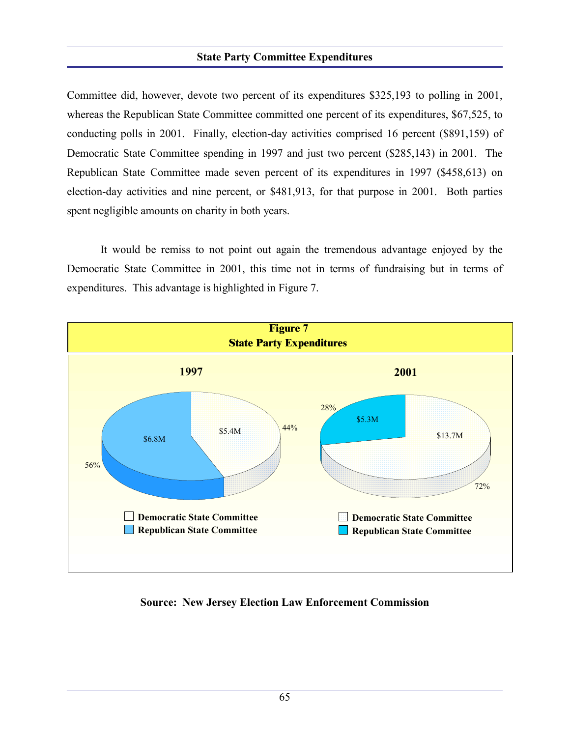#### **State Party Committee Expenditures**

Committee did, however, devote two percent of its expenditures \$325,193 to polling in 2001, whereas the Republican State Committee committed one percent of its expenditures, \$67,525, to conducting polls in 2001. Finally, election-day activities comprised 16 percent (\$891,159) of Democratic State Committee spending in 1997 and just two percent (\$285,143) in 2001. The Republican State Committee made seven percent of its expenditures in 1997 (\$458,613) on election-day activities and nine percent, or \$481,913, for that purpose in 2001. Both parties spent negligible amounts on charity in both years.

It would be remiss to not point out again the tremendous advantage enjoyed by the Democratic State Committee in 2001, this time not in terms of fundraising but in terms of expenditures. This advantage is highlighted in Figure 7.



**Source: New Jersey Election Law Enforcement Commission**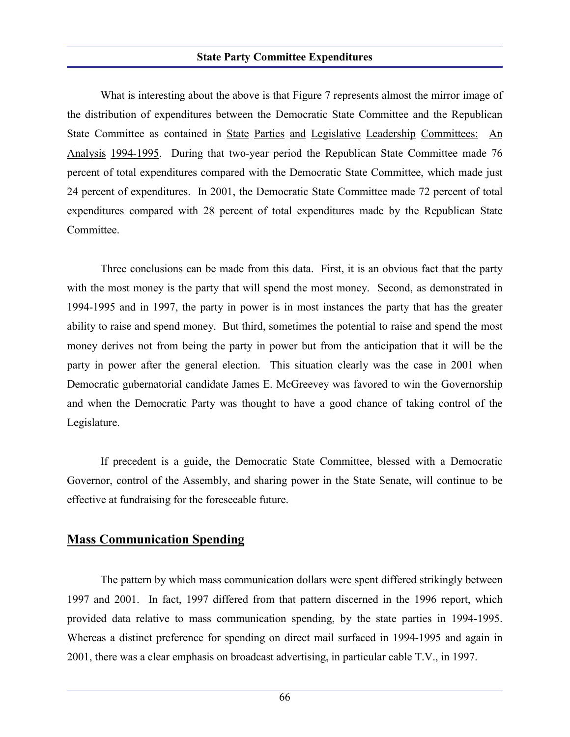#### **State Party Committee Expenditures**

What is interesting about the above is that Figure 7 represents almost the mirror image of the distribution of expenditures between the Democratic State Committee and the Republican State Committee as contained in State Parties and Legislative Leadership Committees: An Analysis 1994-1995. During that two-year period the Republican State Committee made 76 percent of total expenditures compared with the Democratic State Committee, which made just 24 percent of expenditures. In 2001, the Democratic State Committee made 72 percent of total expenditures compared with 28 percent of total expenditures made by the Republican State Committee.

Three conclusions can be made from this data. First, it is an obvious fact that the party with the most money is the party that will spend the most money. Second, as demonstrated in 1994-1995 and in 1997, the party in power is in most instances the party that has the greater ability to raise and spend money. But third, sometimes the potential to raise and spend the most money derives not from being the party in power but from the anticipation that it will be the party in power after the general election. This situation clearly was the case in 2001 when Democratic gubernatorial candidate James E. McGreevey was favored to win the Governorship and when the Democratic Party was thought to have a good chance of taking control of the Legislature.

If precedent is a guide, the Democratic State Committee, blessed with a Democratic Governor, control of the Assembly, and sharing power in the State Senate, will continue to be effective at fundraising for the foreseeable future.

## **Mass Communication Spending**

The pattern by which mass communication dollars were spent differed strikingly between 1997 and 2001. In fact, 1997 differed from that pattern discerned in the 1996 report, which provided data relative to mass communication spending, by the state parties in 1994-1995. Whereas a distinct preference for spending on direct mail surfaced in 1994-1995 and again in 2001, there was a clear emphasis on broadcast advertising, in particular cable T.V., in 1997.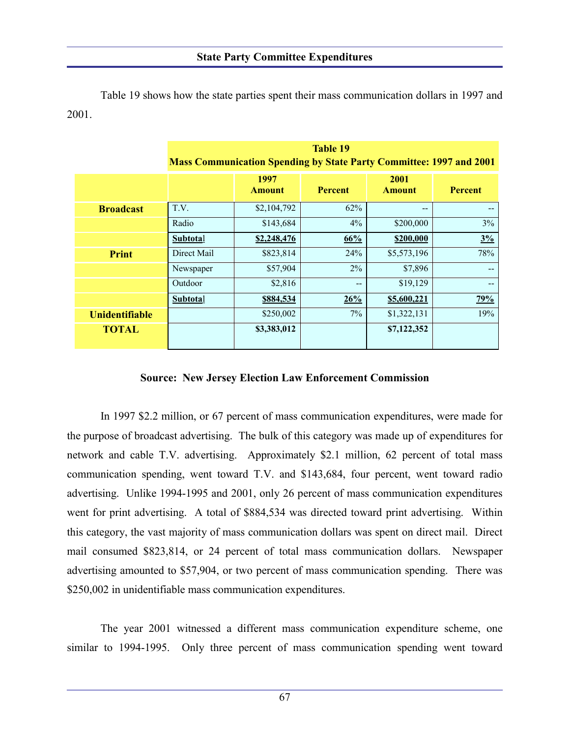Table 19 shows how the state parties spent their mass communication dollars in 1997 and 2001.

|                       | <b>Table 19</b>                                                            |                       |                |                       |                |  |  |  |  |
|-----------------------|----------------------------------------------------------------------------|-----------------------|----------------|-----------------------|----------------|--|--|--|--|
|                       | <b>Mass Communication Spending by State Party Committee: 1997 and 2001</b> |                       |                |                       |                |  |  |  |  |
|                       |                                                                            | 1997<br><b>Amount</b> | <b>Percent</b> | 2001<br><b>Amount</b> | <b>Percent</b> |  |  |  |  |
| <b>Broadcast</b>      | T.V.                                                                       | \$2,104,792           | 62%            | --                    |                |  |  |  |  |
|                       | Radio                                                                      | \$143,684             | $4\%$          | \$200,000             | 3%             |  |  |  |  |
|                       | <b>Subtotal</b>                                                            | \$2,248,476           | 66%            | \$200,000             | 3%             |  |  |  |  |
| <b>Print</b>          | Direct Mail                                                                | \$823,814             | 24%            | \$5,573,196           | 78%            |  |  |  |  |
|                       | Newspaper                                                                  | \$57,904              | 2%             | \$7,896               |                |  |  |  |  |
|                       | Outdoor                                                                    | \$2,816               | $- -$          | \$19,129              |                |  |  |  |  |
|                       | <b>Subtotal</b>                                                            | \$884,534             | 26%            | \$5,600,221           | 79%            |  |  |  |  |
| <b>Unidentifiable</b> |                                                                            | \$250,002             | $7\%$          | \$1,322,131           | 19%            |  |  |  |  |
| <b>TOTAL</b>          |                                                                            | \$3,383,012           |                | \$7,122,352           |                |  |  |  |  |

#### **Source: New Jersey Election Law Enforcement Commission**

In 1997 \$2.2 million, or 67 percent of mass communication expenditures, were made for the purpose of broadcast advertising. The bulk of this category was made up of expenditures for network and cable T.V. advertising. Approximately \$2.1 million, 62 percent of total mass communication spending, went toward T.V. and \$143,684, four percent, went toward radio advertising. Unlike 1994-1995 and 2001, only 26 percent of mass communication expenditures went for print advertising. A total of \$884,534 was directed toward print advertising. Within this category, the vast majority of mass communication dollars was spent on direct mail. Direct mail consumed \$823,814, or 24 percent of total mass communication dollars. Newspaper advertising amounted to \$57,904, or two percent of mass communication spending. There was \$250,002 in unidentifiable mass communication expenditures.

The year 2001 witnessed a different mass communication expenditure scheme, one similar to 1994-1995. Only three percent of mass communication spending went toward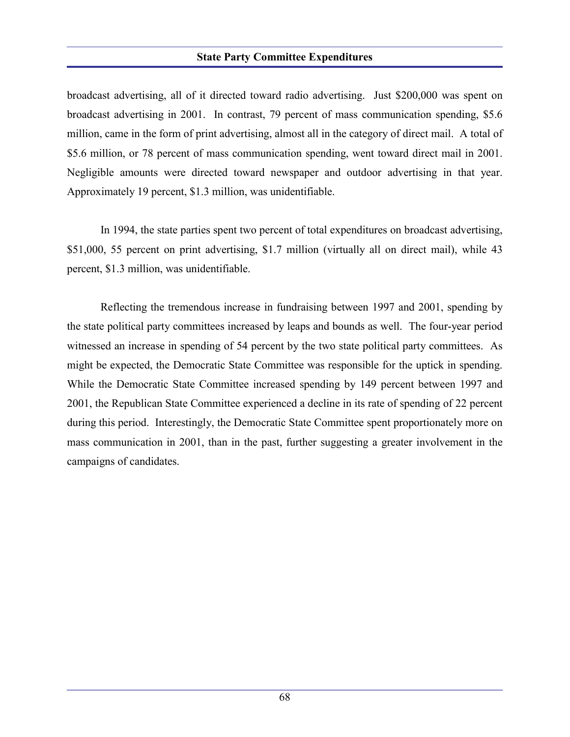#### **State Party Committee Expenditures**

broadcast advertising, all of it directed toward radio advertising. Just \$200,000 was spent on broadcast advertising in 2001. In contrast, 79 percent of mass communication spending, \$5.6 million, came in the form of print advertising, almost all in the category of direct mail. A total of \$5.6 million, or 78 percent of mass communication spending, went toward direct mail in 2001. Negligible amounts were directed toward newspaper and outdoor advertising in that year. Approximately 19 percent, \$1.3 million, was unidentifiable.

In 1994, the state parties spent two percent of total expenditures on broadcast advertising, \$51,000, 55 percent on print advertising, \$1.7 million (virtually all on direct mail), while 43 percent, \$1.3 million, was unidentifiable.

Reflecting the tremendous increase in fundraising between 1997 and 2001, spending by the state political party committees increased by leaps and bounds as well. The four-year period witnessed an increase in spending of 54 percent by the two state political party committees. As might be expected, the Democratic State Committee was responsible for the uptick in spending. While the Democratic State Committee increased spending by 149 percent between 1997 and 2001, the Republican State Committee experienced a decline in its rate of spending of 22 percent during this period. Interestingly, the Democratic State Committee spent proportionately more on mass communication in 2001, than in the past, further suggesting a greater involvement in the campaigns of candidates.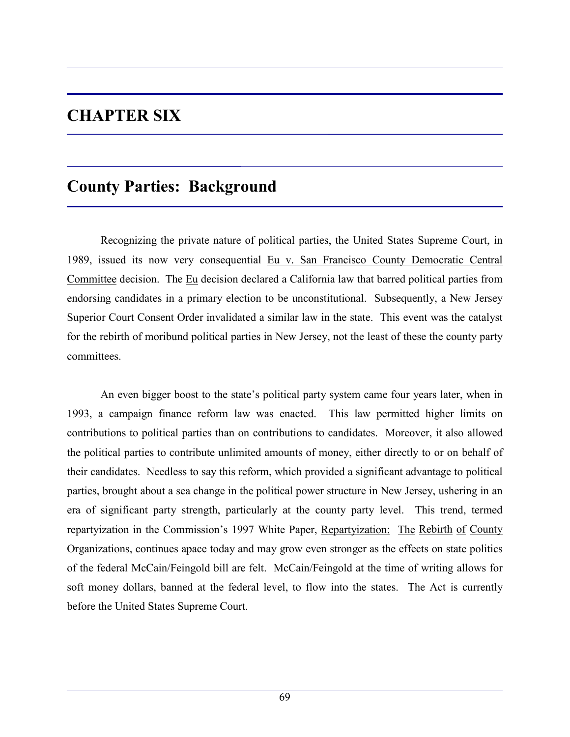# **CHAPTER SIX**

## **County Parties: Background**

Recognizing the private nature of political parties, the United States Supreme Court, in 1989, issued its now very consequential Eu v. San Francisco County Democratic Central Committee decision. The Eu decision declared a California law that barred political parties from endorsing candidates in a primary election to be unconstitutional. Subsequently, a New Jersey Superior Court Consent Order invalidated a similar law in the state. This event was the catalyst for the rebirth of moribund political parties in New Jersey, not the least of these the county party committees.

An even bigger boost to the state's political party system came four years later, when in 1993, a campaign finance reform law was enacted. This law permitted higher limits on contributions to political parties than on contributions to candidates. Moreover, it also allowed the political parties to contribute unlimited amounts of money, either directly to or on behalf of their candidates. Needless to say this reform, which provided a significant advantage to political parties, brought about a sea change in the political power structure in New Jersey, ushering in an era of significant party strength, particularly at the county party level. This trend, termed repartyization in the Commission's 1997 White Paper, Repartyization: The Rebirth of County Organizations, continues apace today and may grow even stronger as the effects on state politics of the federal McCain/Feingold bill are felt. McCain/Feingold at the time of writing allows for soft money dollars, banned at the federal level, to flow into the states. The Act is currently before the United States Supreme Court.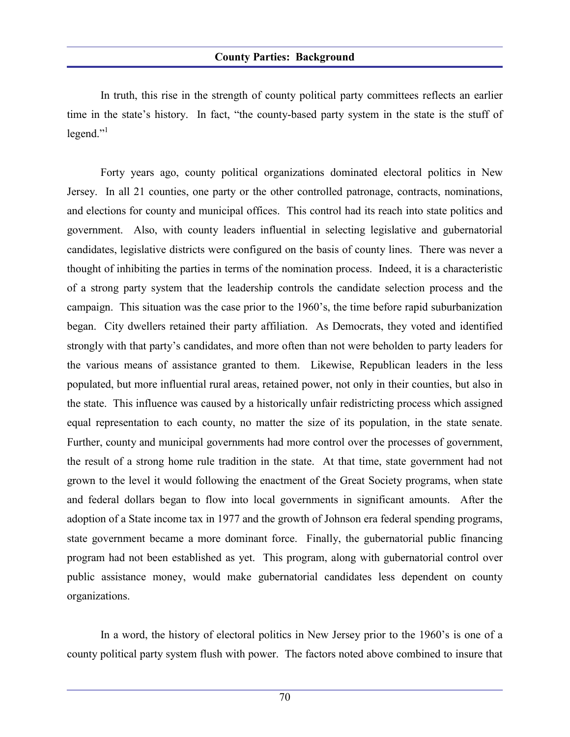In truth, this rise in the strength of county political party committees reflects an earlier time in the state's history. In fact, "the county-based party system in the state is the stuff of  $legend.$ "

Forty years ago, county political organizations dominated electoral politics in New Jersey. In all 21 counties, one party or the other controlled patronage, contracts, nominations, and elections for county and municipal offices. This control had its reach into state politics and government. Also, with county leaders influential in selecting legislative and gubernatorial candidates, legislative districts were configured on the basis of county lines. There was never a thought of inhibiting the parties in terms of the nomination process. Indeed, it is a characteristic of a strong party system that the leadership controls the candidate selection process and the campaign. This situation was the case prior to the 1960's, the time before rapid suburbanization began. City dwellers retained their party affiliation. As Democrats, they voted and identified strongly with that party's candidates, and more often than not were beholden to party leaders for the various means of assistance granted to them. Likewise, Republican leaders in the less populated, but more influential rural areas, retained power, not only in their counties, but also in the state. This influence was caused by a historically unfair redistricting process which assigned equal representation to each county, no matter the size of its population, in the state senate. Further, county and municipal governments had more control over the processes of government, the result of a strong home rule tradition in the state. At that time, state government had not grown to the level it would following the enactment of the Great Society programs, when state and federal dollars began to flow into local governments in significant amounts. After the adoption of a State income tax in 1977 and the growth of Johnson era federal spending programs, state government became a more dominant force. Finally, the gubernatorial public financing program had not been established as yet. This program, along with gubernatorial control over public assistance money, would make gubernatorial candidates less dependent on county organizations.

In a word, the history of electoral politics in New Jersey prior to the 1960's is one of a county political party system flush with power. The factors noted above combined to insure that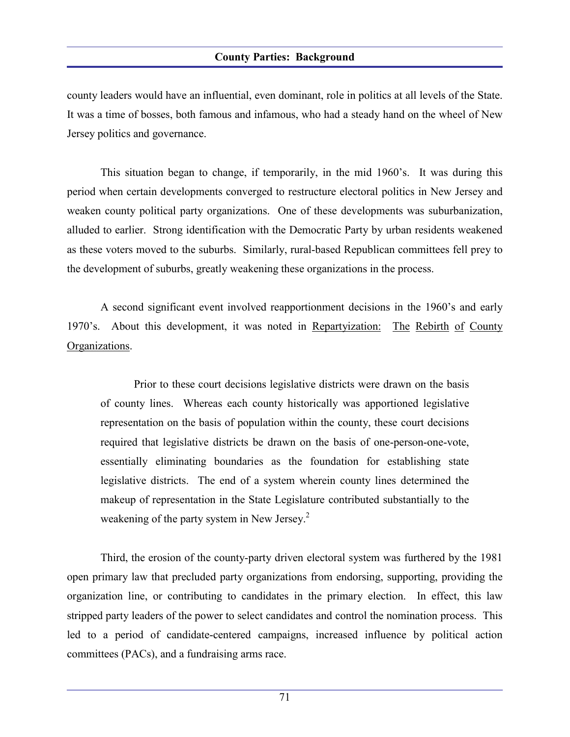#### **County Parties: Background**

county leaders would have an influential, even dominant, role in politics at all levels of the State. It was a time of bosses, both famous and infamous, who had a steady hand on the wheel of New Jersey politics and governance.

This situation began to change, if temporarily, in the mid 1960's. It was during this period when certain developments converged to restructure electoral politics in New Jersey and weaken county political party organizations. One of these developments was suburbanization, alluded to earlier. Strong identification with the Democratic Party by urban residents weakened as these voters moved to the suburbs. Similarly, rural-based Republican committees fell prey to the development of suburbs, greatly weakening these organizations in the process.

A second significant event involved reapportionment decisions in the 1960's and early 1970's. About this development, it was noted in Repartyization: The Rebirth of County Organizations.

Prior to these court decisions legislative districts were drawn on the basis of county lines. Whereas each county historically was apportioned legislative representation on the basis of population within the county, these court decisions required that legislative districts be drawn on the basis of one-person-one-vote, essentially eliminating boundaries as the foundation for establishing state legislative districts. The end of a system wherein county lines determined the makeup of representation in the State Legislature contributed substantially to the weakening of the party system in New Jersey.<sup>2</sup>

Third, the erosion of the county-party driven electoral system was furthered by the 1981 open primary law that precluded party organizations from endorsing, supporting, providing the organization line, or contributing to candidates in the primary election. In effect, this law stripped party leaders of the power to select candidates and control the nomination process. This led to a period of candidate-centered campaigns, increased influence by political action committees (PACs), and a fundraising arms race.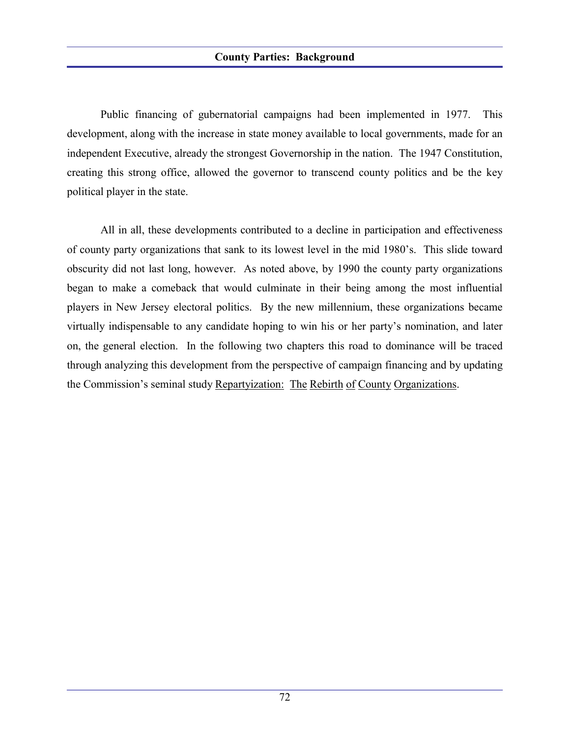Public financing of gubernatorial campaigns had been implemented in 1977. This development, along with the increase in state money available to local governments, made for an independent Executive, already the strongest Governorship in the nation. The 1947 Constitution, creating this strong office, allowed the governor to transcend county politics and be the key political player in the state.

All in all, these developments contributed to a decline in participation and effectiveness of county party organizations that sank to its lowest level in the mid 1980's. This slide toward obscurity did not last long, however. As noted above, by 1990 the county party organizations began to make a comeback that would culminate in their being among the most influential players in New Jersey electoral politics. By the new millennium, these organizations became virtually indispensable to any candidate hoping to win his or her party's nomination, and later on, the general election. In the following two chapters this road to dominance will be traced through analyzing this development from the perspective of campaign financing and by updating the Commission's seminal study Repartyization: The Rebirth of County Organizations.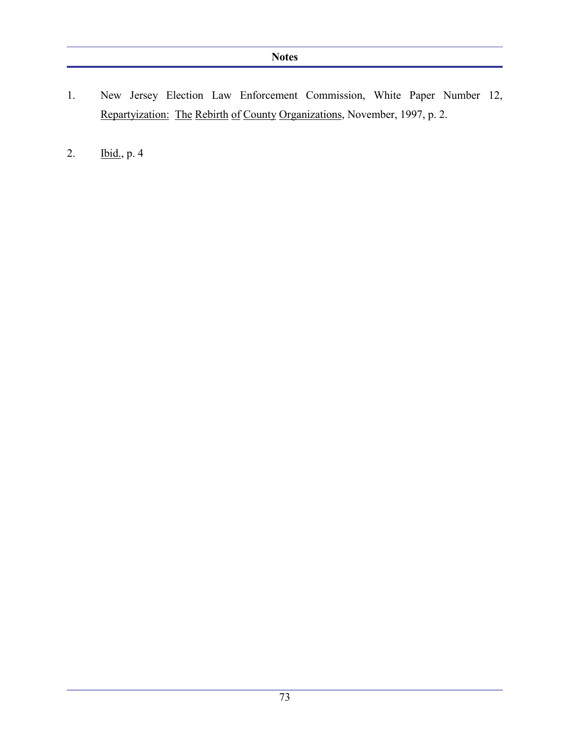- 1. New Jersey Election Law Enforcement Commission, White Paper Number 12, Repartyization: The Rebirth of County Organizations, November, 1997, p. 2.
- 2. Ibid., p. 4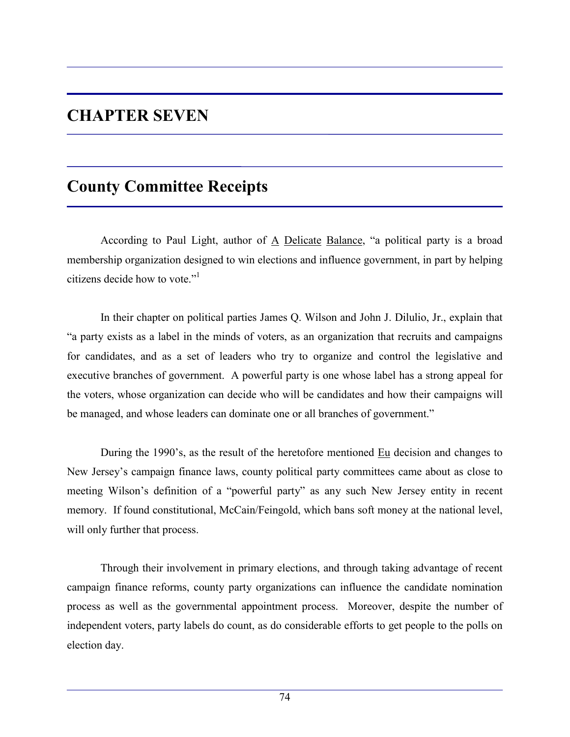# **CHAPTER SEVEN**

# **County Committee Receipts**

According to Paul Light, author of  $\overline{A}$  Delicate Balance, "a political party is a broad membership organization designed to win elections and influence government, in part by helping citizens decide how to vote."

In their chapter on political parties James Q. Wilson and John J. Dilulio, Jr., explain that "a party exists as a label in the minds of voters, as an organization that recruits and campaigns for candidates, and as a set of leaders who try to organize and control the legislative and executive branches of government. A powerful party is one whose label has a strong appeal for the voters, whose organization can decide who will be candidates and how their campaigns will be managed, and whose leaders can dominate one or all branches of government."

During the 1990's, as the result of the heretofore mentioned Eu decision and changes to New Jersey's campaign finance laws, county political party committees came about as close to meeting Wilson's definition of a "powerful party" as any such New Jersey entity in recent memory. If found constitutional, McCain/Feingold, which bans soft money at the national level, will only further that process.

Through their involvement in primary elections, and through taking advantage of recent campaign finance reforms, county party organizations can influence the candidate nomination process as well as the governmental appointment process. Moreover, despite the number of independent voters, party labels do count, as do considerable efforts to get people to the polls on election day.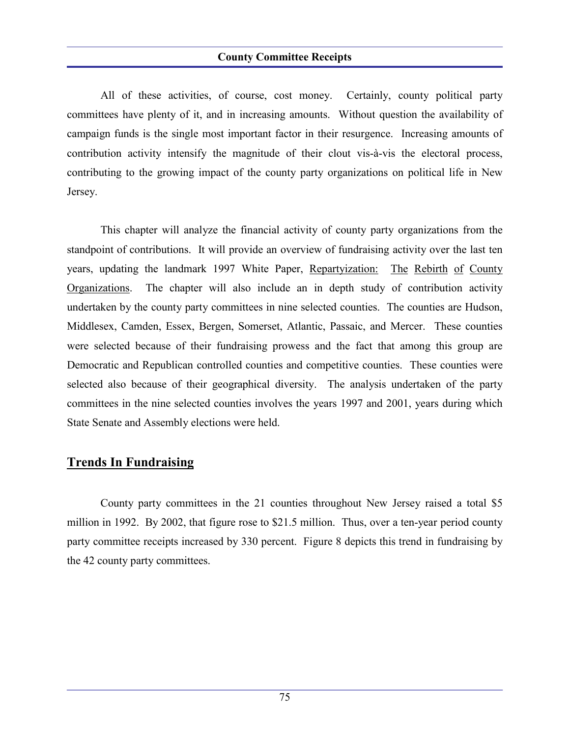All of these activities, of course, cost money. Certainly, county political party committees have plenty of it, and in increasing amounts. Without question the availability of campaign funds is the single most important factor in their resurgence. Increasing amounts of contribution activity intensify the magnitude of their clout vis-à-vis the electoral process, contributing to the growing impact of the county party organizations on political life in New Jersey.

This chapter will analyze the financial activity of county party organizations from the standpoint of contributions. It will provide an overview of fundraising activity over the last ten years, updating the landmark 1997 White Paper, Repartyization: The Rebirth of County Organizations. The chapter will also include an in depth study of contribution activity undertaken by the county party committees in nine selected counties. The counties are Hudson, Middlesex, Camden, Essex, Bergen, Somerset, Atlantic, Passaic, and Mercer. These counties were selected because of their fundraising prowess and the fact that among this group are Democratic and Republican controlled counties and competitive counties. These counties were selected also because of their geographical diversity. The analysis undertaken of the party committees in the nine selected counties involves the years 1997 and 2001, years during which State Senate and Assembly elections were held.

## **Trends In Fundraising**

County party committees in the 21 counties throughout New Jersey raised a total \$5 million in 1992. By 2002, that figure rose to \$21.5 million. Thus, over a ten-year period county party committee receipts increased by 330 percent. Figure 8 depicts this trend in fundraising by the 42 county party committees.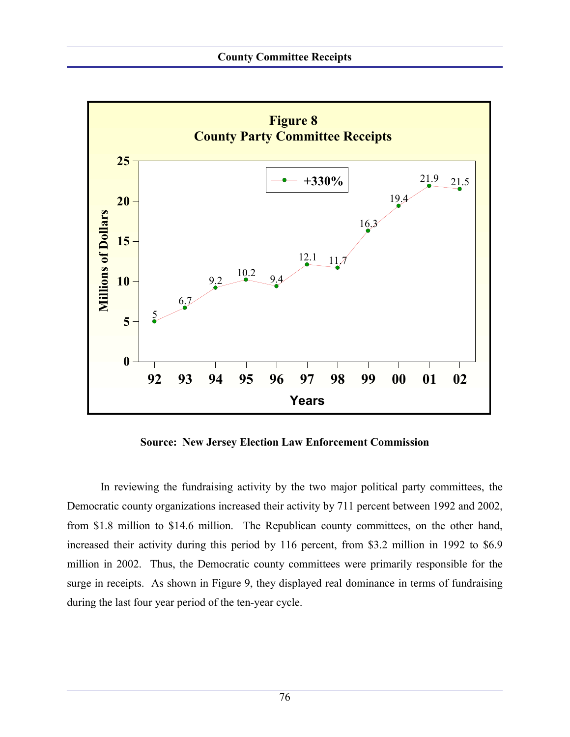

**Source: New Jersey Election Law Enforcement Commission**

In reviewing the fundraising activity by the two major political party committees, the Democratic county organizations increased their activity by 711 percent between 1992 and 2002, from \$1.8 million to \$14.6 million. The Republican county committees, on the other hand, increased their activity during this period by 116 percent, from \$3.2 million in 1992 to \$6.9 million in 2002. Thus, the Democratic county committees were primarily responsible for the surge in receipts. As shown in Figure 9, they displayed real dominance in terms of fundraising during the last four year period of the ten-year cycle.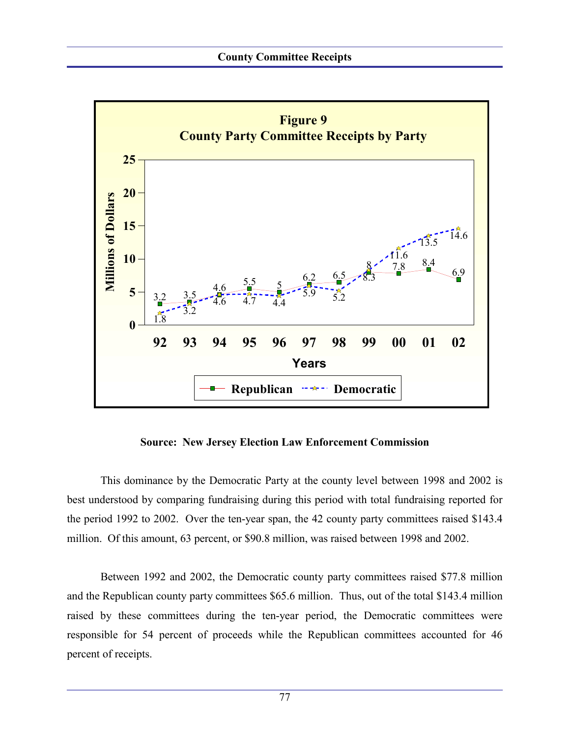

**Source: New Jersey Election Law Enforcement Commission**

This dominance by the Democratic Party at the county level between 1998 and 2002 is best understood by comparing fundraising during this period with total fundraising reported for the period 1992 to 2002. Over the ten-year span, the 42 county party committees raised \$143.4 million. Of this amount, 63 percent, or \$90.8 million, was raised between 1998 and 2002.

Between 1992 and 2002, the Democratic county party committees raised \$77.8 million and the Republican county party committees \$65.6 million. Thus, out of the total \$143.4 million raised by these committees during the ten-year period, the Democratic committees were responsible for 54 percent of proceeds while the Republican committees accounted for 46 percent of receipts.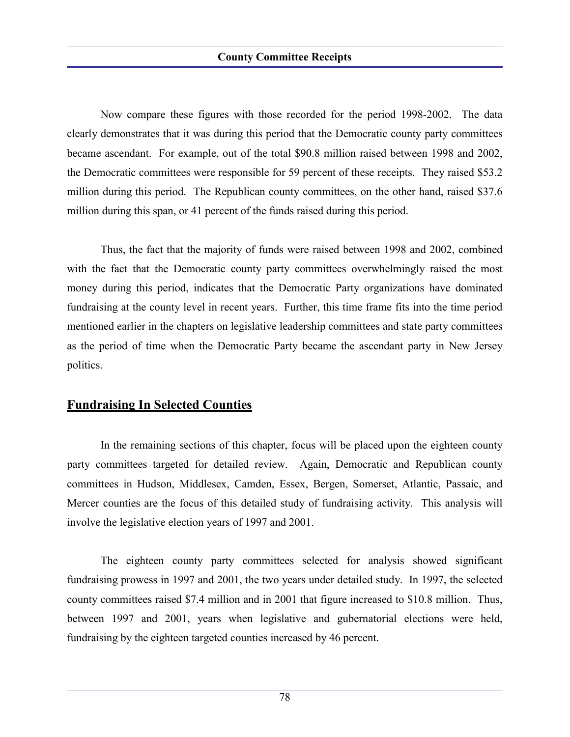Now compare these figures with those recorded for the period 1998-2002. The data clearly demonstrates that it was during this period that the Democratic county party committees became ascendant. For example, out of the total \$90.8 million raised between 1998 and 2002, the Democratic committees were responsible for 59 percent of these receipts. They raised \$53.2 million during this period. The Republican county committees, on the other hand, raised \$37.6 million during this span, or 41 percent of the funds raised during this period.

Thus, the fact that the majority of funds were raised between 1998 and 2002, combined with the fact that the Democratic county party committees overwhelmingly raised the most money during this period, indicates that the Democratic Party organizations have dominated fundraising at the county level in recent years. Further, this time frame fits into the time period mentioned earlier in the chapters on legislative leadership committees and state party committees as the period of time when the Democratic Party became the ascendant party in New Jersey politics.

## **Fundraising In Selected Counties**

In the remaining sections of this chapter, focus will be placed upon the eighteen county party committees targeted for detailed review. Again, Democratic and Republican county committees in Hudson, Middlesex, Camden, Essex, Bergen, Somerset, Atlantic, Passaic, and Mercer counties are the focus of this detailed study of fundraising activity. This analysis will involve the legislative election years of 1997 and 2001.

The eighteen county party committees selected for analysis showed significant fundraising prowess in 1997 and 2001, the two years under detailed study. In 1997, the selected county committees raised \$7.4 million and in 2001 that figure increased to \$10.8 million. Thus, between 1997 and 2001, years when legislative and gubernatorial elections were held, fundraising by the eighteen targeted counties increased by 46 percent.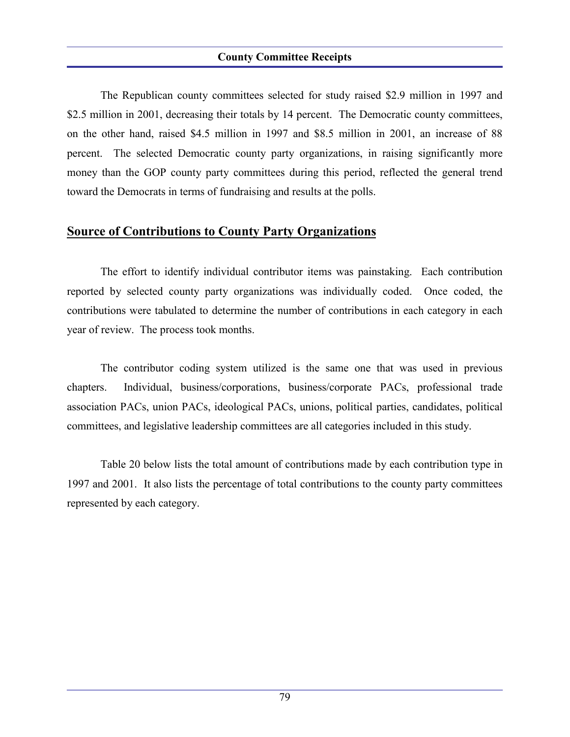The Republican county committees selected for study raised \$2.9 million in 1997 and \$2.5 million in 2001, decreasing their totals by 14 percent. The Democratic county committees, on the other hand, raised \$4.5 million in 1997 and \$8.5 million in 2001, an increase of 88 percent. The selected Democratic county party organizations, in raising significantly more money than the GOP county party committees during this period, reflected the general trend toward the Democrats in terms of fundraising and results at the polls.

### **Source of Contributions to County Party Organizations**

The effort to identify individual contributor items was painstaking. Each contribution reported by selected county party organizations was individually coded. Once coded, the contributions were tabulated to determine the number of contributions in each category in each year of review. The process took months.

The contributor coding system utilized is the same one that was used in previous chapters. Individual, business/corporations, business/corporate PACs, professional trade association PACs, union PACs, ideological PACs, unions, political parties, candidates, political committees, and legislative leadership committees are all categories included in this study.

Table 20 below lists the total amount of contributions made by each contribution type in 1997 and 2001. It also lists the percentage of total contributions to the county party committees represented by each category.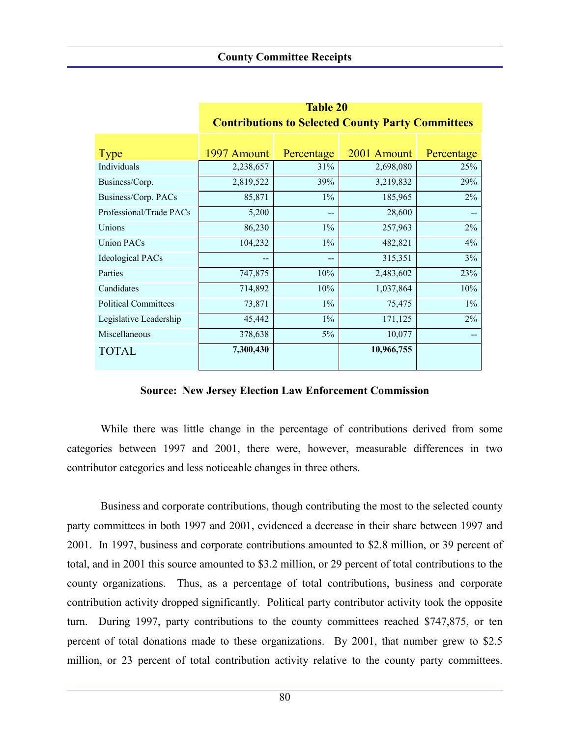**Table 20**

|                             | <b>Contributions to Selected County Party Committees</b> |            |             |            |  |  |  |  |
|-----------------------------|----------------------------------------------------------|------------|-------------|------------|--|--|--|--|
|                             |                                                          |            |             |            |  |  |  |  |
|                             |                                                          |            |             |            |  |  |  |  |
| <b>Type</b>                 | 1997 Amount                                              | Percentage | 2001 Amount | Percentage |  |  |  |  |
| Individuals                 | 2,238,657                                                | 31%        | 2,698,080   | 25%        |  |  |  |  |
| Business/Corp.              | 2,819,522                                                | 39%        | 3,219,832   | 29%        |  |  |  |  |
| Business/Corp. PACs         | 85,871                                                   | $1\%$      | 185,965     | $2\%$      |  |  |  |  |
| Professional/Trade PACs     | 5,200                                                    | --         | 28,600      |            |  |  |  |  |
| Unions                      | 86,230                                                   | $1\%$      | 257,963     | $2\%$      |  |  |  |  |
| <b>Union PACs</b>           | 104,232                                                  | $1\%$      | 482,821     | $4\%$      |  |  |  |  |
| <b>Ideological PACs</b>     |                                                          | --         | 315,351     | 3%         |  |  |  |  |
| Parties                     | 747,875                                                  | 10%        | 2,483,602   | 23%        |  |  |  |  |
| Candidates                  | 714,892                                                  | 10%        | 1,037,864   | 10%        |  |  |  |  |
| <b>Political Committees</b> | 73,871                                                   | $1\%$      | 75,475      | $1\%$      |  |  |  |  |
| Legislative Leadership      | 45,442                                                   | $1\%$      | 171,125     | $2\%$      |  |  |  |  |
| Miscellaneous               | 378,638                                                  | $5\%$      | 10,077      |            |  |  |  |  |
| <b>TOTAL</b>                | 7,300,430                                                |            | 10,966,755  |            |  |  |  |  |

**Source: New Jersey Election Law Enforcement Commission**

While there was little change in the percentage of contributions derived from some categories between 1997 and 2001, there were, however, measurable differences in two contributor categories and less noticeable changes in three others.

Business and corporate contributions, though contributing the most to the selected county party committees in both 1997 and 2001, evidenced a decrease in their share between 1997 and 2001. In 1997, business and corporate contributions amounted to \$2.8 million, or 39 percent of total, and in 2001 this source amounted to \$3.2 million, or 29 percent of total contributions to the county organizations. Thus, as a percentage of total contributions, business and corporate contribution activity dropped significantly. Political party contributor activity took the opposite turn. During 1997, party contributions to the county committees reached \$747,875, or ten percent of total donations made to these organizations. By 2001, that number grew to \$2.5 million, or 23 percent of total contribution activity relative to the county party committees.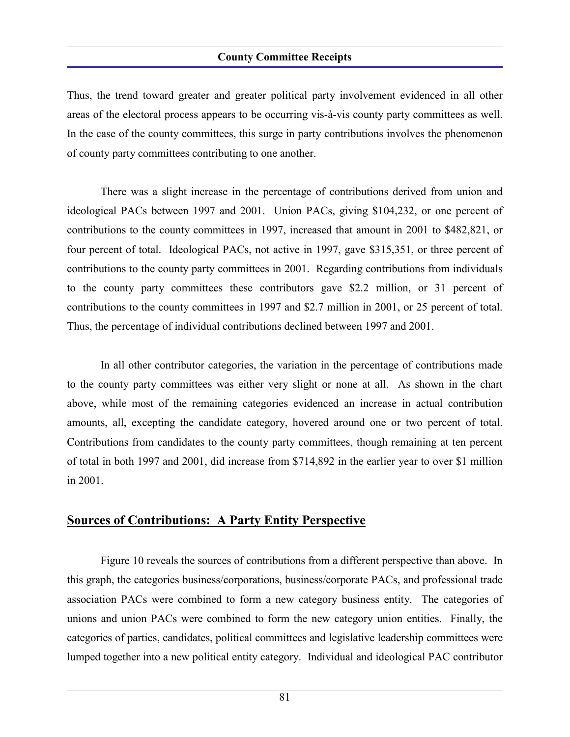Thus, the trend toward greater and greater political party involvement evidenced in all other areas of the electoral process appears to be occurring vis-à-vis county party committees as well. In the case of the county committees, this surge in party contributions involves the phenomenon of county party committees contributing to one another.

There was a slight increase in the percentage of contributions derived from union and ideological PACs between 1997 and 2001. Union PACs, giving \$104,232, or one percent of contributions to the county committees in 1997, increased that amount in 2001 to \$482,821, or four percent of total. Ideological PACs, not active in 1997, gave \$315,351, or three percent of contributions to the county party committees in 2001. Regarding contributions from individuals to the county party committees these contributors gave \$2.2 million, or 31 percent of contributions to the county committees in 1997 and \$2.7 million in 2001, or 25 percent of total. Thus, the percentage of individual contributions declined between 1997 and 2001.

In all other contributor categories, the variation in the percentage of contributions made to the county party committees was either very slight or none at all. As shown in the chart above, while most of the remaining categories evidenced an increase in actual contribution amounts, all, excepting the candidate category, hovered around one or two percent of total. Contributions from candidates to the county party committees, though remaining at ten percent of total in both 1997 and 2001, did increase from \$714,892 in the earlier year to over \$1 million in 2001.

## **Sources of Contributions: A Party Entity Perspective**

Figure 10 reveals the sources of contributions from a different perspective than above. In this graph, the categories business/corporations, business/corporate PACs, and professional trade association PACs were combined to form a new category business entity. The categories of unions and union PACs were combined to form the new category union entities. Finally, the categories of parties, candidates, political committees and legislative leadership committees were lumped together into a new political entity category. Individual and ideological PAC contributor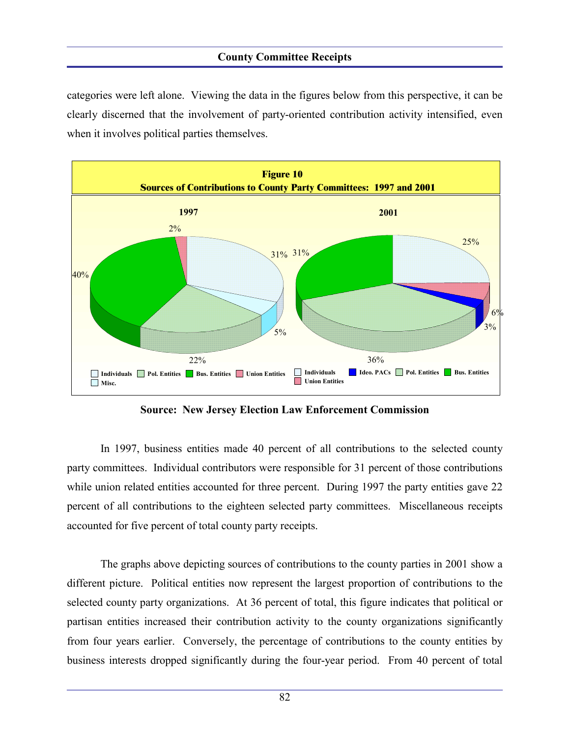categories were left alone. Viewing the data in the figures below from this perspective, it can be clearly discerned that the involvement of party-oriented contribution activity intensified, even when it involves political parties themselves.



**Source: New Jersey Election Law Enforcement Commission**

In 1997, business entities made 40 percent of all contributions to the selected county party committees. Individual contributors were responsible for 31 percent of those contributions while union related entities accounted for three percent. During 1997 the party entities gave 22 percent of all contributions to the eighteen selected party committees. Miscellaneous receipts accounted for five percent of total county party receipts.

The graphs above depicting sources of contributions to the county parties in 2001 show a different picture. Political entities now represent the largest proportion of contributions to the selected county party organizations. At 36 percent of total, this figure indicates that political or partisan entities increased their contribution activity to the county organizations significantly from four years earlier. Conversely, the percentage of contributions to the county entities by business interests dropped significantly during the four-year period. From 40 percent of total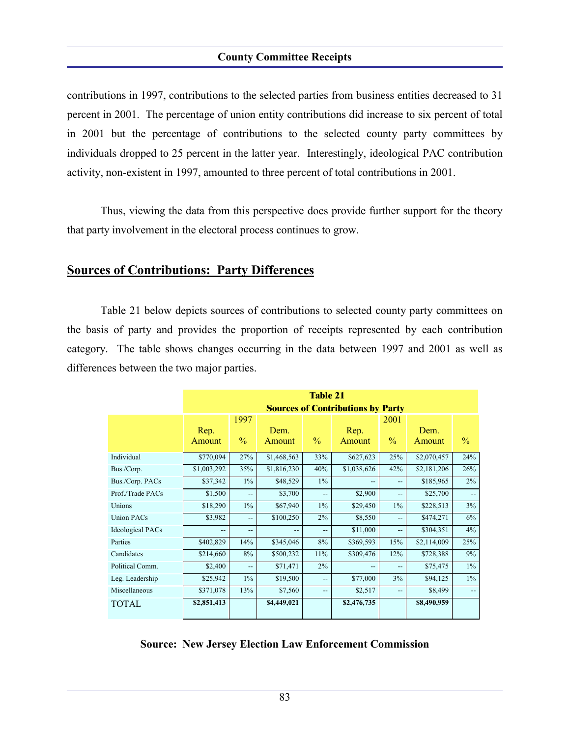contributions in 1997, contributions to the selected parties from business entities decreased to 31 percent in 2001. The percentage of union entity contributions did increase to six percent of total in 2001 but the percentage of contributions to the selected county party committees by individuals dropped to 25 percent in the latter year. Interestingly, ideological PAC contribution activity, non-existent in 1997, amounted to three percent of total contributions in 2001.

Thus, viewing the data from this perspective does provide further support for the theory that party involvement in the electoral process continues to grow.

### **Sources of Contributions: Party Differences**

Table 21 below depicts sources of contributions to selected county party committees on the basis of party and provides the proportion of receipts represented by each contribution category. The table shows changes occurring in the data between 1997 and 2001 as well as differences between the two major parties.

|                         | <b>Table 21</b>                          |               |             |                |             |                          |             |               |  |
|-------------------------|------------------------------------------|---------------|-------------|----------------|-------------|--------------------------|-------------|---------------|--|
|                         | <b>Sources of Contributions by Party</b> |               |             |                |             |                          |             |               |  |
|                         | 1997<br>2001                             |               |             |                |             |                          |             |               |  |
|                         | Rep.                                     |               | Dem.        |                | Rep.        |                          | Dem.        |               |  |
|                         | Amount                                   | $\frac{0}{0}$ | Amount      | $\frac{0}{0}$  | Amount      | $\frac{0}{0}$            | Amount      | $\frac{0}{0}$ |  |
| Individual              | \$770,094                                | 27%           | \$1,468,563 | 33%            | \$627,623   | 25%                      | \$2,070,457 | 24%           |  |
| Bus./Corp.              | \$1,003,292                              | 35%           | \$1,816,230 | 40%            | \$1,038,626 | 42%                      | \$2,181,206 | 26%           |  |
| Bus./Corp. PACs         | \$37,342                                 | $1\%$         | \$48,529    | $1\%$          |             | $\overline{\phantom{a}}$ | \$185,965   | 2%            |  |
| Prof./Trade PACs        | \$1,500                                  | --            | \$3,700     | $\overline{a}$ | \$2,900     | $\overline{\phantom{a}}$ | \$25,700    | $-$           |  |
| Unions                  | \$18,290                                 | $1\%$         | \$67,940    | $1\%$          | \$29,450    | $1\%$                    | \$228,513   | 3%            |  |
| <b>Union PACs</b>       | \$3,982                                  | --            | \$100,250   | 2%             | \$8,550     | --                       | \$474,271   | 6%            |  |
| <b>Ideological PACs</b> |                                          | --            |             | --             | \$11,000    | --                       | \$304,351   | 4%            |  |
| Parties                 | \$402,829                                | 14%           | \$345,046   | 8%             | \$369,593   | 15%                      | \$2,114,009 | 25%           |  |
| Candidates              | \$214,660                                | 8%            | \$500,232   | 11%            | \$309,476   | 12%                      | \$728,388   | 9%            |  |
| Political Comm.         | \$2,400                                  | --            | \$71,471    | 2%             |             | $\overline{\phantom{a}}$ | \$75,475    | $1\%$         |  |
| Leg. Leadership         | \$25,942                                 | $1\%$         | \$19,500    | $\overline{a}$ | \$77,000    | 3%                       | \$94,125    | $1\%$         |  |
| Miscellaneous           | \$371,078                                | 13%           | \$7,560     | $\overline{a}$ | \$2,517     | $\overline{a}$           | \$8,499     |               |  |
| <b>TOTAL</b>            | \$2,851,413                              |               | \$4,449,021 |                | \$2,476,735 |                          | \$8,490,959 |               |  |

#### **Source: New Jersey Election Law Enforcement Commission**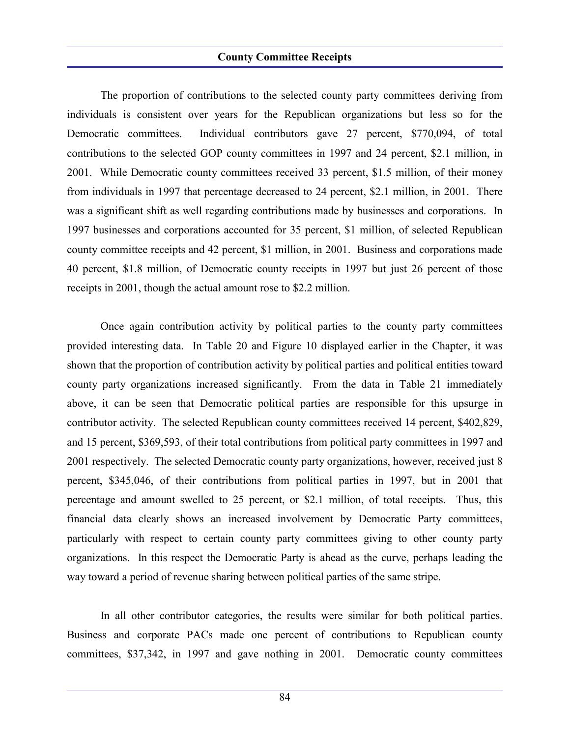The proportion of contributions to the selected county party committees deriving from individuals is consistent over years for the Republican organizations but less so for the Democratic committees. Individual contributors gave 27 percent, \$770,094, of total contributions to the selected GOP county committees in 1997 and 24 percent, \$2.1 million, in 2001. While Democratic county committees received 33 percent, \$1.5 million, of their money from individuals in 1997 that percentage decreased to 24 percent, \$2.1 million, in 2001. There was a significant shift as well regarding contributions made by businesses and corporations. In 1997 businesses and corporations accounted for 35 percent, \$1 million, of selected Republican county committee receipts and 42 percent, \$1 million, in 2001. Business and corporations made 40 percent, \$1.8 million, of Democratic county receipts in 1997 but just 26 percent of those receipts in 2001, though the actual amount rose to \$2.2 million.

Once again contribution activity by political parties to the county party committees provided interesting data. In Table 20 and Figure 10 displayed earlier in the Chapter, it was shown that the proportion of contribution activity by political parties and political entities toward county party organizations increased significantly. From the data in Table 21 immediately above, it can be seen that Democratic political parties are responsible for this upsurge in contributor activity. The selected Republican county committees received 14 percent, \$402,829, and 15 percent, \$369,593, of their total contributions from political party committees in 1997 and 2001 respectively. The selected Democratic county party organizations, however, received just 8 percent, \$345,046, of their contributions from political parties in 1997, but in 2001 that percentage and amount swelled to 25 percent, or \$2.1 million, of total receipts. Thus, this financial data clearly shows an increased involvement by Democratic Party committees, particularly with respect to certain county party committees giving to other county party organizations. In this respect the Democratic Party is ahead as the curve, perhaps leading the way toward a period of revenue sharing between political parties of the same stripe.

In all other contributor categories, the results were similar for both political parties. Business and corporate PACs made one percent of contributions to Republican county committees, \$37,342, in 1997 and gave nothing in 2001. Democratic county committees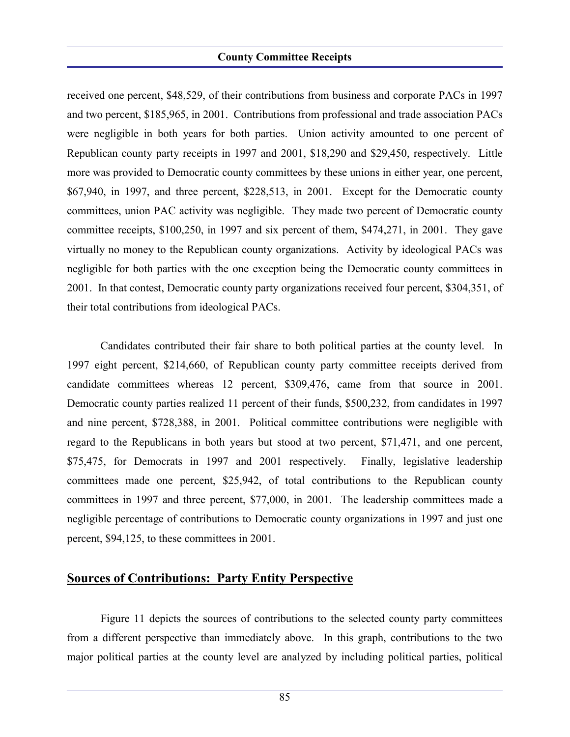received one percent, \$48,529, of their contributions from business and corporate PACs in 1997 and two percent, \$185,965, in 2001. Contributions from professional and trade association PACs were negligible in both years for both parties. Union activity amounted to one percent of Republican county party receipts in 1997 and 2001, \$18,290 and \$29,450, respectively. Little more was provided to Democratic county committees by these unions in either year, one percent, \$67,940, in 1997, and three percent, \$228,513, in 2001. Except for the Democratic county committees, union PAC activity was negligible. They made two percent of Democratic county committee receipts, \$100,250, in 1997 and six percent of them, \$474,271, in 2001. They gave virtually no money to the Republican county organizations. Activity by ideological PACs was negligible for both parties with the one exception being the Democratic county committees in 2001. In that contest, Democratic county party organizations received four percent, \$304,351, of their total contributions from ideological PACs.

Candidates contributed their fair share to both political parties at the county level. In 1997 eight percent, \$214,660, of Republican county party committee receipts derived from candidate committees whereas 12 percent, \$309,476, came from that source in 2001. Democratic county parties realized 11 percent of their funds, \$500,232, from candidates in 1997 and nine percent, \$728,388, in 2001. Political committee contributions were negligible with regard to the Republicans in both years but stood at two percent, \$71,471, and one percent, \$75,475, for Democrats in 1997 and 2001 respectively. Finally, legislative leadership committees made one percent, \$25,942, of total contributions to the Republican county committees in 1997 and three percent, \$77,000, in 2001. The leadership committees made a negligible percentage of contributions to Democratic county organizations in 1997 and just one percent, \$94,125, to these committees in 2001.

## **Sources of Contributions: Party Entity Perspective**

Figure 11 depicts the sources of contributions to the selected county party committees from a different perspective than immediately above. In this graph, contributions to the two major political parties at the county level are analyzed by including political parties, political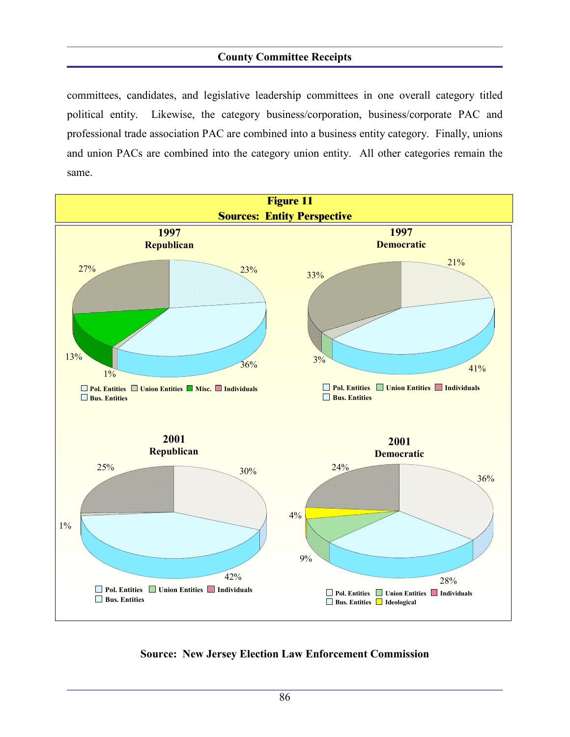committees, candidates, and legislative leadership committees in one overall category titled political entity. Likewise, the category business/corporation, business/corporate PAC and professional trade association PAC are combined into a business entity category. Finally, unions and union PACs are combined into the category union entity. All other categories remain the same.



#### **Source: New Jersey Election Law Enforcement Commission**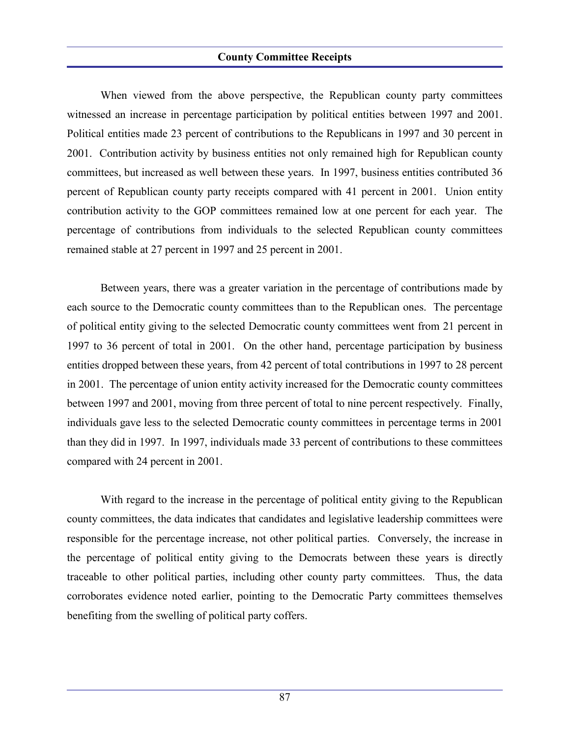When viewed from the above perspective, the Republican county party committees witnessed an increase in percentage participation by political entities between 1997 and 2001. Political entities made 23 percent of contributions to the Republicans in 1997 and 30 percent in 2001. Contribution activity by business entities not only remained high for Republican county committees, but increased as well between these years. In 1997, business entities contributed 36 percent of Republican county party receipts compared with 41 percent in 2001. Union entity contribution activity to the GOP committees remained low at one percent for each year. The percentage of contributions from individuals to the selected Republican county committees remained stable at 27 percent in 1997 and 25 percent in 2001.

Between years, there was a greater variation in the percentage of contributions made by each source to the Democratic county committees than to the Republican ones. The percentage of political entity giving to the selected Democratic county committees went from 21 percent in 1997 to 36 percent of total in 2001. On the other hand, percentage participation by business entities dropped between these years, from 42 percent of total contributions in 1997 to 28 percent in 2001. The percentage of union entity activity increased for the Democratic county committees between 1997 and 2001, moving from three percent of total to nine percent respectively. Finally, individuals gave less to the selected Democratic county committees in percentage terms in 2001 than they did in 1997. In 1997, individuals made 33 percent of contributions to these committees compared with 24 percent in 2001.

With regard to the increase in the percentage of political entity giving to the Republican county committees, the data indicates that candidates and legislative leadership committees were responsible for the percentage increase, not other political parties. Conversely, the increase in the percentage of political entity giving to the Democrats between these years is directly traceable to other political parties, including other county party committees. Thus, the data corroborates evidence noted earlier, pointing to the Democratic Party committees themselves benefiting from the swelling of political party coffers.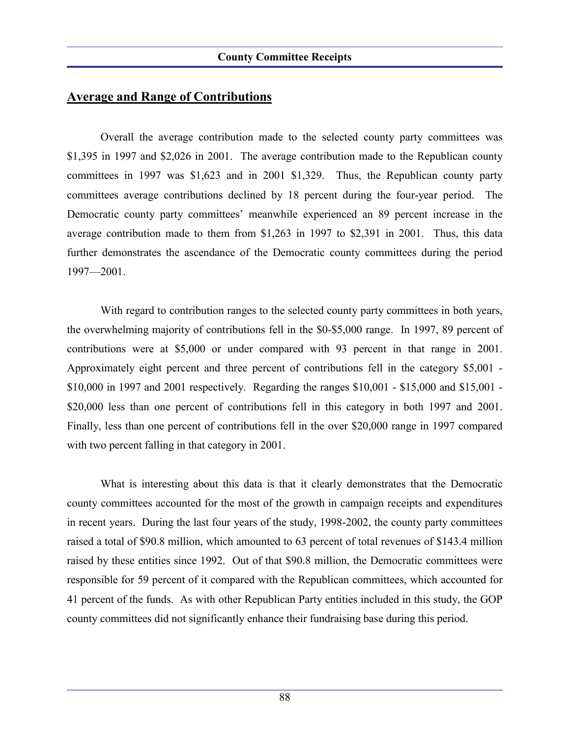## **Average and Range of Contributions**

Overall the average contribution made to the selected county party committees was \$1,395 in 1997 and \$2,026 in 2001. The average contribution made to the Republican county committees in 1997 was \$1,623 and in 2001 \$1,329. Thus, the Republican county party committees average contributions declined by 18 percent during the four-year period. The Democratic county party committees' meanwhile experienced an 89 percent increase in the average contribution made to them from \$1,263 in 1997 to \$2,391 in 2001. Thus, this data further demonstrates the ascendance of the Democratic county committees during the period 1997—2001.

With regard to contribution ranges to the selected county party committees in both years, the overwhelming majority of contributions fell in the \$0-\$5,000 range. In 1997, 89 percent of contributions were at \$5,000 or under compared with 93 percent in that range in 2001. Approximately eight percent and three percent of contributions fell in the category \$5,001 - \$10,000 in 1997 and 2001 respectively. Regarding the ranges \$10,001 - \$15,000 and \$15,001 - \$20,000 less than one percent of contributions fell in this category in both 1997 and 2001. Finally, less than one percent of contributions fell in the over \$20,000 range in 1997 compared with two percent falling in that category in 2001.

What is interesting about this data is that it clearly demonstrates that the Democratic county committees accounted for the most of the growth in campaign receipts and expenditures in recent years. During the last four years of the study, 1998-2002, the county party committees raised a total of \$90.8 million, which amounted to 63 percent of total revenues of \$143.4 million raised by these entities since 1992. Out of that \$90.8 million, the Democratic committees were responsible for 59 percent of it compared with the Republican committees, which accounted for 41 percent of the funds. As with other Republican Party entities included in this study, the GOP county committees did not significantly enhance their fundraising base during this period.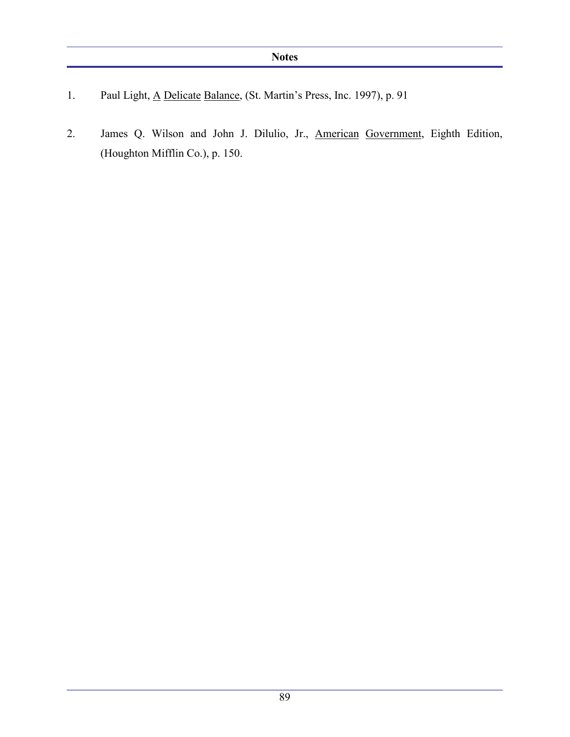- 1. Paul Light, <u>A Delicate Balance</u>, (St. Martin's Press, Inc. 1997), p. 91
- 2. James Q. Wilson and John J. Dilulio, Jr., American Government, Eighth Edition, (Houghton Mifflin Co.), p. 150.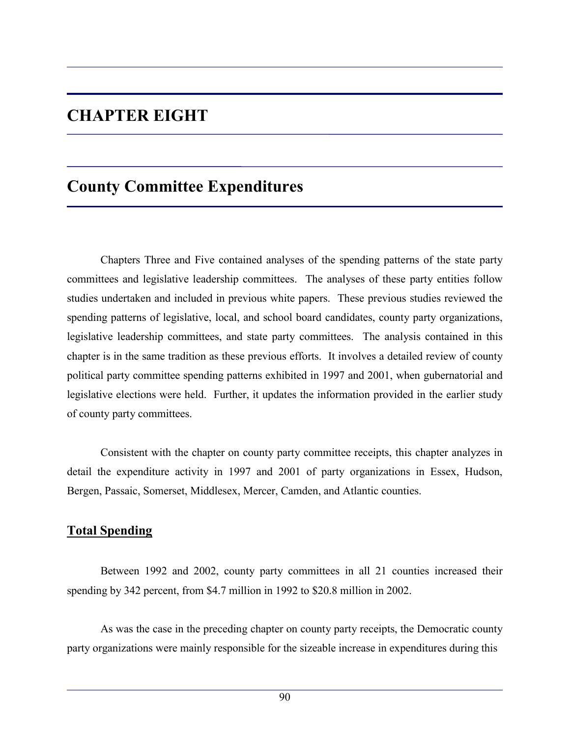# **CHAPTER EIGHT**

## **County Committee Expenditures**

Chapters Three and Five contained analyses of the spending patterns of the state party committees and legislative leadership committees. The analyses of these party entities follow studies undertaken and included in previous white papers. These previous studies reviewed the spending patterns of legislative, local, and school board candidates, county party organizations, legislative leadership committees, and state party committees. The analysis contained in this chapter is in the same tradition as these previous efforts. It involves a detailed review of county political party committee spending patterns exhibited in 1997 and 2001, when gubernatorial and legislative elections were held. Further, it updates the information provided in the earlier study of county party committees.

Consistent with the chapter on county party committee receipts, this chapter analyzes in detail the expenditure activity in 1997 and 2001 of party organizations in Essex, Hudson, Bergen, Passaic, Somerset, Middlesex, Mercer, Camden, and Atlantic counties.

## **Total Spending**

Between 1992 and 2002, county party committees in all 21 counties increased their spending by 342 percent, from \$4.7 million in 1992 to \$20.8 million in 2002.

As was the case in the preceding chapter on county party receipts, the Democratic county party organizations were mainly responsible for the sizeable increase in expenditures during this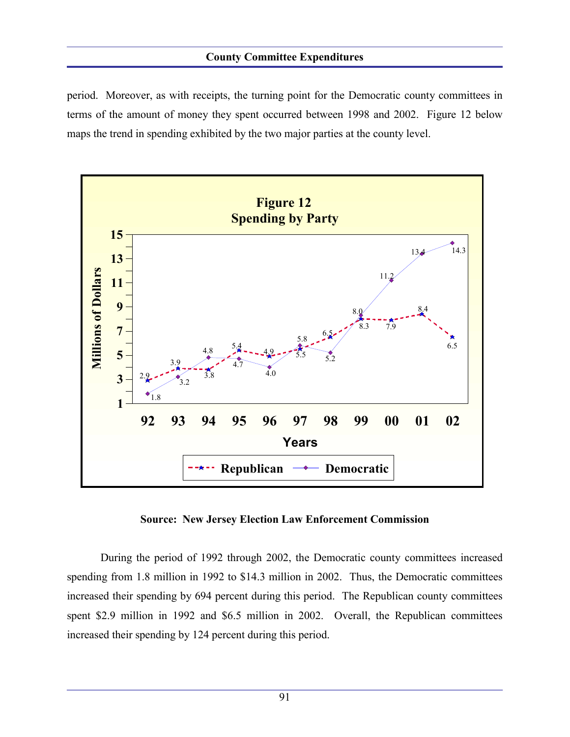#### **County Committee Expenditures**

period. Moreover, as with receipts, the turning point for the Democratic county committees in terms of the amount of money they spent occurred between 1998 and 2002. Figure 12 below maps the trend in spending exhibited by the two major parties at the county level.



**Source: New Jersey Election Law Enforcement Commission**

During the period of 1992 through 2002, the Democratic county committees increased spending from 1.8 million in 1992 to \$14.3 million in 2002. Thus, the Democratic committees increased their spending by 694 percent during this period. The Republican county committees spent \$2.9 million in 1992 and \$6.5 million in 2002. Overall, the Republican committees increased their spending by 124 percent during this period.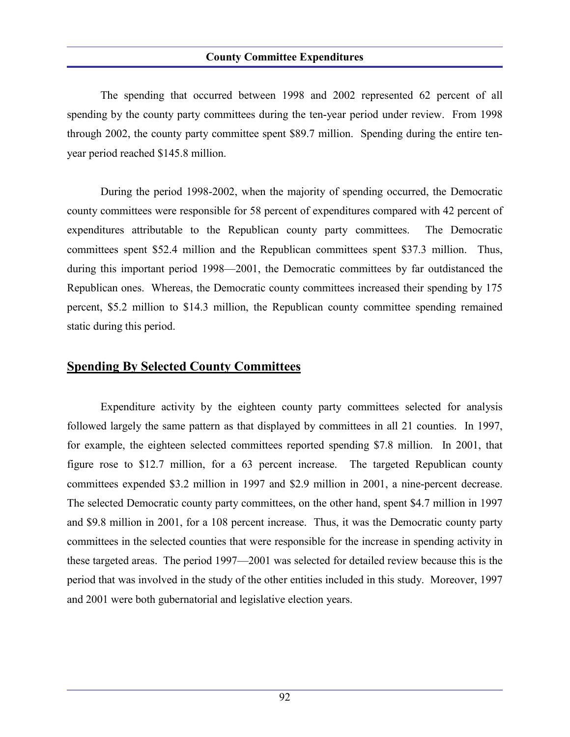#### **County Committee Expenditures**

The spending that occurred between 1998 and 2002 represented 62 percent of all spending by the county party committees during the ten-year period under review. From 1998 through 2002, the county party committee spent \$89.7 million. Spending during the entire tenyear period reached \$145.8 million.

During the period 1998-2002, when the majority of spending occurred, the Democratic county committees were responsible for 58 percent of expenditures compared with 42 percent of expenditures attributable to the Republican county party committees. The Democratic committees spent \$52.4 million and the Republican committees spent \$37.3 million. Thus, during this important period 1998—2001, the Democratic committees by far outdistanced the Republican ones. Whereas, the Democratic county committees increased their spending by 175 percent, \$5.2 million to \$14.3 million, the Republican county committee spending remained static during this period.

### **Spending By Selected County Committees**

Expenditure activity by the eighteen county party committees selected for analysis followed largely the same pattern as that displayed by committees in all 21 counties. In 1997, for example, the eighteen selected committees reported spending \$7.8 million. In 2001, that figure rose to \$12.7 million, for a 63 percent increase. The targeted Republican county committees expended \$3.2 million in 1997 and \$2.9 million in 2001, a nine-percent decrease. The selected Democratic county party committees, on the other hand, spent \$4.7 million in 1997 and \$9.8 million in 2001, for a 108 percent increase. Thus, it was the Democratic county party committees in the selected counties that were responsible for the increase in spending activity in these targeted areas. The period 1997—2001 was selected for detailed review because this is the period that was involved in the study of the other entities included in this study. Moreover, 1997 and 2001 were both gubernatorial and legislative election years.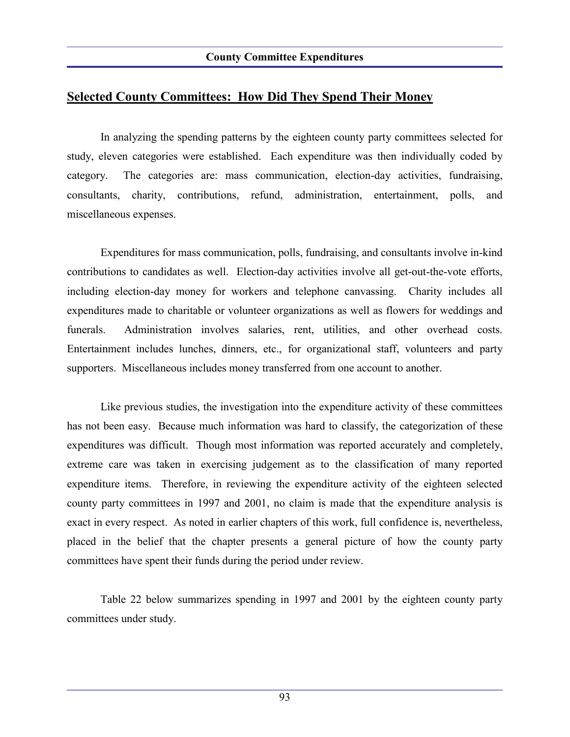## **Selected County Committees: How Did They Spend Their Money**

In analyzing the spending patterns by the eighteen county party committees selected for study, eleven categories were established. Each expenditure was then individually coded by category. The categories are: mass communication, election-day activities, fundraising, consultants, charity, contributions, refund, administration, entertainment, polls, and miscellaneous expenses.

Expenditures for mass communication, polls, fundraising, and consultants involve in-kind contributions to candidates as well. Election-day activities involve all get-out-the-vote efforts, including election-day money for workers and telephone canvassing. Charity includes all expenditures made to charitable or volunteer organizations as well as flowers for weddings and funerals. Administration involves salaries, rent, utilities, and other overhead costs. Entertainment includes lunches, dinners, etc., for organizational staff, volunteers and party supporters. Miscellaneous includes money transferred from one account to another.

Like previous studies, the investigation into the expenditure activity of these committees has not been easy. Because much information was hard to classify, the categorization of these expenditures was difficult. Though most information was reported accurately and completely, extreme care was taken in exercising judgement as to the classification of many reported expenditure items. Therefore, in reviewing the expenditure activity of the eighteen selected county party committees in 1997 and 2001, no claim is made that the expenditure analysis is exact in every respect. As noted in earlier chapters of this work, full confidence is, nevertheless, placed in the belief that the chapter presents a general picture of how the county party committees have spent their funds during the period under review.

Table 22 below summarizes spending in 1997 and 2001 by the eighteen county party committees under study.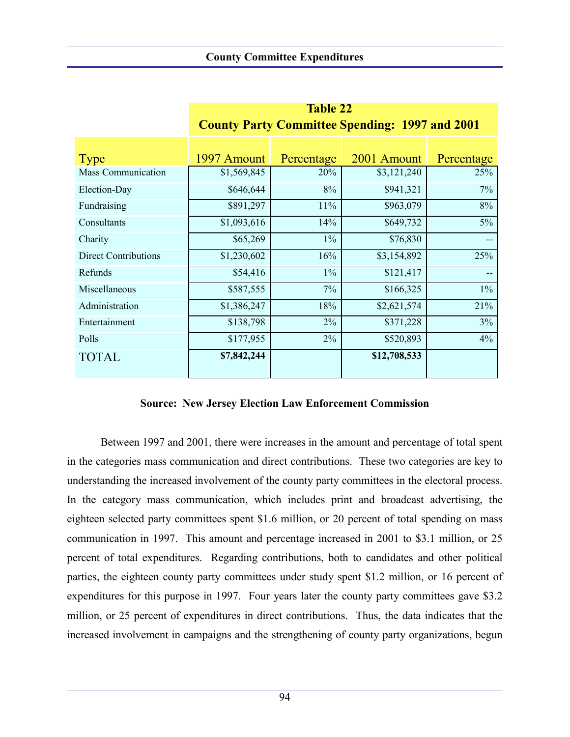|                             | County Party Committee Spending: 1997 and 2001 |            |              |            |  |  |  |
|-----------------------------|------------------------------------------------|------------|--------------|------------|--|--|--|
|                             |                                                |            |              |            |  |  |  |
| Type                        | 1997 Amount                                    | Percentage | 2001 Amount  | Percentage |  |  |  |
| <b>Mass Communication</b>   | \$1,569,845                                    | 20%        | \$3,121,240  | 25%        |  |  |  |
| Election-Day                | \$646,644                                      | 8%         | \$941,321    | 7%         |  |  |  |
| Fundraising                 | \$891,297                                      | 11%        | \$963,079    | 8%         |  |  |  |
| Consultants                 | \$1,093,616                                    | 14%        | \$649,732    | 5%         |  |  |  |
| Charity                     | \$65,269                                       | $1\%$      | \$76,830     | --         |  |  |  |
| <b>Direct Contributions</b> | \$1,230,602                                    | 16%        | \$3,154,892  | 25%        |  |  |  |
| Refunds                     | \$54,416                                       | $1\%$      | \$121,417    |            |  |  |  |
| Miscellaneous               | \$587,555                                      | 7%         | \$166,325    | $1\%$      |  |  |  |
| Administration              | \$1,386,247                                    | 18%        | \$2,621,574  | 21%        |  |  |  |
| Entertainment               | \$138,798                                      | 2%         | \$371,228    | 3%         |  |  |  |
| Polls                       | \$177,955                                      | 2%         | \$520,893    | 4%         |  |  |  |
| <b>TOTAL</b>                | \$7,842,244                                    |            | \$12,708,533 |            |  |  |  |

| Tadie 22                                              |  |
|-------------------------------------------------------|--|
| <b>County Party Committee Spending: 1997 and 2001</b> |  |

 **Table 22**

#### **Source: New Jersey Election Law Enforcement Commission**

Between 1997 and 2001, there were increases in the amount and percentage of total spent in the categories mass communication and direct contributions. These two categories are key to understanding the increased involvement of the county party committees in the electoral process. In the category mass communication, which includes print and broadcast advertising, the eighteen selected party committees spent \$1.6 million, or 20 percent of total spending on mass communication in 1997. This amount and percentage increased in 2001 to \$3.1 million, or 25 percent of total expenditures. Regarding contributions, both to candidates and other political parties, the eighteen county party committees under study spent \$1.2 million, or 16 percent of expenditures for this purpose in 1997. Four years later the county party committees gave \$3.2 million, or 25 percent of expenditures in direct contributions. Thus, the data indicates that the increased involvement in campaigns and the strengthening of county party organizations, begun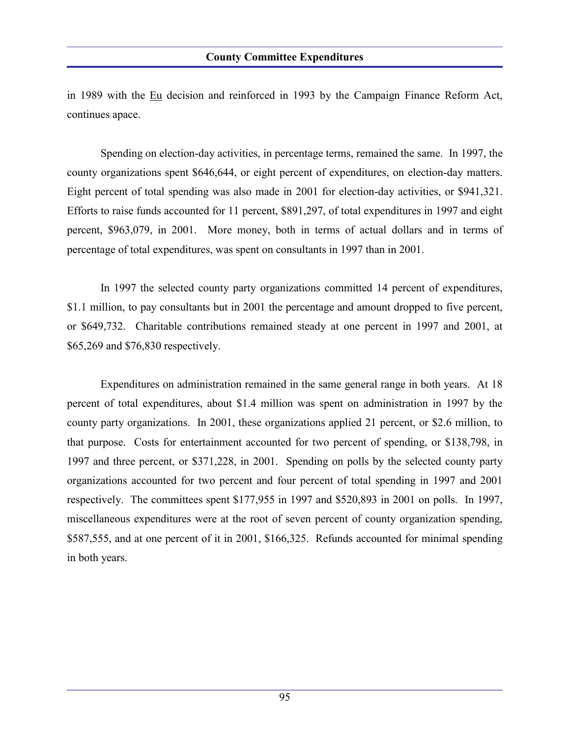in 1989 with the Eu decision and reinforced in 1993 by the Campaign Finance Reform Act, continues apace.

Spending on election-day activities, in percentage terms, remained the same. In 1997, the county organizations spent \$646,644, or eight percent of expenditures, on election-day matters. Eight percent of total spending was also made in 2001 for election-day activities, or \$941,321. Efforts to raise funds accounted for 11 percent, \$891,297, of total expenditures in 1997 and eight percent, \$963,079, in 2001. More money, both in terms of actual dollars and in terms of percentage of total expenditures, was spent on consultants in 1997 than in 2001.

In 1997 the selected county party organizations committed 14 percent of expenditures, \$1.1 million, to pay consultants but in 2001 the percentage and amount dropped to five percent, or \$649,732. Charitable contributions remained steady at one percent in 1997 and 2001, at \$65,269 and \$76,830 respectively.

Expenditures on administration remained in the same general range in both years. At 18 percent of total expenditures, about \$1.4 million was spent on administration in 1997 by the county party organizations. In 2001, these organizations applied 21 percent, or \$2.6 million, to that purpose. Costs for entertainment accounted for two percent of spending, or \$138,798, in 1997 and three percent, or \$371,228, in 2001. Spending on polls by the selected county party organizations accounted for two percent and four percent of total spending in 1997 and 2001 respectively. The committees spent \$177,955 in 1997 and \$520,893 in 2001 on polls. In 1997, miscellaneous expenditures were at the root of seven percent of county organization spending, \$587,555, and at one percent of it in 2001, \$166,325. Refunds accounted for minimal spending in both years.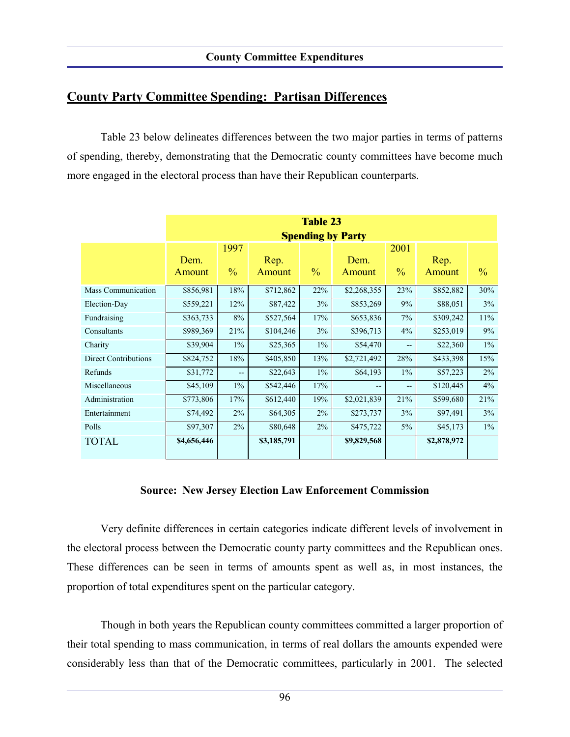## **County Party Committee Spending: Partisan Differences**

Table 23 below delineates differences between the two major parties in terms of patterns of spending, thereby, demonstrating that the Democratic county committees have become much more engaged in the electoral process than have their Republican counterparts.

|                             | <b>Table 23</b><br><b>Spending by Party</b> |                       |                |               |                |                       |                |               |
|-----------------------------|---------------------------------------------|-----------------------|----------------|---------------|----------------|-----------------------|----------------|---------------|
|                             | Dem.<br>Amount                              | 1997<br>$\frac{0}{0}$ | Rep.<br>Amount | $\frac{0}{0}$ | Dem.<br>Amount | 2001<br>$\frac{0}{0}$ | Rep.<br>Amount | $\frac{0}{0}$ |
| <b>Mass Communication</b>   | \$856,981                                   | 18%                   | \$712,862      | 22%           | \$2,268,355    | 23%                   | \$852,882      | 30%           |
| Election-Day                | \$559,221                                   | 12%                   | \$87,422       | 3%            | \$853,269      | 9%                    | \$88,051       | 3%            |
| Fundraising                 | \$363,733                                   | 8%                    | \$527,564      | 17%           | \$653,836      | 7%                    | \$309,242      | 11%           |
| Consultants                 | \$989,369                                   | 21%                   | \$104,246      | 3%            | \$396,713      | 4%                    | \$253,019      | 9%            |
| Charity                     | \$39,904                                    | $1\%$                 | \$25,365       | $1\%$         | \$54,470       | $- -$                 | \$22,360       | $1\%$         |
| <b>Direct Contributions</b> | \$824,752                                   | 18%                   | \$405,850      | 13%           | \$2,721,492    | 28%                   | \$433,398      | 15%           |
| Refunds                     | \$31,772                                    | $-$                   | \$22,643       | $1\%$         | \$64,193       | $1\%$                 | \$57,223       | 2%            |
| Miscellaneous               | \$45,109                                    | $1\%$                 | \$542,446      | 17%           | --             | --                    | \$120,445      | 4%            |
| Administration              | \$773,806                                   | 17%                   | \$612,440      | 19%           | \$2,021,839    | 21%                   | \$599,680      | 21%           |
| Entertainment               | \$74,492                                    | $2\%$                 | \$64,305       | 2%            | \$273,737      | 3%                    | \$97,491       | 3%            |
| Polls                       | \$97,307                                    | $2\%$                 | \$80,648       | $2\%$         | \$475,722      | $5\%$                 | \$45,173       | $1\%$         |
| <b>TOTAL</b>                | \$4,656,446                                 |                       | \$3,185,791    |               | \$9,829,568    |                       | \$2,878,972    |               |

#### **Source: New Jersey Election Law Enforcement Commission**

Very definite differences in certain categories indicate different levels of involvement in the electoral process between the Democratic county party committees and the Republican ones. These differences can be seen in terms of amounts spent as well as, in most instances, the proportion of total expenditures spent on the particular category.

Though in both years the Republican county committees committed a larger proportion of their total spending to mass communication, in terms of real dollars the amounts expended were considerably less than that of the Democratic committees, particularly in 2001. The selected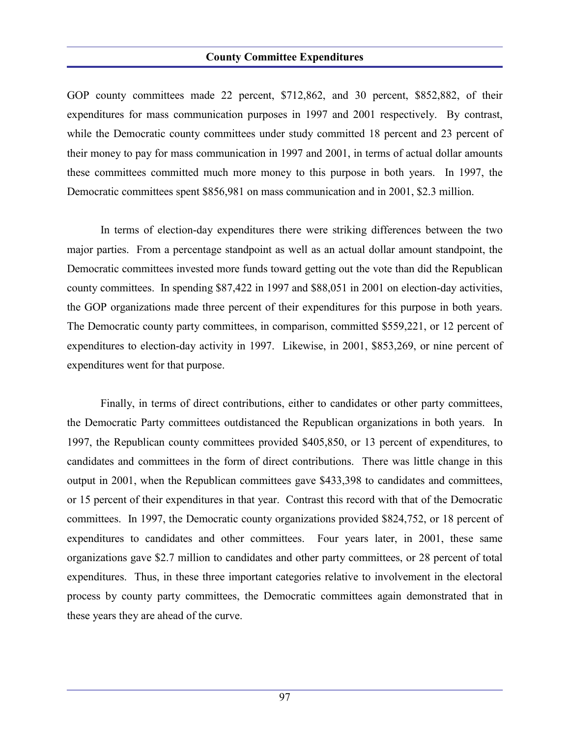#### **County Committee Expenditures**

GOP county committees made 22 percent, \$712,862, and 30 percent, \$852,882, of their expenditures for mass communication purposes in 1997 and 2001 respectively. By contrast, while the Democratic county committees under study committed 18 percent and 23 percent of their money to pay for mass communication in 1997 and 2001, in terms of actual dollar amounts these committees committed much more money to this purpose in both years. In 1997, the Democratic committees spent \$856,981 on mass communication and in 2001, \$2.3 million.

In terms of election-day expenditures there were striking differences between the two major parties. From a percentage standpoint as well as an actual dollar amount standpoint, the Democratic committees invested more funds toward getting out the vote than did the Republican county committees. In spending \$87,422 in 1997 and \$88,051 in 2001 on election-day activities, the GOP organizations made three percent of their expenditures for this purpose in both years. The Democratic county party committees, in comparison, committed \$559,221, or 12 percent of expenditures to election-day activity in 1997. Likewise, in 2001, \$853,269, or nine percent of expenditures went for that purpose.

Finally, in terms of direct contributions, either to candidates or other party committees, the Democratic Party committees outdistanced the Republican organizations in both years. In 1997, the Republican county committees provided \$405,850, or 13 percent of expenditures, to candidates and committees in the form of direct contributions. There was little change in this output in 2001, when the Republican committees gave \$433,398 to candidates and committees, or 15 percent of their expenditures in that year. Contrast this record with that of the Democratic committees. In 1997, the Democratic county organizations provided \$824,752, or 18 percent of expenditures to candidates and other committees. Four years later, in 2001, these same organizations gave \$2.7 million to candidates and other party committees, or 28 percent of total expenditures. Thus, in these three important categories relative to involvement in the electoral process by county party committees, the Democratic committees again demonstrated that in these years they are ahead of the curve.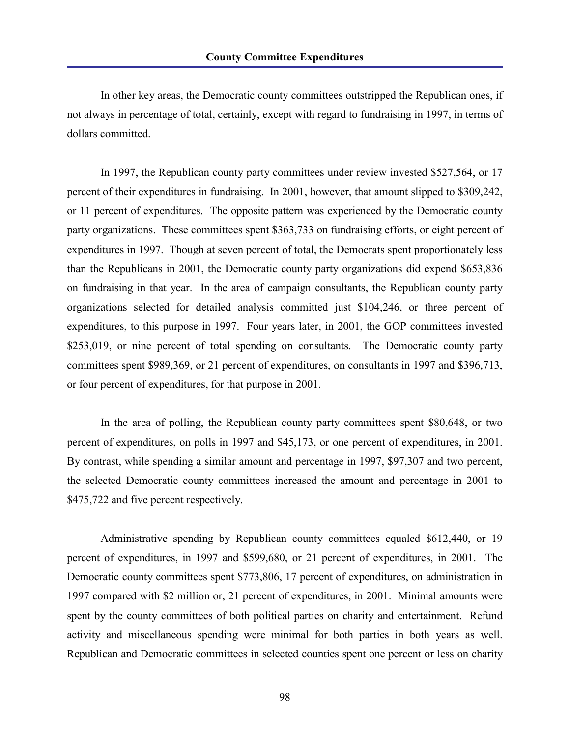In other key areas, the Democratic county committees outstripped the Republican ones, if not always in percentage of total, certainly, except with regard to fundraising in 1997, in terms of dollars committed.

In 1997, the Republican county party committees under review invested \$527,564, or 17 percent of their expenditures in fundraising. In 2001, however, that amount slipped to \$309,242, or 11 percent of expenditures. The opposite pattern was experienced by the Democratic county party organizations. These committees spent \$363,733 on fundraising efforts, or eight percent of expenditures in 1997. Though at seven percent of total, the Democrats spent proportionately less than the Republicans in 2001, the Democratic county party organizations did expend \$653,836 on fundraising in that year. In the area of campaign consultants, the Republican county party organizations selected for detailed analysis committed just \$104,246, or three percent of expenditures, to this purpose in 1997. Four years later, in 2001, the GOP committees invested \$253,019, or nine percent of total spending on consultants. The Democratic county party committees spent \$989,369, or 21 percent of expenditures, on consultants in 1997 and \$396,713, or four percent of expenditures, for that purpose in 2001.

In the area of polling, the Republican county party committees spent \$80,648, or two percent of expenditures, on polls in 1997 and \$45,173, or one percent of expenditures, in 2001. By contrast, while spending a similar amount and percentage in 1997, \$97,307 and two percent, the selected Democratic county committees increased the amount and percentage in 2001 to \$475,722 and five percent respectively.

Administrative spending by Republican county committees equaled \$612,440, or 19 percent of expenditures, in 1997 and \$599,680, or 21 percent of expenditures, in 2001. The Democratic county committees spent \$773,806, 17 percent of expenditures, on administration in 1997 compared with \$2 million or, 21 percent of expenditures, in 2001. Minimal amounts were spent by the county committees of both political parties on charity and entertainment. Refund activity and miscellaneous spending were minimal for both parties in both years as well. Republican and Democratic committees in selected counties spent one percent or less on charity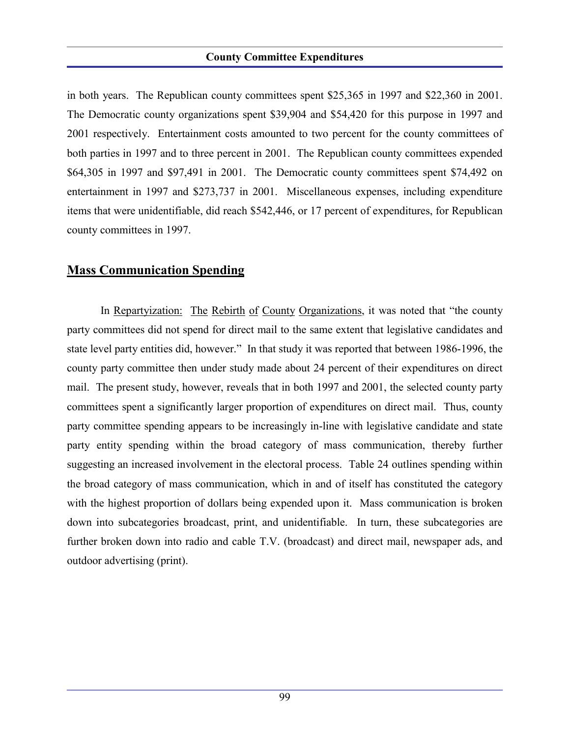#### **County Committee Expenditures**

in both years. The Republican county committees spent \$25,365 in 1997 and \$22,360 in 2001. The Democratic county organizations spent \$39,904 and \$54,420 for this purpose in 1997 and 2001 respectively. Entertainment costs amounted to two percent for the county committees of both parties in 1997 and to three percent in 2001. The Republican county committees expended \$64,305 in 1997 and \$97,491 in 2001. The Democratic county committees spent \$74,492 on entertainment in 1997 and \$273,737 in 2001. Miscellaneous expenses, including expenditure items that were unidentifiable, did reach \$542,446, or 17 percent of expenditures, for Republican county committees in 1997.

### **Mass Communication Spending**

In Repartyization: The Rebirth of County Organizations, it was noted that "the county party committees did not spend for direct mail to the same extent that legislative candidates and state level party entities did, however." In that study it was reported that between 1986-1996, the county party committee then under study made about 24 percent of their expenditures on direct mail. The present study, however, reveals that in both 1997 and 2001, the selected county party committees spent a significantly larger proportion of expenditures on direct mail. Thus, county party committee spending appears to be increasingly in-line with legislative candidate and state party entity spending within the broad category of mass communication, thereby further suggesting an increased involvement in the electoral process. Table 24 outlines spending within the broad category of mass communication, which in and of itself has constituted the category with the highest proportion of dollars being expended upon it. Mass communication is broken down into subcategories broadcast, print, and unidentifiable. In turn, these subcategories are further broken down into radio and cable T.V. (broadcast) and direct mail, newspaper ads, and outdoor advertising (print).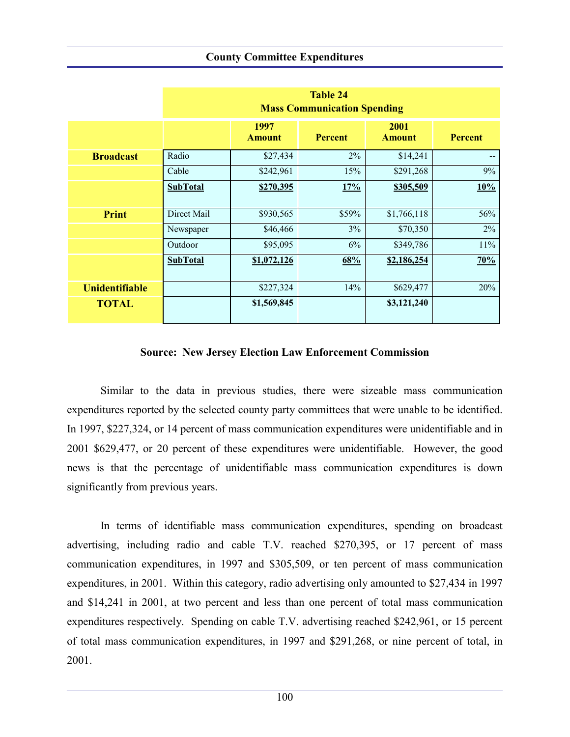#### **County Committee Expenditures**

|                       | <b>Table 24</b><br><b>Mass Communication Spending</b> |                       |                |                       |                |  |  |  |
|-----------------------|-------------------------------------------------------|-----------------------|----------------|-----------------------|----------------|--|--|--|
|                       |                                                       | 1997<br><b>Amount</b> | <b>Percent</b> | 2001<br><b>Amount</b> | <b>Percent</b> |  |  |  |
| <b>Broadcast</b>      | Radio                                                 | \$27,434              | $2\%$          | \$14,241              |                |  |  |  |
|                       | Cable                                                 | \$242,961             | 15%            | \$291,268             | 9%             |  |  |  |
|                       | <b>SubTotal</b>                                       | \$270,395             | 17%            | \$305,509             | 10%            |  |  |  |
| <b>Print</b>          | Direct Mail                                           | \$930,565             | \$59%          | \$1,766,118           | 56%            |  |  |  |
|                       | Newspaper                                             | \$46,466              | 3%             | \$70,350              | 2%             |  |  |  |
|                       | Outdoor                                               | \$95,095              | 6%             | \$349,786             | 11%            |  |  |  |
|                       | <b>SubTotal</b>                                       | \$1,072,126           | 68%            | \$2,186,254           | 70%            |  |  |  |
| <b>Unidentifiable</b> |                                                       | \$227,324             | 14%            | \$629,477             | 20%            |  |  |  |
| <b>TOTAL</b>          |                                                       | \$1,569,845           |                | \$3,121,240           |                |  |  |  |

#### **Source: New Jersey Election Law Enforcement Commission**

Similar to the data in previous studies, there were sizeable mass communication expenditures reported by the selected county party committees that were unable to be identified. In 1997, \$227,324, or 14 percent of mass communication expenditures were unidentifiable and in 2001 \$629,477, or 20 percent of these expenditures were unidentifiable. However, the good news is that the percentage of unidentifiable mass communication expenditures is down significantly from previous years.

In terms of identifiable mass communication expenditures, spending on broadcast advertising, including radio and cable T.V. reached \$270,395, or 17 percent of mass communication expenditures, in 1997 and \$305,509, or ten percent of mass communication expenditures, in 2001. Within this category, radio advertising only amounted to \$27,434 in 1997 and \$14,241 in 2001, at two percent and less than one percent of total mass communication expenditures respectively. Spending on cable T.V. advertising reached \$242,961, or 15 percent of total mass communication expenditures, in 1997 and \$291,268, or nine percent of total, in 2001.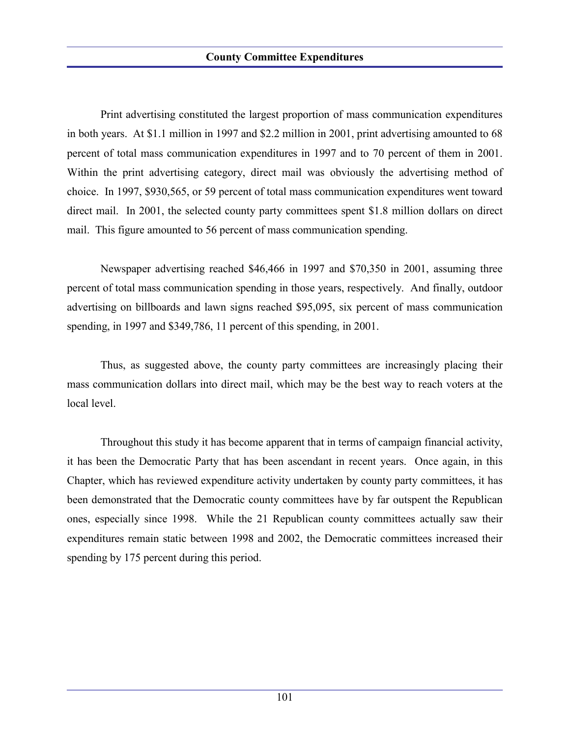Print advertising constituted the largest proportion of mass communication expenditures in both years. At \$1.1 million in 1997 and \$2.2 million in 2001, print advertising amounted to 68 percent of total mass communication expenditures in 1997 and to 70 percent of them in 2001. Within the print advertising category, direct mail was obviously the advertising method of choice. In 1997, \$930,565, or 59 percent of total mass communication expenditures went toward direct mail. In 2001, the selected county party committees spent \$1.8 million dollars on direct mail. This figure amounted to 56 percent of mass communication spending.

Newspaper advertising reached \$46,466 in 1997 and \$70,350 in 2001, assuming three percent of total mass communication spending in those years, respectively. And finally, outdoor advertising on billboards and lawn signs reached \$95,095, six percent of mass communication spending, in 1997 and \$349,786, 11 percent of this spending, in 2001.

Thus, as suggested above, the county party committees are increasingly placing their mass communication dollars into direct mail, which may be the best way to reach voters at the local level.

Throughout this study it has become apparent that in terms of campaign financial activity, it has been the Democratic Party that has been ascendant in recent years. Once again, in this Chapter, which has reviewed expenditure activity undertaken by county party committees, it has been demonstrated that the Democratic county committees have by far outspent the Republican ones, especially since 1998. While the 21 Republican county committees actually saw their expenditures remain static between 1998 and 2002, the Democratic committees increased their spending by 175 percent during this period.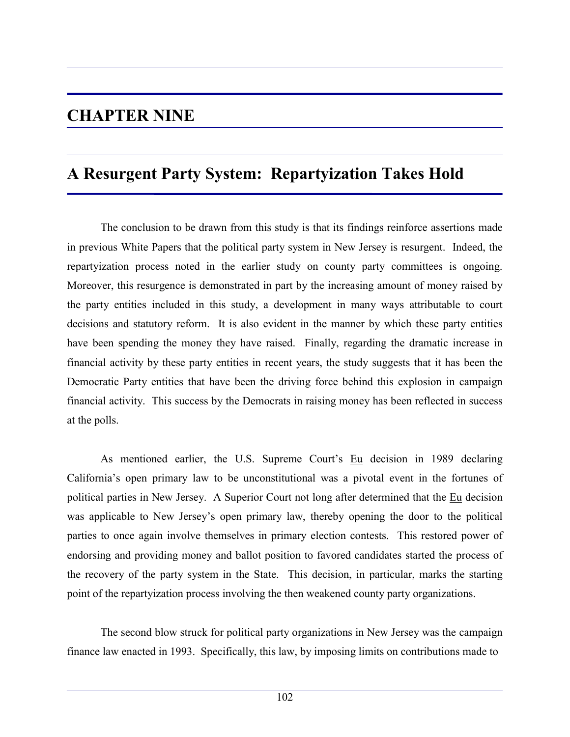## **CHAPTER NINE**

## **A Resurgent Party System: Repartyization Takes Hold**

The conclusion to be drawn from this study is that its findings reinforce assertions made in previous White Papers that the political party system in New Jersey is resurgent. Indeed, the repartyization process noted in the earlier study on county party committees is ongoing. Moreover, this resurgence is demonstrated in part by the increasing amount of money raised by the party entities included in this study, a development in many ways attributable to court decisions and statutory reform. It is also evident in the manner by which these party entities have been spending the money they have raised. Finally, regarding the dramatic increase in financial activity by these party entities in recent years, the study suggests that it has been the Democratic Party entities that have been the driving force behind this explosion in campaign financial activity. This success by the Democrats in raising money has been reflected in success at the polls.

As mentioned earlier, the U.S. Supreme Court's Eu decision in 1989 declaring California's open primary law to be unconstitutional was a pivotal event in the fortunes of political parties in New Jersey. A Superior Court not long after determined that the Eu decision was applicable to New Jersey's open primary law, thereby opening the door to the political parties to once again involve themselves in primary election contests. This restored power of endorsing and providing money and ballot position to favored candidates started the process of the recovery of the party system in the State. This decision, in particular, marks the starting point of the repartyization process involving the then weakened county party organizations.

The second blow struck for political party organizations in New Jersey was the campaign finance law enacted in 1993. Specifically, this law, by imposing limits on contributions made to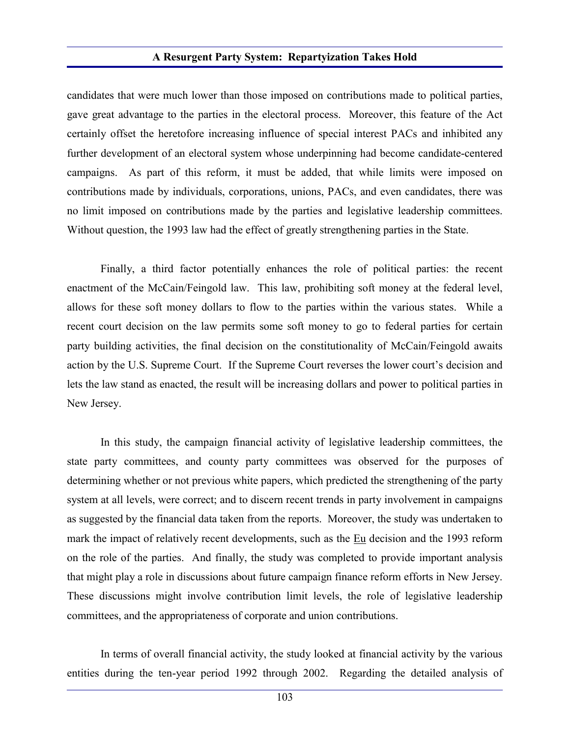candidates that were much lower than those imposed on contributions made to political parties, gave great advantage to the parties in the electoral process. Moreover, this feature of the Act certainly offset the heretofore increasing influence of special interest PACs and inhibited any further development of an electoral system whose underpinning had become candidate-centered campaigns. As part of this reform, it must be added, that while limits were imposed on contributions made by individuals, corporations, unions, PACs, and even candidates, there was no limit imposed on contributions made by the parties and legislative leadership committees. Without question, the 1993 law had the effect of greatly strengthening parties in the State.

Finally, a third factor potentially enhances the role of political parties: the recent enactment of the McCain/Feingold law. This law, prohibiting soft money at the federal level, allows for these soft money dollars to flow to the parties within the various states. While a recent court decision on the law permits some soft money to go to federal parties for certain party building activities, the final decision on the constitutionality of McCain/Feingold awaits action by the U.S. Supreme Court. If the Supreme Court reverses the lower court's decision and lets the law stand as enacted, the result will be increasing dollars and power to political parties in New Jersey.

In this study, the campaign financial activity of legislative leadership committees, the state party committees, and county party committees was observed for the purposes of determining whether or not previous white papers, which predicted the strengthening of the party system at all levels, were correct; and to discern recent trends in party involvement in campaigns as suggested by the financial data taken from the reports. Moreover, the study was undertaken to mark the impact of relatively recent developments, such as the Eu decision and the 1993 reform on the role of the parties. And finally, the study was completed to provide important analysis that might play a role in discussions about future campaign finance reform efforts in New Jersey. These discussions might involve contribution limit levels, the role of legislative leadership committees, and the appropriateness of corporate and union contributions.

In terms of overall financial activity, the study looked at financial activity by the various entities during the ten-year period 1992 through 2002. Regarding the detailed analysis of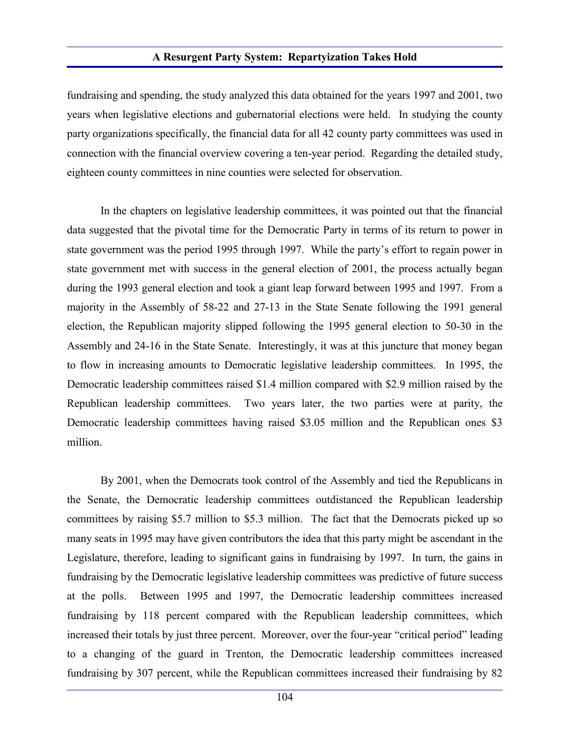fundraising and spending, the study analyzed this data obtained for the years 1997 and 2001, two years when legislative elections and gubernatorial elections were held. In studying the county party organizations specifically, the financial data for all 42 county party committees was used in connection with the financial overview covering a ten-year period. Regarding the detailed study, eighteen county committees in nine counties were selected for observation.

In the chapters on legislative leadership committees, it was pointed out that the financial data suggested that the pivotal time for the Democratic Party in terms of its return to power in state government was the period 1995 through 1997. While the party's effort to regain power in state government met with success in the general election of 2001, the process actually began during the 1993 general election and took a giant leap forward between 1995 and 1997. From a majority in the Assembly of 58-22 and 27-13 in the State Senate following the 1991 general election, the Republican majority slipped following the 1995 general election to 50-30 in the Assembly and 24-16 in the State Senate. Interestingly, it was at this juncture that money began to flow in increasing amounts to Democratic legislative leadership committees. In 1995, the Democratic leadership committees raised \$1.4 million compared with \$2.9 million raised by the Republican leadership committees. Two years later, the two parties were at parity, the Democratic leadership committees having raised \$3.05 million and the Republican ones \$3 million.

By 2001, when the Democrats took control of the Assembly and tied the Republicans in the Senate, the Democratic leadership committees outdistanced the Republican leadership committees by raising \$5.7 million to \$5.3 million. The fact that the Democrats picked up so many seats in 1995 may have given contributors the idea that this party might be ascendant in the Legislature, therefore, leading to significant gains in fundraising by 1997. In turn, the gains in fundraising by the Democratic legislative leadership committees was predictive of future success at the polls. Between 1995 and 1997, the Democratic leadership committees increased fundraising by 118 percent compared with the Republican leadership committees, which increased their totals by just three percent. Moreover, over the four-year "critical period" leading to a changing of the guard in Trenton, the Democratic leadership committees increased fundraising by 307 percent, while the Republican committees increased their fundraising by 82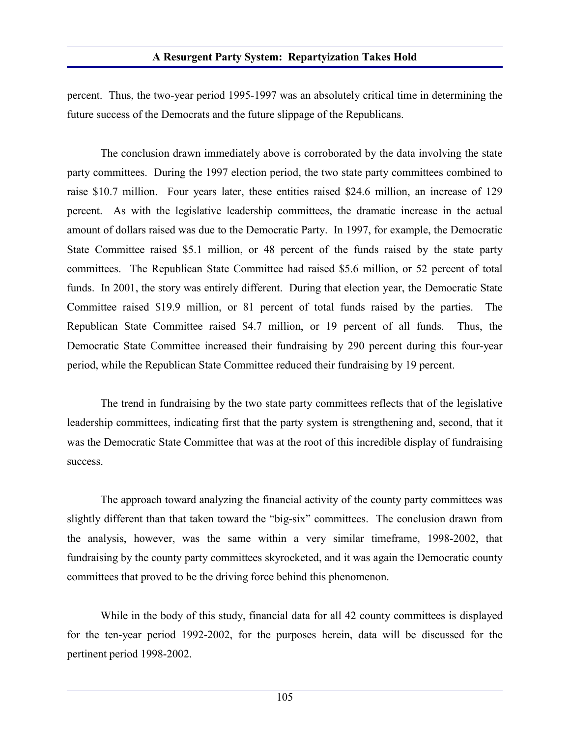percent. Thus, the two-year period 1995-1997 was an absolutely critical time in determining the future success of the Democrats and the future slippage of the Republicans.

The conclusion drawn immediately above is corroborated by the data involving the state party committees. During the 1997 election period, the two state party committees combined to raise \$10.7 million. Four years later, these entities raised \$24.6 million, an increase of 129 percent. As with the legislative leadership committees, the dramatic increase in the actual amount of dollars raised was due to the Democratic Party. In 1997, for example, the Democratic State Committee raised \$5.1 million, or 48 percent of the funds raised by the state party committees. The Republican State Committee had raised \$5.6 million, or 52 percent of total funds. In 2001, the story was entirely different. During that election year, the Democratic State Committee raised \$19.9 million, or 81 percent of total funds raised by the parties. The Republican State Committee raised \$4.7 million, or 19 percent of all funds. Thus, the Democratic State Committee increased their fundraising by 290 percent during this four-year period, while the Republican State Committee reduced their fundraising by 19 percent.

The trend in fundraising by the two state party committees reflects that of the legislative leadership committees, indicating first that the party system is strengthening and, second, that it was the Democratic State Committee that was at the root of this incredible display of fundraising success.

The approach toward analyzing the financial activity of the county party committees was slightly different than that taken toward the "big-six" committees. The conclusion drawn from the analysis, however, was the same within a very similar timeframe, 1998-2002, that fundraising by the county party committees skyrocketed, and it was again the Democratic county committees that proved to be the driving force behind this phenomenon.

While in the body of this study, financial data for all 42 county committees is displayed for the ten-year period 1992-2002, for the purposes herein, data will be discussed for the pertinent period 1998-2002.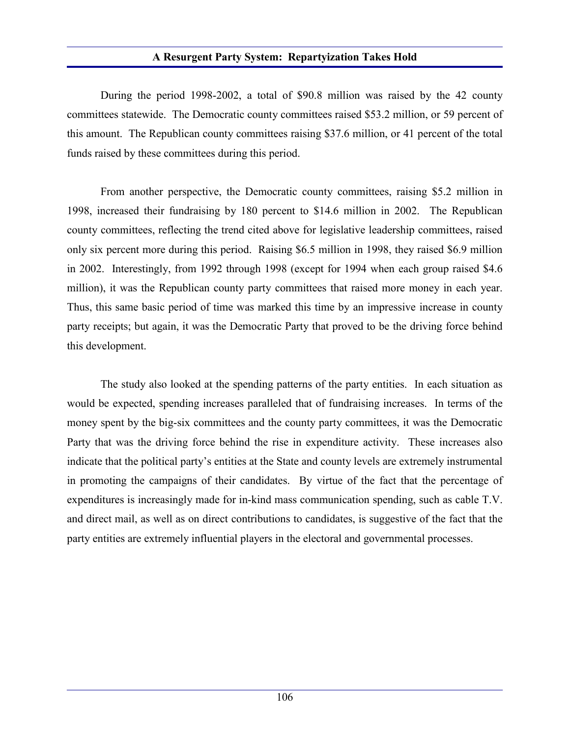During the period 1998-2002, a total of \$90.8 million was raised by the 42 county committees statewide. The Democratic county committees raised \$53.2 million, or 59 percent of this amount. The Republican county committees raising \$37.6 million, or 41 percent of the total funds raised by these committees during this period.

From another perspective, the Democratic county committees, raising \$5.2 million in 1998, increased their fundraising by 180 percent to \$14.6 million in 2002. The Republican county committees, reflecting the trend cited above for legislative leadership committees, raised only six percent more during this period. Raising \$6.5 million in 1998, they raised \$6.9 million in 2002. Interestingly, from 1992 through 1998 (except for 1994 when each group raised \$4.6 million), it was the Republican county party committees that raised more money in each year. Thus, this same basic period of time was marked this time by an impressive increase in county party receipts; but again, it was the Democratic Party that proved to be the driving force behind this development.

The study also looked at the spending patterns of the party entities. In each situation as would be expected, spending increases paralleled that of fundraising increases. In terms of the money spent by the big-six committees and the county party committees, it was the Democratic Party that was the driving force behind the rise in expenditure activity. These increases also indicate that the political party's entities at the State and county levels are extremely instrumental in promoting the campaigns of their candidates. By virtue of the fact that the percentage of expenditures is increasingly made for in-kind mass communication spending, such as cable T.V. and direct mail, as well as on direct contributions to candidates, is suggestive of the fact that the party entities are extremely influential players in the electoral and governmental processes.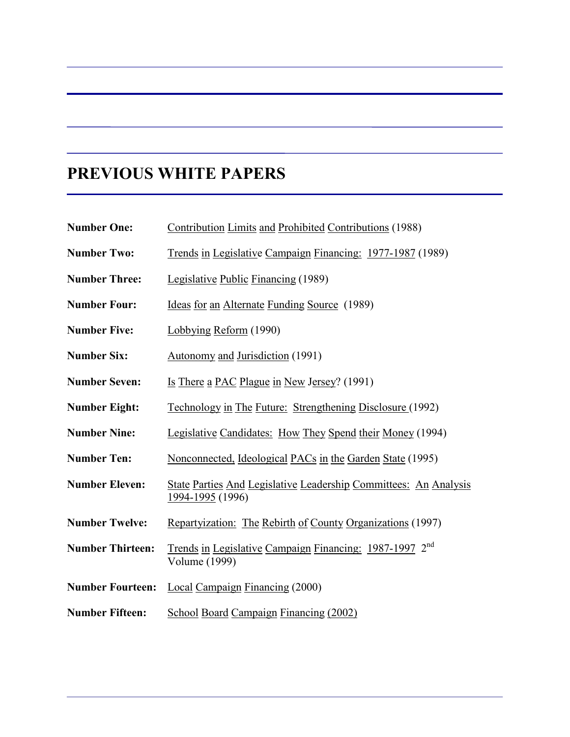# **PREVIOUS WHITE PAPERS**

| <b>Number One:</b>      | Contribution Limits and Prohibited Contributions (1988)                              |
|-------------------------|--------------------------------------------------------------------------------------|
| <b>Number Two:</b>      | Trends in Legislative Campaign Financing: 1977-1987 (1989)                           |
| <b>Number Three:</b>    | Legislative Public Financing (1989)                                                  |
| <b>Number Four:</b>     | Ideas for an Alternate Funding Source (1989)                                         |
| <b>Number Five:</b>     | Lobbying Reform (1990)                                                               |
| <b>Number Six:</b>      | Autonomy and Jurisdiction (1991)                                                     |
| <b>Number Seven:</b>    | <u>Is There a PAC Plague in New Jersey?</u> (1991)                                   |
| <b>Number Eight:</b>    | <u>Technology in The Future: Strengthening Disclosure (1992)</u>                     |
| <b>Number Nine:</b>     | Legislative Candidates: How They Spend their Money (1994)                            |
| <b>Number Ten:</b>      | Nonconnected, Ideological PACs in the Garden State (1995)                            |
| <b>Number Eleven:</b>   | State Parties And Legislative Leadership Committees: An Analysis<br>1994-1995 (1996) |
| <b>Number Twelve:</b>   | Repartyization: The Rebirth of County Organizations (1997)                           |
| <b>Number Thirteen:</b> | Trends in Legislative Campaign Financing: 1987-1997 2 <sup>nd</sup><br>Volume (1999) |
| <b>Number Fourteen:</b> | <b>Local Campaign Financing (2000)</b>                                               |
| <b>Number Fifteen:</b>  | School Board Campaign Financing (2002)                                               |